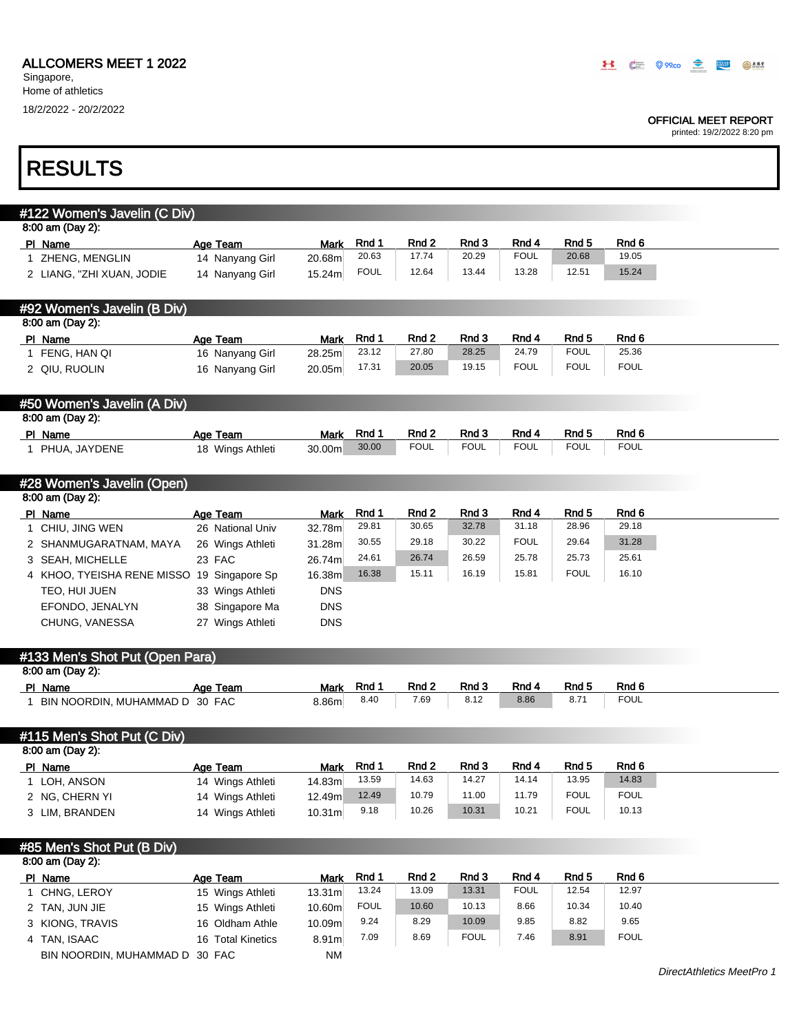BIN NOORDIN, MUHAMMAD D 30 FAC NM

Singapore, Home of athletics 18/2/2022 - 20/2/2022

Т

### OFFICIAL MEET REPORT

| <b>RESULTS</b>                                  |                                      |                    |                |                |                |                |                           |                  |
|-------------------------------------------------|--------------------------------------|--------------------|----------------|----------------|----------------|----------------|---------------------------|------------------|
|                                                 |                                      |                    |                |                |                |                |                           |                  |
| #122 Women's Javelin (C Div)                    |                                      |                    |                |                |                |                |                           |                  |
| 8:00 am (Day 2):                                |                                      |                    |                |                |                |                |                           |                  |
| PI Name                                         | Age Team                             | <b>Mark</b>        | Rnd 1          | Rnd 2          | Rnd 3          | Rnd 4          | Rnd <sub>5</sub>          | Rnd <sub>6</sub> |
| 1 ZHENG, MENGLIN                                | 14 Nanyang Girl                      | 20.68m             | 20.63          | 17.74          | 20.29          | <b>FOUL</b>    | 20.68                     | 19.05            |
| 2 LIANG, "ZHI XUAN, JODIE                       | 14 Nanyang Girl                      | 15.24m             | <b>FOUL</b>    | 12.64          | 13.44          | 13.28          | 12.51                     | 15.24            |
|                                                 |                                      |                    |                |                |                |                |                           |                  |
| #92 Women's Javelin (B Div)<br>8:00 am (Day 2): |                                      |                    |                |                |                |                |                           |                  |
| PI Name                                         | Age Team                             | <b>Mark</b>        | Rnd 1          | Rnd 2          | Rnd 3          | Rnd 4          | Rnd 5                     | Rnd 6            |
| 1 FENG, HAN QI                                  | 16 Nanyang Girl                      | 28.25m             | 23.12          | 27.80          | 28.25          | 24.79          | <b>FOUL</b>               | 25.36            |
| 2 QIU, RUOLIN                                   | 16 Nanyang Girl                      | 20.05m             | 17.31          | 20.05          | 19.15          | <b>FOUL</b>    | <b>FOUL</b>               | <b>FOUL</b>      |
|                                                 |                                      |                    |                |                |                |                |                           |                  |
| #50 Women's Javelin (A Div)                     |                                      |                    |                |                |                |                |                           |                  |
| 8:00 am (Day 2):                                |                                      |                    |                |                |                |                |                           |                  |
| PI Name                                         | Age Team                             | Mark               | Rnd 1          | Rnd 2          | Rnd 3          | Rnd 4          | Rnd <sub>5</sub>          | Rnd 6            |
| 1 PHUA, JAYDENE                                 | 18 Wings Athleti                     | 30.00m             | 30.00          | <b>FOUL</b>    | <b>FOUL</b>    | <b>FOUL</b>    | <b>FOUL</b>               | <b>FOUL</b>      |
|                                                 |                                      |                    |                |                |                |                |                           |                  |
| #28 Women's Javelin (Open)                      |                                      |                    |                |                |                |                |                           |                  |
| 8:00 am (Day 2):                                |                                      |                    |                |                |                |                |                           |                  |
| PI Name                                         | Age Team<br>26 National Univ         | Mark               | Rnd 1<br>29.81 | Rnd 2<br>30.65 | Rnd 3<br>32.78 | Rnd 4<br>31.18 | Rnd <sub>5</sub><br>28.96 | Rnd 6<br>29.18   |
| 1 CHIU, JING WEN                                |                                      | 32.78m             | 30.55          | 29.18          | 30.22          | <b>FOUL</b>    | 29.64                     | 31.28            |
| 2 SHANMUGARATNAM, MAYA                          | 26 Wings Athleti<br>23 FAC           | 31.28m<br>26.74m   | 24.61          | 26.74          | 26.59          | 25.78          | 25.73                     | 25.61            |
| 3 SEAH, MICHELLE                                |                                      | 16.38m             | 16.38          | 15.11          | 16.19          | 15.81          | <b>FOUL</b>               | 16.10            |
| 4 KHOO, TYEISHA RENE MISSO 19 Singapore Sp      |                                      | <b>DNS</b>         |                |                |                |                |                           |                  |
| TEO, HUI JUEN                                   | 33 Wings Athleti                     |                    |                |                |                |                |                           |                  |
| EFONDO, JENALYN                                 | 38 Singapore Ma                      | <b>DNS</b>         |                |                |                |                |                           |                  |
| CHUNG, VANESSA                                  | 27 Wings Athleti                     | <b>DNS</b>         |                |                |                |                |                           |                  |
| #133 Men's Shot Put (Open Para)                 |                                      |                    |                |                |                |                |                           |                  |
| 8:00 am (Day 2):                                |                                      |                    |                |                |                |                |                           |                  |
| PI Name                                         | Age Team                             | Mark               | Rnd 1          | Rnd 2          | Rnd 3          | Rnd 4          | Rnd <sub>5</sub>          | Rnd 6            |
| 1 BIN NOORDIN, MUHAMMAD D 30 FAC                |                                      | 8.86m              | 8.40           | 7.69           | 8.12           | 8.86           | 8.71                      | <b>FOUL</b>      |
|                                                 |                                      |                    |                |                |                |                |                           |                  |
| #115 Men's Shot Put (C Div)                     |                                      |                    |                |                |                |                |                           |                  |
| 8:00 am (Day 2):                                |                                      |                    |                |                |                |                |                           |                  |
| PI Name<br>1 LOH, ANSON                         | Age Team<br>14 Wings Athleti         | Mark<br>14.83m     | Rnd 1<br>13.59 | Rnd 2<br>14.63 | Rnd 3<br>14.27 | Rnd 4<br>14.14 | Rnd 5<br>13.95            | Rnd 6<br>14.83   |
|                                                 |                                      | 12.49m             | 12.49          | 10.79          | 11.00          | 11.79          | <b>FOUL</b>               | <b>FOUL</b>      |
| 2 NG, CHERN YI<br>3 LIM, BRANDEN                | 14 Wings Athleti<br>14 Wings Athleti | 10.31 <sub>m</sub> | 9.18           | 10.26          | 10.31          | 10.21          | <b>FOUL</b>               | 10.13            |
|                                                 |                                      |                    |                |                |                |                |                           |                  |
| #85 Men's Shot Put (B Div)                      |                                      |                    |                |                |                |                |                           |                  |
| 8:00 am (Day 2):                                |                                      |                    |                |                |                |                |                           |                  |
| PI Name                                         | Age Team                             | <b>Mark</b>        | Rnd 1          | Rnd 2          | Rnd 3          | Rnd 4          | Rnd 5                     | Rnd 6            |
| 1 CHNG, LEROY                                   | 15 Wings Athleti                     | 13.31m             | 13.24          | 13.09          | 13.31          | <b>FOUL</b>    | 12.54                     | 12.97            |
| 2 TAN, JUN JIE                                  | 15 Wings Athleti                     | 10.60m             | <b>FOUL</b>    | 10.60          | 10.13          | 8.66           | 10.34                     | 10.40            |
| 3 KIONG, TRAVIS                                 | 16 Oldham Athle                      | 10.09m             | 9.24           | 8.29           | 10.09          | 9.85           | 8.82                      | 9.65             |
| 4 TAN, ISAAC                                    | 16 Total Kinetics                    | 8.91m              | 7.09           | 8.69           | <b>FOUL</b>    | 7.46           | 8.91                      | <b>FOUL</b>      |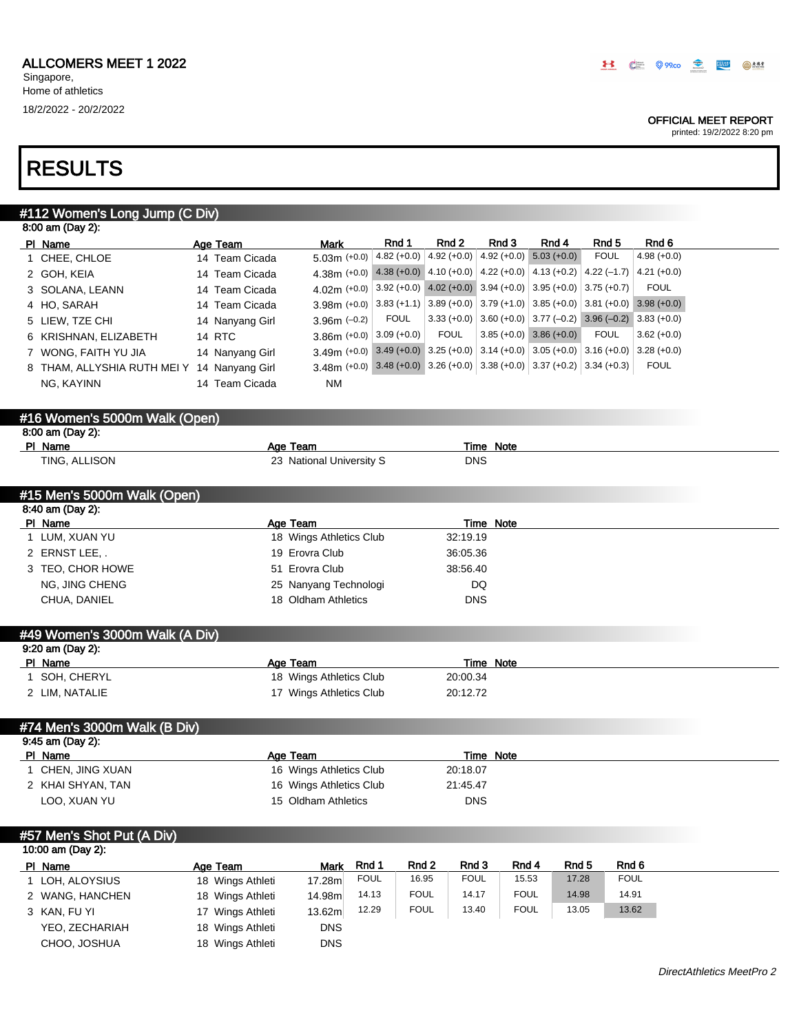CHOO, JOSHUA 18 Wings Athleti DNS

Singapore, Home of athletics 18/2/2022 - 20/2/2022

### OFFICIAL MEET REPORT

| #112 Women's Long Jump (C Div)              |                  |                          |                                                                                      |                                                               |                  |                                           |             |               |
|---------------------------------------------|------------------|--------------------------|--------------------------------------------------------------------------------------|---------------------------------------------------------------|------------------|-------------------------------------------|-------------|---------------|
| 8:00 am (Day 2):                            |                  |                          |                                                                                      |                                                               |                  |                                           |             |               |
| PI Name                                     | Age Team         | <b>Mark</b>              | Rnd 1                                                                                | Rnd <sub>2</sub>                                              | Rnd 3            | Rnd 4                                     | Rnd 5       | Rnd 6         |
| 1 CHEE, CHLOE                               | 14 Team Cicada   | $5.03m (+0.0)$           |                                                                                      | 4.82 (+0.0) $ 4.92$ (+0.0)                                    |                  | $4.92 (+0.0)$ 5.03 (+0.0)                 | <b>FOUL</b> | $4.98 (+0.0)$ |
| 2 GOH, KEIA                                 | 14 Team Cicada   |                          | 4.38m (+0.0) 4.38 (+0.0) 4.10 (+0.0)                                                 |                                                               |                  | 4.22 (+0.0) 4.13 (+0.2) 4.22 (-1.7)       |             | $4.21 (+0.0)$ |
| 3 SOLANA, LEANN                             | 14 Team Cicada   | 4.02m (+0.0)             |                                                                                      | $3.92 (+0.0)$ 4.02 (+0.0) 3.94 (+0.0) 3.95 (+0.0) 3.75 (+0.7) |                  |                                           |             | <b>FOUL</b>   |
| 4 HO, SARAH                                 | 14 Team Cicada   | 3.98m (+0.0)             |                                                                                      | $3.83 (+1.1)   3.89 (+0.0)  $                                 |                  | $3.79 (+1.0)$ 3.85 (+0.0) 3.81 (+0.0)     |             | $3.98 (+0.0)$ |
| 5 LIEW, TZE CHI                             | 14 Nanyang Girl  | $3.96m$ (-0.2)           | <b>FOUL</b>                                                                          | $3.33 (+0.0)$                                                 |                  | $3.60 (+0.0)$ $3.77 (-0.2)$ $3.96 (-0.2)$ |             | $3.83 (+0.0)$ |
| 6 KRISHNAN, ELIZABETH                       | 14 RTC           | $3.86m (+0.0)$           | $3.09 (+0.0)$                                                                        | <b>FOUL</b>                                                   |                  | $3.85 (+0.0)$ 3.86 (+0.0)                 | <b>FOUL</b> | $3.62 (+0.0)$ |
| 7 WONG, FAITH YU JIA                        | 14 Nanyang Girl  |                          | 3.49m (+0.0) 3.49 (+0.0) 3.25 (+0.0) 3.14 (+0.0) 3.05 (+0.0) 3.16 (+0.0) 3.28 (+0.0) |                                                               |                  |                                           |             |               |
| 8 THAM, ALLYSHIA RUTH MEI Y 14 Nanyang Girl |                  |                          | 3.48m (+0.0) 3.48 (+0.0) 3.26 (+0.0) 3.38 (+0.0) 3.37 (+0.2) 3.34 (+0.3)             |                                                               |                  |                                           |             | <b>FOUL</b>   |
| NG, KAYINN                                  | 14 Team Cicada   | <b>NM</b>                |                                                                                      |                                                               |                  |                                           |             |               |
|                                             |                  |                          |                                                                                      |                                                               |                  |                                           |             |               |
| #16 Women's 5000m Walk (Open)               |                  |                          |                                                                                      |                                                               |                  |                                           |             |               |
| 8:00 am (Day 2):                            |                  |                          |                                                                                      |                                                               |                  |                                           |             |               |
| PI Name                                     |                  | Age Team                 |                                                                                      |                                                               | <b>Time Note</b> |                                           |             |               |
| TING, ALLISON                               |                  | 23 National University S |                                                                                      |                                                               | <b>DNS</b>       |                                           |             |               |
|                                             |                  |                          |                                                                                      |                                                               |                  |                                           |             |               |
| #15 Men's 5000m Walk (Open)                 |                  |                          |                                                                                      |                                                               |                  |                                           |             |               |
| 8:40 am (Day 2):                            |                  |                          |                                                                                      |                                                               |                  |                                           |             |               |
| PI Name                                     |                  | Age Team                 |                                                                                      |                                                               | Time Note        |                                           |             |               |
| 1 LUM, XUAN YU                              |                  | 18 Wings Athletics Club  |                                                                                      | 32:19.19                                                      |                  |                                           |             |               |
| 2 ERNST LEE                                 |                  | 19 Erovra Club           |                                                                                      | 36:05.36                                                      |                  |                                           |             |               |
| 3 TEO, CHOR HOWE                            |                  | 51 Erovra Club           |                                                                                      | 38:56.40                                                      |                  |                                           |             |               |
| NG, JING CHENG                              |                  | 25 Nanyang Technologi    |                                                                                      |                                                               | DQ               |                                           |             |               |
| CHUA, DANIEL                                |                  | 18 Oldham Athletics      |                                                                                      |                                                               | <b>DNS</b>       |                                           |             |               |
|                                             |                  |                          |                                                                                      |                                                               |                  |                                           |             |               |
| #49 Women's 3000m Walk (A Div)              |                  |                          |                                                                                      |                                                               |                  |                                           |             |               |
| 9:20 am (Day 2):                            |                  |                          |                                                                                      |                                                               |                  |                                           |             |               |
| PI Name                                     |                  | Age Team                 |                                                                                      |                                                               | <b>Time Note</b> |                                           |             |               |
| 1 SOH, CHERYL                               |                  | 18 Wings Athletics Club  |                                                                                      | 20:00.34                                                      |                  |                                           |             |               |
| 2 LIM, NATALIE                              |                  | 17 Wings Athletics Club  |                                                                                      | 20:12.72                                                      |                  |                                           |             |               |
|                                             |                  |                          |                                                                                      |                                                               |                  |                                           |             |               |
| #74 Men's 3000m Walk (B Div)                |                  |                          |                                                                                      |                                                               |                  |                                           |             |               |
| 9:45 am (Day 2):                            |                  |                          |                                                                                      |                                                               |                  |                                           |             |               |
| PI Name                                     |                  | Age Team                 |                                                                                      |                                                               | Time Note        |                                           |             |               |
| 1 CHEN, JING XUAN                           |                  | 16 Wings Athletics Club  |                                                                                      | 20:18.07                                                      |                  |                                           |             |               |
| 2 KHAI SHYAN, TAN                           |                  | 16 Wings Athletics Club  |                                                                                      | 21:45.47                                                      |                  |                                           |             |               |
| LOO, XUAN YU                                |                  | 15 Oldham Athletics      |                                                                                      |                                                               | <b>DNS</b>       |                                           |             |               |
|                                             |                  |                          |                                                                                      |                                                               |                  |                                           |             |               |
| #57 Men's Shot Put (A Div)                  |                  |                          |                                                                                      |                                                               |                  |                                           |             |               |
| 10:00 am (Day 2):                           |                  |                          |                                                                                      |                                                               |                  |                                           |             |               |
| PI Name                                     | Age Team         | Mark                     | Rnd 1                                                                                | Rnd 2<br>Rnd 3                                                |                  | Rnd 4<br>Rnd 5                            | Rnd 6       |               |
| 1 LOH, ALOYSIUS                             | 18 Wings Athleti | 17.28m                   | <b>FOUL</b>                                                                          | 16.95<br><b>FOUL</b>                                          |                  | 15.53<br>17.28                            | <b>FOUL</b> |               |
| 2 WANG, HANCHEN                             | 18 Wings Athleti | 14.98m                   | 14.13                                                                                | <b>FOUL</b><br>14.17                                          |                  | <b>FOUL</b><br>14.98                      | 14.91       |               |
| 3 KAN, FU YI                                | 17 Wings Athleti | 13.62m                   | 12.29                                                                                | <b>FOUL</b><br>13.40                                          |                  | <b>FOUL</b><br>13.05                      | 13.62       |               |
| YEO, ZECHARIAH                              | 18 Wings Athleti | <b>DNS</b>               |                                                                                      |                                                               |                  |                                           |             |               |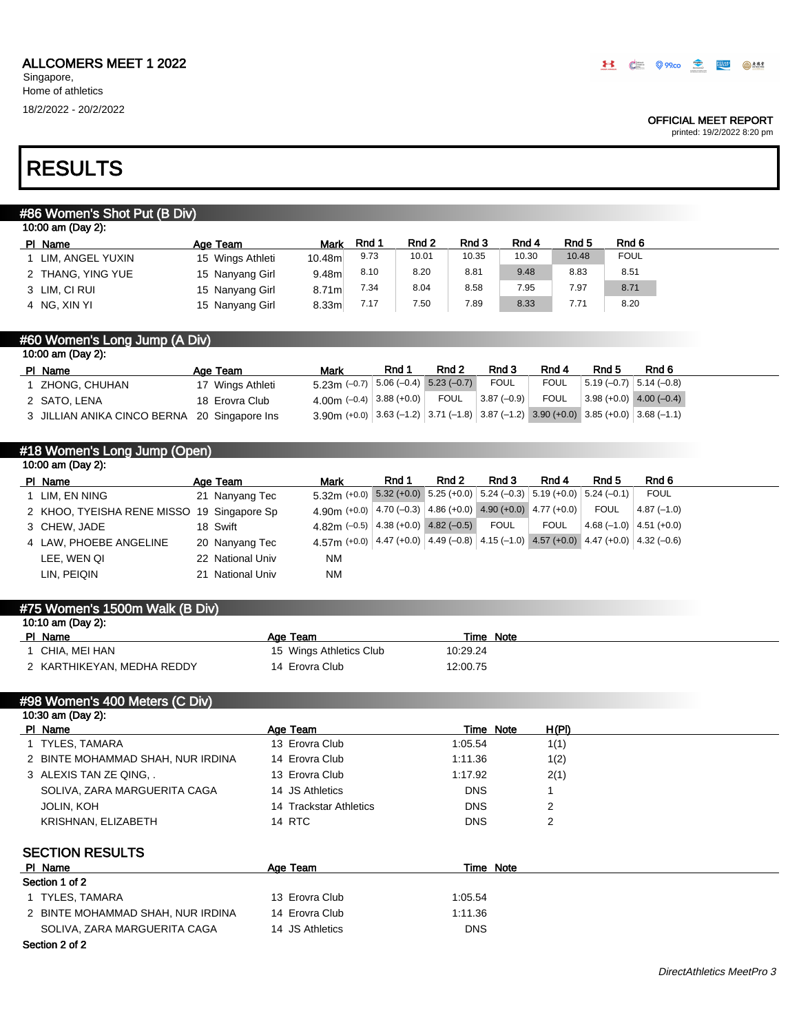### OFFICIAL MEET REPORT

printed: 19/2/2022 8:20 pm

# RESULTS

## #86 Women's Shot Put (B Div)

| 10:00 am (Day 2): |                    |                  |                   |       |       |       |       |       |             |
|-------------------|--------------------|------------------|-------------------|-------|-------|-------|-------|-------|-------------|
|                   | PI Name            | Age Team         | <b>Mark</b>       | Rnd 1 | Rnd 2 | Rnd 3 | Rnd 4 | Rnd 5 | Rnd 6       |
|                   | 1 LIM, ANGEL YUXIN | 15 Wings Athleti | 10.48m            | 9.73  | 10.01 | 10.35 | 10.30 | 10.48 | <b>FOUL</b> |
|                   | 2 THANG, YING YUE  | 15 Nanyang Girl  | 9.48m             | 8.10  | 8.20  | 8.81  | 9.48  | 8.83  | 8.51        |
|                   | 3 LIM, CI RUI      | 15 Nanyang Girl  | 8.71 <sub>m</sub> | 7.34  | 8.04  | 8.58  | 7.95  | 7.97  | 8.71        |
|                   | 4 NG, XIN YI       | 15 Nanyang Girl  | 8.33 <sub>m</sub> | 7.17  | 7.50  | 7.89  | 8.33  | 7.71  | 8.20        |

## #60 Women's Long Jump (A Div)

| 10:00 am (Day 2):                            |  |                  |                                                                                      |       |        |              |             |                          |                             |  |
|----------------------------------------------|--|------------------|--------------------------------------------------------------------------------------|-------|--------|--------------|-------------|--------------------------|-----------------------------|--|
| PI Name                                      |  | Age Team         | <b>Mark</b>                                                                          | Rnd 1 | Rnd 2  | Rnd 3        | Rnd 4       | Rnd 5                    | Rnd 6                       |  |
| ZHONG, CHUHAN                                |  | 17 Wings Athleti | $5.23$ m (-0.7) $5.06$ (-0.4) $5.23$ (-0.7)                                          |       |        | <b>FOUL</b>  | <b>FOUL</b> | $5.19(-0.7)$ 5.14 (-0.8) |                             |  |
| 2 SATO, LENA                                 |  | 18 Erovra Club   | 4.00m (-0.4) 3.88 (+0.0)                                                             |       | FOUL ' | $3.87(-0.9)$ | <b>FOUL</b> |                          | $3.98 (+0.0)$ 4.00 $(-0.4)$ |  |
| 3 JILLIAN ANIKA CINCO BERNA 20 Singapore Ins |  |                  | 3.90m (+0.0) 3.63 (-1.2) 3.71 (-1.8) 3.87 (-1.2) 3.90 (+0.0) 3.85 (+0.0) 3.68 (-1.1) |       |        |              |             |                          |                             |  |

# #18 Women's Long Jump (Open)

| 10:00 am (Day 2): |                                            |  |                  |                                                                                                  |       |       |             |             |       |                          |  |
|-------------------|--------------------------------------------|--|------------------|--------------------------------------------------------------------------------------------------|-------|-------|-------------|-------------|-------|--------------------------|--|
|                   | PI Name                                    |  | Age Team         | Mark                                                                                             | Rnd 1 | Rnd 2 | Rnd 3       | Rnd 4       | Rnd 5 | Rnd 6                    |  |
|                   | 1 LIM, EN NING                             |  | 21 Nanyang Tec   | $5.32$ m (+0.0) $5.32$ (+0.0) $5.25$ (+0.0) $5.24$ (-0.3) $5.19$ (+0.0) $5.24$ (-0.1)            |       |       |             |             |       | <b>FOUL</b>              |  |
|                   | 2 KHOO, TYEISHA RENE MISSO 19 Singapore Sp |  |                  | 4.90 (+0.0) $ 4.70(-0.3) 4.86(+0.0) 4.90(+0.0) 4.77(+0.0) $                                      |       |       |             |             | FOUL  | $4.87(-1.0)$             |  |
|                   | 3 CHEW, JADE                               |  | 18 Swift         | 4.82m $(-0.5)$ 4.38 $(+0.0)$ 4.82 $(-0.5)$                                                       |       |       | <b>FOUL</b> | <b>FOUL</b> |       | $4.68(-1.0)$ 4.51 (+0.0) |  |
|                   | 4 LAW. PHOEBE ANGELINE                     |  | 20 Nanyang Tec   | 4.57 (+0.0) $ 4.47 (+0.0)   4.49 (-0.8)   4.15 (-1.0)   4.57 (+0.0)   4.47 (+0.0)   4.32 (-0.6)$ |       |       |             |             |       |                          |  |
|                   | LEE. WEN QI                                |  | 22 National Univ | <b>NM</b>                                                                                        |       |       |             |             |       |                          |  |
|                   | LIN, PEIQIN                                |  | 21 National Univ | <b>NM</b>                                                                                        |       |       |             |             |       |                          |  |
|                   |                                            |  |                  |                                                                                                  |       |       |             |             |       |                          |  |

| #75 Women's 1500m Walk (B Div) |                         |           |  |  |  |  |  |  |
|--------------------------------|-------------------------|-----------|--|--|--|--|--|--|
| 10:10 am (Day 2):              |                         |           |  |  |  |  |  |  |
| PI Name                        | Age Team                | Time Note |  |  |  |  |  |  |
| CHIA. MEI HAN                  | 15 Wings Athletics Club | 10:29.24  |  |  |  |  |  |  |
| 2 KARTHIKEYAN, MEDHA REDDY     | 14 Erovra Club          | 12:00.75  |  |  |  |  |  |  |
|                                |                         |           |  |  |  |  |  |  |

# #98 Women's 400 Meters (C Div) 10:30 am (Day 2):

| PI Name                |                                   | Age Team               |            | H(PI)<br>Time Note |  |
|------------------------|-----------------------------------|------------------------|------------|--------------------|--|
| 1 TYLES, TAMARA        |                                   | 13 Erovra Club         | 1:05.54    | 1(1)               |  |
|                        | 2 BINTE MOHAMMAD SHAH, NUR IRDINA | 14 Erovra Club         | 1:11.36    | 1(2)               |  |
| 3 ALEXIS TAN ZE QING   |                                   | 13 Erovra Club         | 1:17.92    | 2(1)               |  |
|                        | SOLIVA, ZARA MARGUERITA CAGA      | 14 JS Athletics        | <b>DNS</b> |                    |  |
| <b>JOLIN, KOH</b>      |                                   | 14 Trackstar Athletics | <b>DNS</b> | 2                  |  |
| KRISHNAN, ELIZABETH    |                                   | 14 RTC                 | <b>DNS</b> | 2                  |  |
| <b>SECTION RESULTS</b> |                                   |                        |            |                    |  |
| PI Name                |                                   | Age Team               |            | Time Note          |  |
| Section 1 of 2         |                                   |                        |            |                    |  |
| 1 TYLES, TAMARA        |                                   | 13 Erovra Club         | 1:05.54    |                    |  |
|                        | 2 BINTE MOHAMMAD SHAH, NUR IRDINA | 14 Erovra Club         | 1:11.36    |                    |  |
|                        | SOLIVA. ZARA MARGUERITA CAGA      | 14 JS Athletics        | <b>DNS</b> |                    |  |

### Section 2 of 2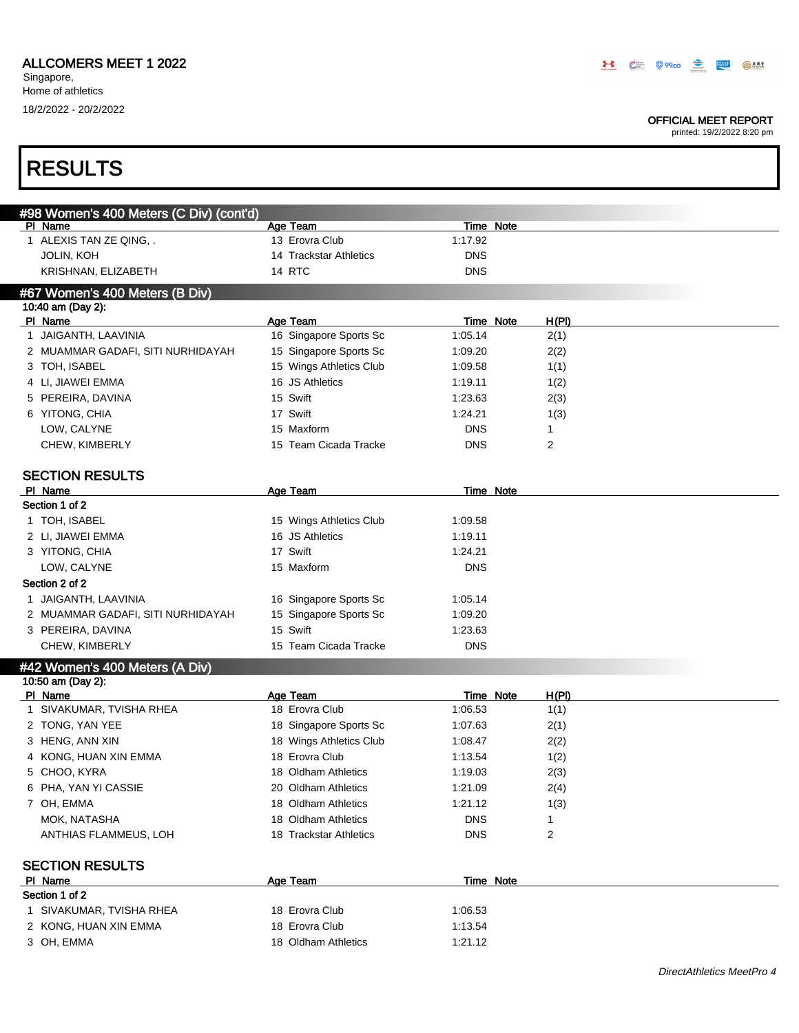Singapore, Home of athletics

### OFFICIAL MEET REPORT

| <b>RESULTS</b>                          |                            |                             |              |                           |
|-----------------------------------------|----------------------------|-----------------------------|--------------|---------------------------|
| #98 Women's 400 Meters (C Div) (cont'd) |                            |                             |              |                           |
| PI Name                                 | Age Team                   | Time Note                   |              |                           |
| 1 ALEXIS TAN ZE QING, .                 | 13 Erovra Club             | 1:17.92                     |              |                           |
| <b>JOLIN, KOH</b>                       | 14 Trackstar Athletics     | <b>DNS</b>                  |              |                           |
| KRISHNAN, ELIZABETH                     | 14 RTC                     | <b>DNS</b>                  |              |                           |
| #67 Women's 400 Meters (B Div)          |                            |                             |              |                           |
| 10:40 am (Day 2):                       |                            |                             |              |                           |
| PI Name                                 | <b>Age Team</b>            | Time Note                   | H(PI)        |                           |
| 1 JAIGANTH, LAAVINIA                    | 16 Singapore Sports Sc     | 1:05.14                     | 2(1)         |                           |
| 2 MUAMMAR GADAFI, SITI NURHIDAYAH       | 15 Singapore Sports Sc     | 1:09.20                     | 2(2)         |                           |
| 3 TOH, ISABEL                           | 15 Wings Athletics Club    | 1:09.58                     | 1(1)         |                           |
| 4 LI, JIAWEI EMMA                       | 16 JS Athletics            | 1:19.11                     | 1(2)         |                           |
| 5 PEREIRA, DAVINA                       | 15 Swift                   | 1:23.63                     | 2(3)         |                           |
| 6 YITONG, CHIA                          | 17 Swift                   | 1:24.21                     | 1(3)         |                           |
| LOW, CALYNE                             | 15 Maxform                 | <b>DNS</b>                  | 1            |                           |
| CHEW, KIMBERLY                          | 15 Team Cicada Tracke      | <b>DNS</b>                  | 2            |                           |
| <b>SECTION RESULTS</b>                  |                            |                             |              |                           |
| PI Name                                 | <b>Age Team</b>            | <b>Time Note</b>            |              |                           |
| Section 1 of 2                          |                            |                             |              |                           |
| 1 TOH, ISABEL                           | 15 Wings Athletics Club    | 1:09.58                     |              |                           |
| 2 LI, JIAWEI EMMA                       | 16 JS Athletics            | 1:19.11                     |              |                           |
| 3 YITONG, CHIA                          | 17 Swift                   | 1:24.21                     |              |                           |
| LOW, CALYNE                             | 15 Maxform                 | <b>DNS</b>                  |              |                           |
| Section 2 of 2                          |                            |                             |              |                           |
| 1 JAIGANTH, LAAVINIA                    | 16 Singapore Sports Sc     | 1:05.14                     |              |                           |
| 2 MUAMMAR GADAFI, SITI NURHIDAYAH       | 15 Singapore Sports Sc     | 1:09.20                     |              |                           |
| 3 PEREIRA, DAVINA                       | 15 Swift                   | 1:23.63                     |              |                           |
| CHEW, KIMBERLY                          | 15 Team Cicada Tracke      | <b>DNS</b>                  |              |                           |
| #42 Women's 400 Meters (A Div)          |                            |                             |              |                           |
| 10:50 am (Day 2):                       |                            |                             |              |                           |
| PI Name<br>1 SIVAKUMAR, TVISHA RHEA     | Age Team<br>18 Erovra Club | <b>Time Note</b><br>1:06.53 | <u>H(PI)</u> |                           |
|                                         | 18 Singapore Sports Sc     |                             | 1(1)         |                           |
| 2 TONG, YAN YEE<br>3 HENG, ANN XIN      |                            | 1:07.63                     | 2(1)         |                           |
|                                         | 18 Wings Athletics Club    | 1:08.47                     | 2(2)         |                           |
| 4 KONG, HUAN XIN EMMA                   | 18 Erovra Club             | 1:13.54                     | 1(2)         |                           |
| 5 CHOO, KYRA                            | 18 Oldham Athletics        | 1:19.03                     | 2(3)         |                           |
| 6 PHA, YAN YI CASSIE                    | 20 Oldham Athletics        | 1:21.09                     | 2(4)         |                           |
| 7 OH, EMMA                              | 18 Oldham Athletics        | 1:21.12                     | 1(3)         |                           |
| MOK, NATASHA                            | 18 Oldham Athletics        | <b>DNS</b>                  | 1            |                           |
| ANTHIAS FLAMMEUS, LOH                   | 18 Trackstar Athletics     | <b>DNS</b>                  | 2            |                           |
| <b>SECTION RESULTS</b>                  |                            |                             |              |                           |
| PI Name                                 | <b>Age Team</b>            | <b>Time Note</b>            |              |                           |
| Section 1 of 2                          |                            |                             |              |                           |
| 1 SIVAKUMAR, TVISHA RHEA                | 18 Erovra Club             | 1:06.53                     |              |                           |
| 2 KONG, HUAN XIN EMMA                   | 18 Erovra Club             | 1:13.54                     |              |                           |
| 3 OH, EMMA                              | 18 Oldham Athletics        | 1:21.12                     |              |                           |
|                                         |                            |                             |              | DirectAthletics MeetPro 4 |
|                                         |                            |                             |              |                           |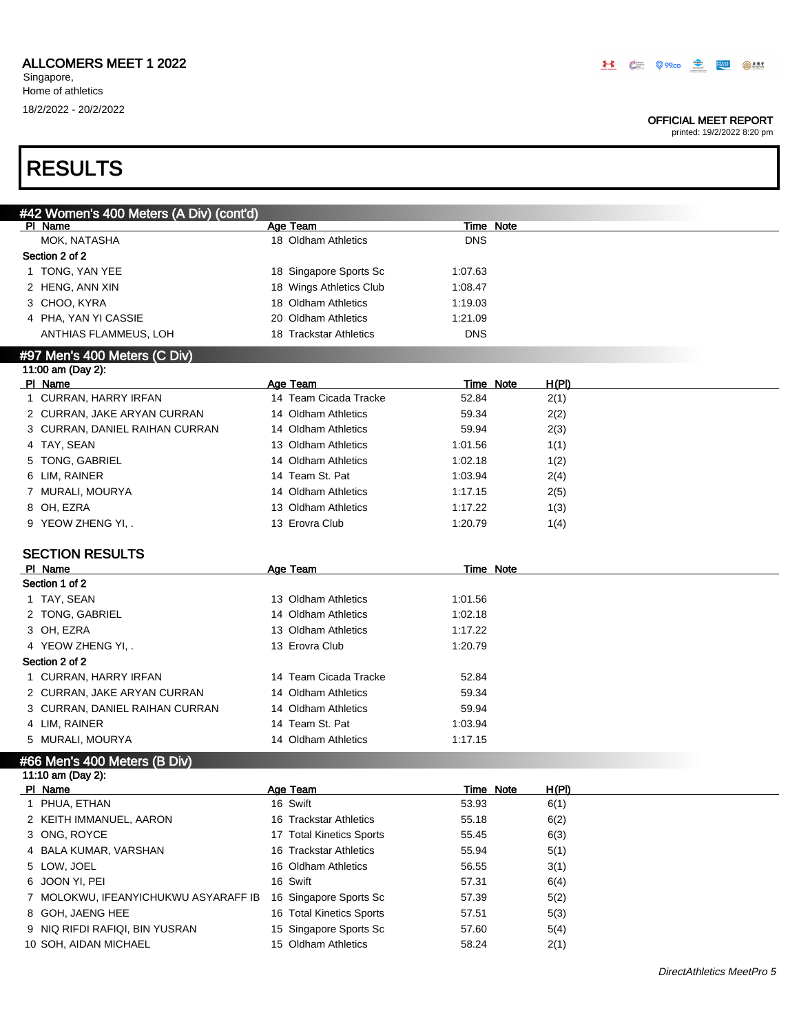### OFFICIAL MEET REPORT

printed: 19/2/2022 8:20 pm

# RESULTS

| #42 Women's 400 Meters (A Div) (cont'd) |                          |                  |              |  |
|-----------------------------------------|--------------------------|------------------|--------------|--|
| PI Name                                 | Age Team                 | Time Note        |              |  |
| MOK, NATASHA                            | 18 Oldham Athletics      | <b>DNS</b>       |              |  |
| Section 2 of 2                          |                          |                  |              |  |
| 1 TONG, YAN YEE                         | 18 Singapore Sports Sc   | 1:07.63          |              |  |
| 2 HENG, ANN XIN                         | 18 Wings Athletics Club  | 1:08.47          |              |  |
| 3 CHOO, KYRA                            | 18 Oldham Athletics      | 1:19.03          |              |  |
| 4 PHA, YAN YI CASSIE                    | 20 Oldham Athletics      | 1:21.09          |              |  |
| ANTHIAS FLAMMEUS, LOH                   | 18 Trackstar Athletics   | <b>DNS</b>       |              |  |
|                                         |                          |                  |              |  |
| #97 Men's 400 Meters (C Div)            |                          |                  |              |  |
| 11:00 am (Day 2):                       |                          |                  |              |  |
| PI Name                                 | Age Team                 | Time Note        | H(PI)        |  |
| 1 CURRAN, HARRY IRFAN                   | 14 Team Cicada Tracke    | 52.84            | 2(1)         |  |
| 2 CURRAN, JAKE ARYAN CURRAN             | 14 Oldham Athletics      | 59.34            | 2(2)         |  |
| 3 CURRAN, DANIEL RAIHAN CURRAN          | 14 Oldham Athletics      | 59.94            | 2(3)         |  |
| 4 TAY, SEAN                             | 13 Oldham Athletics      | 1:01.56          | 1(1)         |  |
| 5 TONG, GABRIEL                         | 14 Oldham Athletics      | 1:02.18          | 1(2)         |  |
| 6 LIM, RAINER                           | 14 Team St. Pat          | 1:03.94          | 2(4)         |  |
| 7 MURALI, MOURYA                        | 14 Oldham Athletics      | 1:17.15          | 2(5)         |  |
| 8 OH, EZRA                              | 13 Oldham Athletics      | 1:17.22          | 1(3)         |  |
| 9 YEOW ZHENG YI, .                      | 13 Erovra Club           | 1:20.79          | 1(4)         |  |
|                                         |                          |                  |              |  |
| <b>SECTION RESULTS</b>                  |                          |                  |              |  |
| PI Name                                 | Age Team                 | <b>Time Note</b> |              |  |
| Section 1 of 2                          |                          |                  |              |  |
| 1 TAY, SEAN                             | 13 Oldham Athletics      | 1:01.56          |              |  |
| 2 TONG, GABRIEL                         | 14 Oldham Athletics      | 1:02.18          |              |  |
| 3 OH, EZRA                              | 13 Oldham Athletics      | 1:17.22          |              |  |
| 4 YEOW ZHENG YI, .                      | 13 Erovra Club           | 1:20.79          |              |  |
| Section 2 of 2                          |                          |                  |              |  |
| 1 CURRAN, HARRY IRFAN                   | 14 Team Cicada Tracke    | 52.84            |              |  |
| 2 CURRAN, JAKE ARYAN CURRAN             | 14 Oldham Athletics      | 59.34            |              |  |
| 3 CURRAN, DANIEL RAIHAN CURRAN          | 14 Oldham Athletics      | 59.94            |              |  |
| 4 LIM, RAINER                           | 14 Team St. Pat          | 1:03.94          |              |  |
| 5 MURALI, MOURYA                        | 14 Oldham Athletics      | 1:17.15          |              |  |
|                                         |                          |                  |              |  |
| #66 Men's 400 Meters (B Div)            |                          |                  |              |  |
| 11:10 am (Day 2):                       |                          |                  |              |  |
| PI Name                                 | Age Team                 | Time Note        | <u>H(PI)</u> |  |
| PHUA, ETHAN<br>1                        | 16 Swift                 | 53.93            | 6(1)         |  |
| 2 KEITH IMMANUEL, AARON                 | 16 Trackstar Athletics   | 55.18            | 6(2)         |  |
| 3 ONG, ROYCE                            | 17 Total Kinetics Sports | 55.45            | 6(3)         |  |
| BALA KUMAR, VARSHAN<br>4                | 16 Trackstar Athletics   | 55.94            | 5(1)         |  |
| LOW, JOEL<br>5                          | 16 Oldham Athletics      | 56.55            | 3(1)         |  |
| JOON YI, PEI<br>6                       | 16 Swift                 | 57.31            | 6(4)         |  |
| MOLOKWU, IFEANYICHUKWU ASYARAFF IB<br>7 | 16 Singapore Sports Sc   | 57.39            | 5(2)         |  |
| GOH, JAENG HEE<br>8                     | 16 Total Kinetics Sports | 57.51            | 5(3)         |  |
| NIQ RIFDI RAFIQI, BIN YUSRAN<br>9       | 15 Singapore Sports Sc   | 57.60            | 5(4)         |  |
| 10 SOH, AIDAN MICHAEL                   | 15 Oldham Athletics      | 58.24            | 2(1)         |  |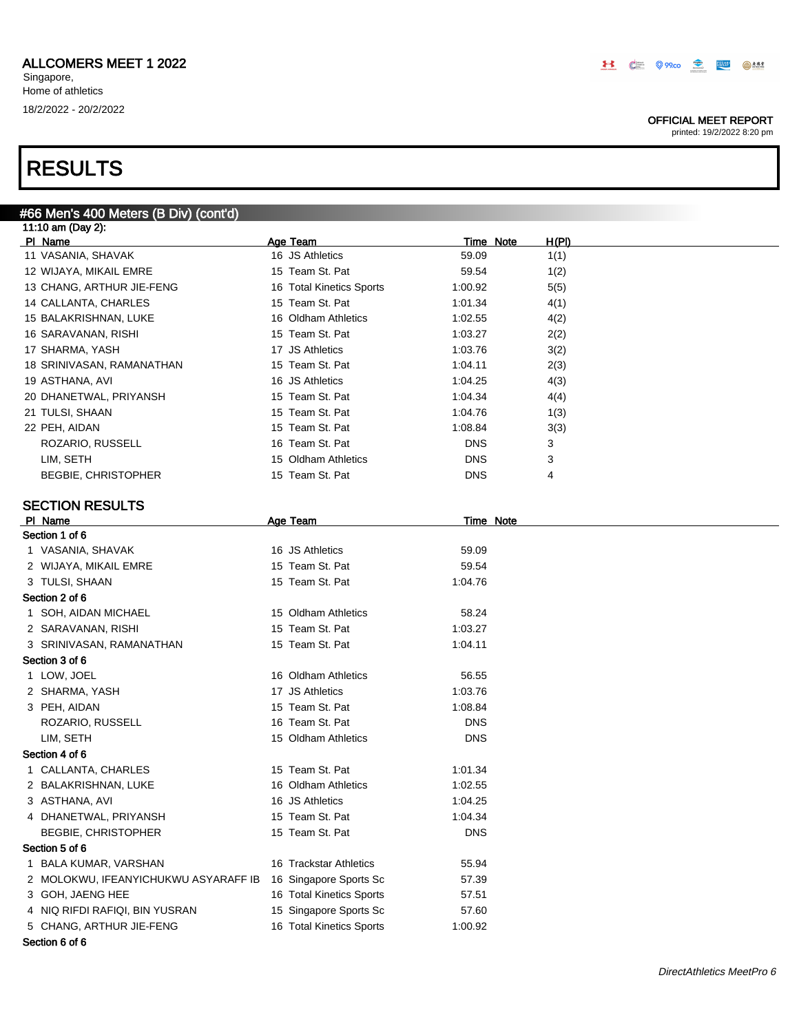### OFFICIAL MEET REPORT

| #66 Men's 400 Meters (B Div) (cont'd) |                          |            |                                  |  |
|---------------------------------------|--------------------------|------------|----------------------------------|--|
| 11:10 am (Day 2):                     |                          |            |                                  |  |
| PI Name                               | Age Team                 |            | <u>H(PI)</u><br><b>Time Note</b> |  |
| 11 VASANIA, SHAVAK                    | 16 JS Athletics          | 59.09      | 1(1)                             |  |
| 12 WIJAYA, MIKAIL EMRE                | 15 Team St. Pat          | 59.54      | 1(2)                             |  |
| 13 CHANG, ARTHUR JIE-FENG             | 16 Total Kinetics Sports | 1:00.92    | 5(5)                             |  |
| 14 CALLANTA, CHARLES                  | 15 Team St. Pat          | 1:01.34    | 4(1)                             |  |
| 15 BALAKRISHNAN, LUKE                 | 16 Oldham Athletics      | 1:02.55    | 4(2)                             |  |
| 16 SARAVANAN, RISHI                   | 15 Team St. Pat          | 1:03.27    | 2(2)                             |  |
| 17 SHARMA, YASH                       | 17 JS Athletics          | 1:03.76    | 3(2)                             |  |
| 18 SRINIVASAN, RAMANATHAN             | 15 Team St. Pat          | 1:04.11    | 2(3)                             |  |
| 19 ASTHANA, AVI                       | 16 JS Athletics          | 1:04.25    | 4(3)                             |  |
| 20 DHANETWAL, PRIYANSH                | 15 Team St. Pat          | 1:04.34    | 4(4)                             |  |
| 21 TULSI, SHAAN                       | 15 Team St. Pat          | 1:04.76    | 1(3)                             |  |
| 22 PEH, AIDAN                         | 15 Team St. Pat          | 1:08.84    | 3(3)                             |  |
| ROZARIO, RUSSELL                      | 16 Team St. Pat          | <b>DNS</b> | 3                                |  |
| LIM, SETH                             | 15 Oldham Athletics      | <b>DNS</b> | 3                                |  |
| <b>BEGBIE, CHRISTOPHER</b>            | 15 Team St. Pat          | <b>DNS</b> | 4                                |  |
|                                       |                          |            |                                  |  |
| <b>SECTION RESULTS</b>                |                          |            |                                  |  |
| PI Name                               | <b>Age Team</b>          |            | <b>Time Note</b>                 |  |
| Section 1 of 6                        |                          |            |                                  |  |
| 1 VASANIA, SHAVAK                     | 16 JS Athletics          | 59.09      |                                  |  |
| 2 WIJAYA, MIKAIL EMRE                 | 15 Team St. Pat          | 59.54      |                                  |  |
| 3 TULSI, SHAAN                        | 15 Team St. Pat          | 1:04.76    |                                  |  |
| Section 2 of 6                        |                          |            |                                  |  |
| 1 SOH, AIDAN MICHAEL                  | 15 Oldham Athletics      | 58.24      |                                  |  |
| 2 SARAVANAN, RISHI                    | 15 Team St. Pat          | 1:03.27    |                                  |  |
| 3 SRINIVASAN, RAMANATHAN              | 15 Team St. Pat          | 1:04.11    |                                  |  |
| Section 3 of 6                        |                          |            |                                  |  |
| 1 LOW, JOEL                           | 16 Oldham Athletics      | 56.55      |                                  |  |
| 2 SHARMA, YASH                        | 17 JS Athletics          | 1:03.76    |                                  |  |
| 3 PEH, AIDAN                          | 15 Team St. Pat          | 1:08.84    |                                  |  |
| ROZARIO, RUSSELL                      | 16 Team St. Pat          | <b>DNS</b> |                                  |  |
| LIM, SETH                             | 15 Oldham Athletics      | <b>DNS</b> |                                  |  |
| Section 4 of 6                        |                          |            |                                  |  |
| 1 CALLANTA, CHARLES                   | 15 Team St. Pat          | 1:01.34    |                                  |  |
|                                       |                          |            |                                  |  |
| 2 BALAKRISHNAN, LUKE                  | 16 Oldham Athletics      | 1:02.55    |                                  |  |
| 3 ASTHANA, AVI                        | 16 JS Athletics          | 1:04.25    |                                  |  |
| 4 DHANETWAL, PRIYANSH                 | 15 Team St. Pat          | 1:04.34    |                                  |  |
| <b>BEGBIE, CHRISTOPHER</b>            | 15 Team St. Pat          | <b>DNS</b> |                                  |  |
| Section 5 of 6                        |                          |            |                                  |  |
| 1 BALA KUMAR, VARSHAN                 | 16 Trackstar Athletics   | 55.94      |                                  |  |
| 2 MOLOKWU, IFEANYICHUKWU ASYARAFF IB  | 16 Singapore Sports Sc   | 57.39      |                                  |  |
| 3 GOH, JAENG HEE                      | 16 Total Kinetics Sports | 57.51      |                                  |  |
| 4 NIQ RIFDI RAFIQI, BIN YUSRAN        | 15 Singapore Sports Sc   | 57.60      |                                  |  |
| 5 CHANG, ARTHUR JIE-FENG              | 16 Total Kinetics Sports | 1:00.92    |                                  |  |
| Section 6 of 6                        |                          |            |                                  |  |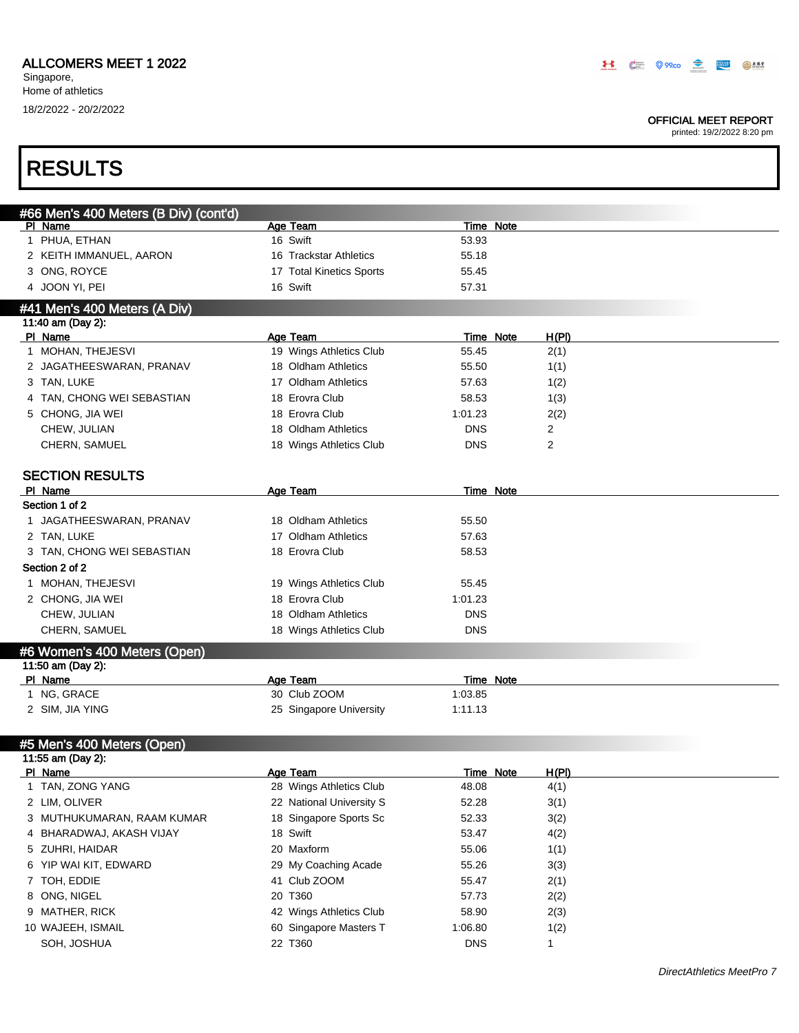## ALLCOMERS MEET 1 2022

Singapore, Home of athletics 18/2/2022 - 20/2/2022

### OFFICIAL MEET REPORT

| <b>RESULTS</b>                                   |                          |                  |              |  |
|--------------------------------------------------|--------------------------|------------------|--------------|--|
|                                                  |                          |                  |              |  |
| #66 Men's 400 Meters (B Div) (cont'd)<br>PI Name | Age Team                 | Time Note        |              |  |
| 1 PHUA, ETHAN                                    | 16 Swift                 | 53.93            |              |  |
| 2 KEITH IMMANUEL, AARON                          | 16 Trackstar Athletics   | 55.18            |              |  |
| 3 ONG, ROYCE                                     | 17 Total Kinetics Sports | 55.45            |              |  |
| 4 JOON YI, PEI                                   | 16 Swift                 | 57.31            |              |  |
| #41 Men's 400 Meters (A Div)                     |                          |                  |              |  |
| 11:40 am (Day 2):                                |                          |                  |              |  |
| PI Name                                          | Age Team                 | <b>Time Note</b> | <u>H(PI)</u> |  |
| 1 MOHAN, THEJESVI                                | 19 Wings Athletics Club  | 55.45            | 2(1)         |  |
| 2 JAGATHEESWARAN, PRANAV                         | 18 Oldham Athletics      | 55.50            | 1(1)         |  |
| 3 TAN, LUKE                                      | 17 Oldham Athletics      | 57.63            | 1(2)         |  |
| 4 TAN, CHONG WEI SEBASTIAN                       | 18 Erovra Club           | 58.53            | 1(3)         |  |
| 5 CHONG, JIA WEI                                 | 18 Erovra Club           | 1:01.23          | 2(2)         |  |
| CHEW, JULIAN                                     | 18 Oldham Athletics      | <b>DNS</b>       | 2            |  |
| CHERN, SAMUEL                                    | 18 Wings Athletics Club  | <b>DNS</b>       | 2            |  |
|                                                  |                          |                  |              |  |
| <b>SECTION RESULTS</b>                           |                          |                  |              |  |
| PI Name                                          | <b>Age Team</b>          | <b>Time Note</b> |              |  |
| Section 1 of 2                                   |                          |                  |              |  |
| 1 JAGATHEESWARAN, PRANAV                         | 18 Oldham Athletics      | 55.50            |              |  |
| 2 TAN, LUKE                                      | 17 Oldham Athletics      | 57.63            |              |  |
| 3 TAN, CHONG WEI SEBASTIAN                       | 18 Erovra Club           | 58.53            |              |  |
| Section 2 of 2                                   |                          |                  |              |  |
| 1 MOHAN, THEJESVI                                | 19 Wings Athletics Club  | 55.45            |              |  |
| 2 CHONG, JIA WEI                                 | 18 Erovra Club           | 1:01.23          |              |  |
| CHEW, JULIAN                                     | 18 Oldham Athletics      | <b>DNS</b>       |              |  |
| CHERN, SAMUEL                                    | 18 Wings Athletics Club  | <b>DNS</b>       |              |  |
| #6 Women's 400 Meters (Open)                     |                          |                  |              |  |
| 11:50 am (Day 2):                                |                          |                  |              |  |
| PI Name                                          | Age Team                 | Time Note        |              |  |
| 1 NG, GRACE                                      | 30 Club ZOOM             | 1:03.85          |              |  |
| 2 SIM, JIA YING                                  | 25 Singapore University  | 1:11.13          |              |  |
| #5 Men's 400 Meters (Open)                       |                          |                  |              |  |
| 11:55 am (Day 2):                                |                          |                  |              |  |
| PI Name                                          | Age Team                 | Time Note        | H(PI)        |  |
| 1 TAN, ZONG YANG                                 | 28 Wings Athletics Club  | 48.08            | 4(1)         |  |
| 2 LIM, OLIVER                                    | 22 National University S | 52.28            | 3(1)         |  |
| 3 MUTHUKUMARAN, RAAM KUMAR                       | 18 Singapore Sports Sc   | 52.33            | 3(2)         |  |
| 4   BHARADWAJ, AKASH VIJAY                       | 18 Swift                 | 53.47            | 4(2)         |  |
| 5 ZUHRI, HAIDAR                                  | 20 Maxform               | 55.06            | 1(1)         |  |
| 6 YIP WAI KIT, EDWARD                            | 29 My Coaching Acade     | 55.26            | 3(3)         |  |
| 7 TOH, EDDIE                                     | 41 Club ZOOM             | 55.47            | 2(1)         |  |
| 8 ONG, NIGEL                                     | 20 T360                  | 57.73            | 2(2)         |  |
| 9 MATHER, RICK                                   | 42 Wings Athletics Club  | 58.90            | 2(3)         |  |
| 10 WAJEEH, ISMAIL                                | 60 Singapore Masters T   | 1:06.80          | 1(2)         |  |
| SOH, JOSHUA                                      | 22 T360                  | <b>DNS</b>       | $\mathbf{1}$ |  |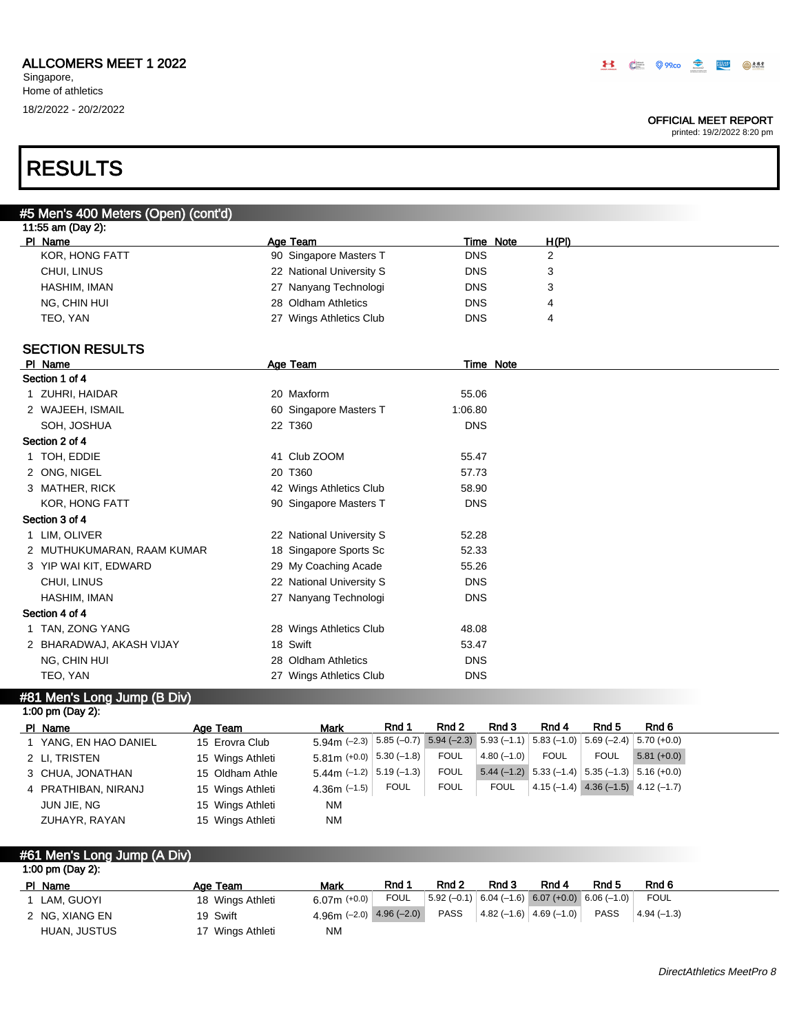### OFFICIAL MEET REPORT

printed: 19/2/2022 8:20 pm

# RESULTS

# #5 Men's 400 Meters (Open) (cont'd)

|                                        | H(PI) |           |
|----------------------------------------|-------|-----------|
| <b>DNS</b><br>90 Singapore Masters T   |       |           |
| 22 National University S<br><b>DNS</b> |       |           |
| <b>DNS</b><br>27 Nanyang Technologi    |       |           |
| <b>DNS</b><br>28 Oldham Athletics      | 4     |           |
| <b>DNS</b><br>27 Wings Athletics Club  | 4     |           |
|                                        |       | Time Note |

## SECTION RESULTS

|                       |                                                                                                                                                                                                                                                                                                  |            | Time Note |
|-----------------------|--------------------------------------------------------------------------------------------------------------------------------------------------------------------------------------------------------------------------------------------------------------------------------------------------|------------|-----------|
|                       |                                                                                                                                                                                                                                                                                                  |            |           |
|                       | 20 Maxform                                                                                                                                                                                                                                                                                       | 55.06      |           |
|                       | 60 Singapore Masters T                                                                                                                                                                                                                                                                           | 1:06.80    |           |
| SOH, JOSHUA           | 22 T360                                                                                                                                                                                                                                                                                          | <b>DNS</b> |           |
|                       |                                                                                                                                                                                                                                                                                                  |            |           |
|                       | 41 Club ZOOM                                                                                                                                                                                                                                                                                     | 55.47      |           |
|                       | 20 T360                                                                                                                                                                                                                                                                                          | 57.73      |           |
|                       | 42 Wings Athletics Club                                                                                                                                                                                                                                                                          | 58.90      |           |
| <b>KOR, HONG FATT</b> | 90 Singapore Masters T                                                                                                                                                                                                                                                                           | <b>DNS</b> |           |
|                       |                                                                                                                                                                                                                                                                                                  |            |           |
|                       | 22 National University S                                                                                                                                                                                                                                                                         | 52.28      |           |
|                       | 18 Singapore Sports Sc                                                                                                                                                                                                                                                                           | 52.33      |           |
|                       | 29 My Coaching Acade                                                                                                                                                                                                                                                                             | 55.26      |           |
| CHUI, LINUS           | 22 National University S                                                                                                                                                                                                                                                                         | <b>DNS</b> |           |
| HASHIM, IMAN          | 27 Nanyang Technologi                                                                                                                                                                                                                                                                            | <b>DNS</b> |           |
|                       |                                                                                                                                                                                                                                                                                                  |            |           |
|                       | 28 Wings Athletics Club                                                                                                                                                                                                                                                                          | 48.08      |           |
|                       | 18 Swift                                                                                                                                                                                                                                                                                         | 53.47      |           |
| NG, CHIN HUI          | 28 Oldham Athletics                                                                                                                                                                                                                                                                              | <b>DNS</b> |           |
| TEO, YAN              | 27 Wings Athletics Club                                                                                                                                                                                                                                                                          | <b>DNS</b> |           |
|                       | PI Name<br>Section 1 of 4<br>1 ZUHRI, HAIDAR<br>2 WAJEEH, ISMAIL<br>Section 2 of 4<br>1 TOH, EDDIE<br>2 ONG, NIGEL<br>3 MATHER, RICK<br>Section 3 of 4<br>1 LIM, OLIVER<br>2 MUTHUKUMARAN, RAAM KUMAR<br>3 YIP WAI KIT, EDWARD<br>Section 4 of 4<br>1 TAN, ZONG YANG<br>2 BHARADWAJ, AKASH VIJAY | Age Team   |           |

#### #81 Men's Long Jump (B Div)  $1:00 \text{ nm}$  (Day 2):

| $1.00$ pm (Day 2).  |                  |                                                                                                                              |             |             |                                                                                               |             |                                        |              |
|---------------------|------------------|------------------------------------------------------------------------------------------------------------------------------|-------------|-------------|-----------------------------------------------------------------------------------------------|-------------|----------------------------------------|--------------|
| PI Name             | Age Team         | <b>Mark</b>                                                                                                                  | Rnd 1       | Rnd 2       | Rnd 3                                                                                         | Rnd 4       | Rnd 5                                  | Rnd 6        |
| YANG, EN HAO DANIEL | 15 Erovra Club   | $5.94\text{m}$ (-2.3) $\left  5.85 \left( -0.7 \right) \right  5.94 \left( -2.3 \right)$ 5.93 (-1.1) 5.83 (-1.0) 5.69 (-2.4) |             |             |                                                                                               |             |                                        | $5.70(+0.0)$ |
| 2 LI, TRISTEN       | 15 Wings Athleti | $5.81$ m (+0.0) $ 5.30$ (-1.8)                                                                                               |             | <b>FOUL</b> | $4.80(-1.0)$                                                                                  | <b>FOUL</b> | <b>FOUL</b>                            | $5.81(+0.0)$ |
| 3 CHUA, JONATHAN    | 15 Oldham Athle  | $5.44$ m (-1.2)   5.19 (-1.3)                                                                                                |             | <b>FOUL</b> | $\begin{bmatrix} 5.44 & (-1.2) & 5.33 & (-1.4) & 5.35 & (-1.3) & 5.16 & (+0.0) \end{bmatrix}$ |             |                                        |              |
| 4 PRATHIBAN, NIRANJ | 15 Wings Athleti | 4.36m $(-1.5)$                                                                                                               | <b>FOUL</b> | <b>FOUL</b> | <b>FOUL</b>                                                                                   |             | $4.15(-1.4)$ $4.36(-1.5)$ $4.12(-1.7)$ |              |
| JUN JIE, NG         | 15 Wings Athleti | <b>NM</b>                                                                                                                    |             |             |                                                                                               |             |                                        |              |
| ZUHAYR, RAYAN       | 15 Wings Athleti | <b>NM</b>                                                                                                                    |             |             |                                                                                               |             |                                        |              |

### #61 Men's Long Jump (A Div) 1:00 pm (Day 2):

| PI Name        | Age Team         | Mark                         | Rnd 1       | Rnd 2       | Rnd 3                                                                       | Rnd 4 | Rnd 5       | Rnd 6        |  |
|----------------|------------------|------------------------------|-------------|-------------|-----------------------------------------------------------------------------|-------|-------------|--------------|--|
| LAM. GUOYI     | 18 Wings Athleti | 6.07m $(+0.0)$               | <b>FOUL</b> |             | $\vert 5.92(-0.1) \vert 6.04(-1.6) \vert 6.07(+0.0) \vert 6.06(-1.0) \vert$ |       |             | FOUL         |  |
| 2 NG, XIANG EN | 19 Swift         | 4.96m $(-2.0)$ 4.96 $(-2.0)$ |             | <b>PASS</b> | $ 4.82(-1.6) 4.69(-1.0) $                                                   |       | <b>PASS</b> | $4.94(-1.3)$ |  |
| HUAN, JUSTUS   | 17 Wings Athleti | <b>NM</b>                    |             |             |                                                                             |       |             |              |  |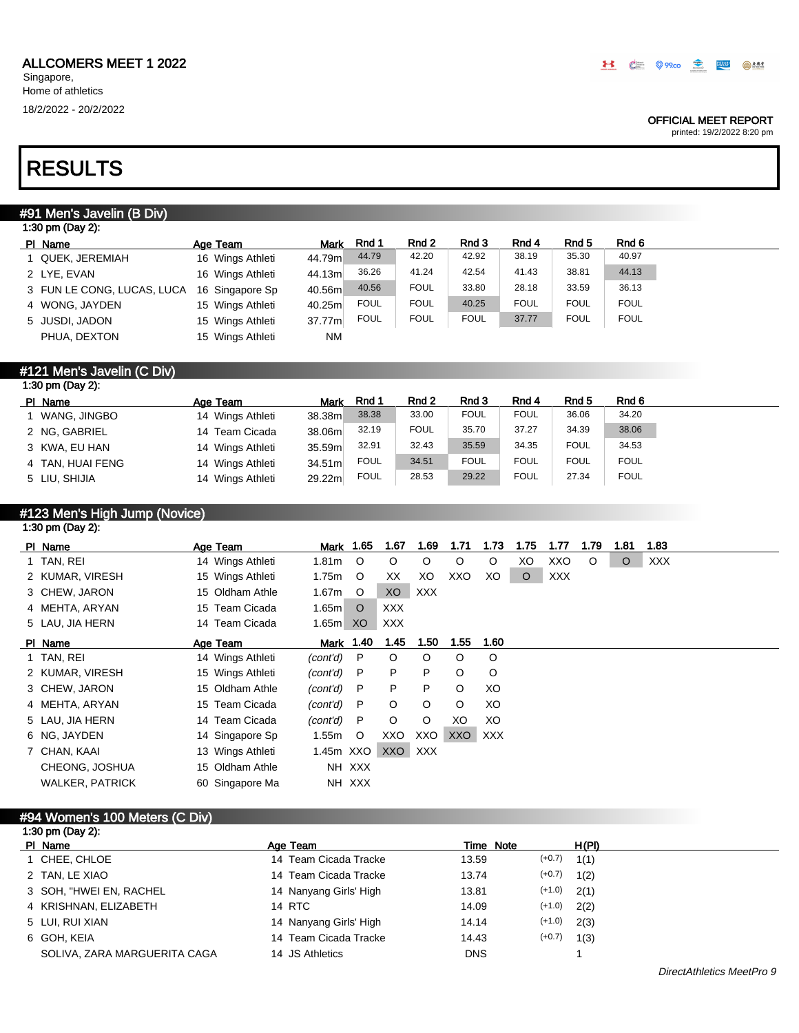### OFFICIAL MEET REPORT

printed: 19/2/2022 8:20 pm

# RESULTS

# #91 Men's Javelin (B Div)

| 1:30 pm (Day 2):           |                  |             |             |             |             |             |             |             |  |
|----------------------------|------------------|-------------|-------------|-------------|-------------|-------------|-------------|-------------|--|
| PI Name                    | Age Team         | <b>Mark</b> | Rnd 1       | Rnd 2       | Rnd 3       | Rnd 4       | Rnd 5       | Rnd 6       |  |
| 1 QUEK, JEREMIAH           | 16 Wings Athleti | 44.79m      | 44.79       | 42.20       | 42.92       | 38.19       | 35.30       | 40.97       |  |
| 2 LYE. EVAN                | 16 Wings Athleti | 44.13m      | 36.26       | 41.24       | 42.54       | 41.43       | 38.81       | 44.13       |  |
| 3 FUN LE CONG, LUCAS, LUCA | 16 Singapore Sp  | 40.56m      | 40.56       | <b>FOUL</b> | 33.80       | 28.18       | 33.59       | 36.13       |  |
| 4 WONG, JAYDEN             | 15 Wings Athleti | 40.25m      | <b>FOUL</b> | <b>FOUL</b> | 40.25       | <b>FOUL</b> | <b>FOUL</b> | <b>FOUL</b> |  |
| 5 JUSDI, JADON             | 15 Wings Athleti | 37.77m      | <b>FOUL</b> | <b>FOUL</b> | <b>FOUL</b> | 37.77       | <b>FOUL</b> | <b>FOUL</b> |  |
| PHUA, DEXTON               | 15 Wings Athleti | <b>NM</b>   |             |             |             |             |             |             |  |

# #121 Men's Javelin (C Div)

| 1:30 pm (Day 2): |                  |        |             |             |             |             |                  |             |
|------------------|------------------|--------|-------------|-------------|-------------|-------------|------------------|-------------|
| PI Name          | Age Team         | Mark   | Rnd 1       | Rnd 2       | Rnd 3       | Rnd 4       | Rnd <sub>5</sub> | Rnd 6       |
| WANG, JINGBO     | 14 Wings Athleti | 38.38m | 38.38       | 33.00       | <b>FOUL</b> | <b>FOUL</b> | 36.06            | 34.20       |
| 2 NG, GABRIEL    | 14 Team Cicada   | 38.06m | 32.19       | <b>FOUL</b> | 35.70       | 37.27       | 34.39            | 38.06       |
| 3 KWA, EU HAN    | 14 Wings Athleti | 35.59m | 32.91       | 32.43       | 35.59       | 34.35       | <b>FOUL</b>      | 34.53       |
| 4 TAN, HUAI FENG | 14 Wings Athleti | 34.51m | <b>FOUL</b> | 34.51       | <b>FOUL</b> | FOUL        | <b>FOUL</b>      | <b>FOUL</b> |
| 5 LIU, SHIJIA    | 14 Wings Athleti | 29.22m | <b>FOUL</b> | 28.53       | 29.22       | <b>FOUL</b> | 27.34            | <b>FOUL</b> |

### #123 Men's High Jump (Novice) 1:30 pm (Day 2):

| PI Name                | Age Team         |                   | <b>Mark</b> 1.65 | 1.67    | 1.69    | 1.71    | 1.73       | 1.75    | 1.77       | 1.79    | 1.81    | 1.83       |
|------------------------|------------------|-------------------|------------------|---------|---------|---------|------------|---------|------------|---------|---------|------------|
| 1 TAN, REI             | 14 Wings Athleti | 1.81 <sub>m</sub> | $\circ$          | $\circ$ | $\circ$ | O       | $\circ$    | XO      | XXO        | $\circ$ | $\circ$ | <b>XXX</b> |
| 2 KUMAR, VIRESH        | 15 Wings Athleti | 1.75m             | $\circ$          | XX      | XO      | XXO     | XO         | $\circ$ | <b>XXX</b> |         |         |            |
| 3 CHEW, JARON          | 15 Oldham Athle  | 1.67m             | $\circ$          | XO      | XXX     |         |            |         |            |         |         |            |
| 4 MEHTA, ARYAN         | 15 Team Cicada   | 1.65m             | $\circ$          | XXX     |         |         |            |         |            |         |         |            |
| 5 LAU, JIA HERN        | 14 Team Cicada   | 1.65m             | XO.              | XXX     |         |         |            |         |            |         |         |            |
| PI Name                | Age Team         |                   | <u>Mark 1.40</u> | 1.45    | 1.50    | 1.55    | 1.60       |         |            |         |         |            |
| 1 TAN, REI             | 14 Wings Athleti | (cont'd)          | $\mathsf{P}$     | $\circ$ | $\circ$ | O       | $\circ$    |         |            |         |         |            |
| 2 KUMAR, VIRESH        | 15 Wings Athleti | (cont'd)          | P                | P       | P       | $\circ$ | $\circ$    |         |            |         |         |            |
| 3 CHEW, JARON          | 15 Oldham Athle  | (cont'd)          | P                | P       | P       | $\circ$ | XO         |         |            |         |         |            |
| 4 MEHTA, ARYAN         | 15 Team Cicada   | (cont'd)          | $\mathsf{P}$     | $\circ$ | $\circ$ | O       | XO         |         |            |         |         |            |
| 5 LAU, JIA HERN        | 14 Team Cicada   | (cont'd)          | $\mathsf{P}$     | $\circ$ | $\circ$ | XO      | XO         |         |            |         |         |            |
| 6 NG, JAYDEN           | 14 Singapore Sp  | 1.55m             | $\circ$          | XXO     | XXO     | XXO     | <b>XXX</b> |         |            |         |         |            |
| 7 CHAN, KAAI           | 13 Wings Athleti | 1.45m XXO         |                  | XXO XXX |         |         |            |         |            |         |         |            |
| CHEONG, JOSHUA         | 15 Oldham Athle  |                   | NH XXX           |         |         |         |            |         |            |         |         |            |
| <b>WALKER, PATRICK</b> | 60 Singapore Ma  |                   | NH XXX           |         |         |         |            |         |            |         |         |            |
|                        |                  |                   |                  |         |         |         |            |         |            |         |         |            |

### #94 Women's 100 Meters (C Div) 1:30 pm  $(Day 2)$

| $1.00$ pm (Day 2).           |                        |                   |       |
|------------------------------|------------------------|-------------------|-------|
| PI Name                      | Age Team               | Time Note         | H(PI) |
| 1 CHEE, CHLOE                | 14 Team Cicada Tracke  | $(+0.7)$<br>13.59 | 1(1)  |
| 2 TAN, LE XIAO               | 14 Team Cicada Tracke  | $(+0.7)$<br>13.74 | 1(2)  |
| 3 SOH, "HWEI EN, RACHEL      | 14 Nanyang Girls' High | $(+1.0)$<br>13.81 | 2(1)  |
| 4 KRISHNAN, ELIZABETH        | 14 RTC                 | $(+1.0)$<br>14.09 | 2(2)  |
| 5 LUI, RUI XIAN              | 14 Nanyang Girls' High | $(+1.0)$<br>14.14 | 2(3)  |
| 6 GOH, KEIA                  | 14 Team Cicada Tracke  | $(+0.7)$<br>14.43 | 1(3)  |
| SOLIVA, ZARA MARGUERITA CAGA | 14 JS Athletics        | <b>DNS</b>        |       |
|                              |                        |                   |       |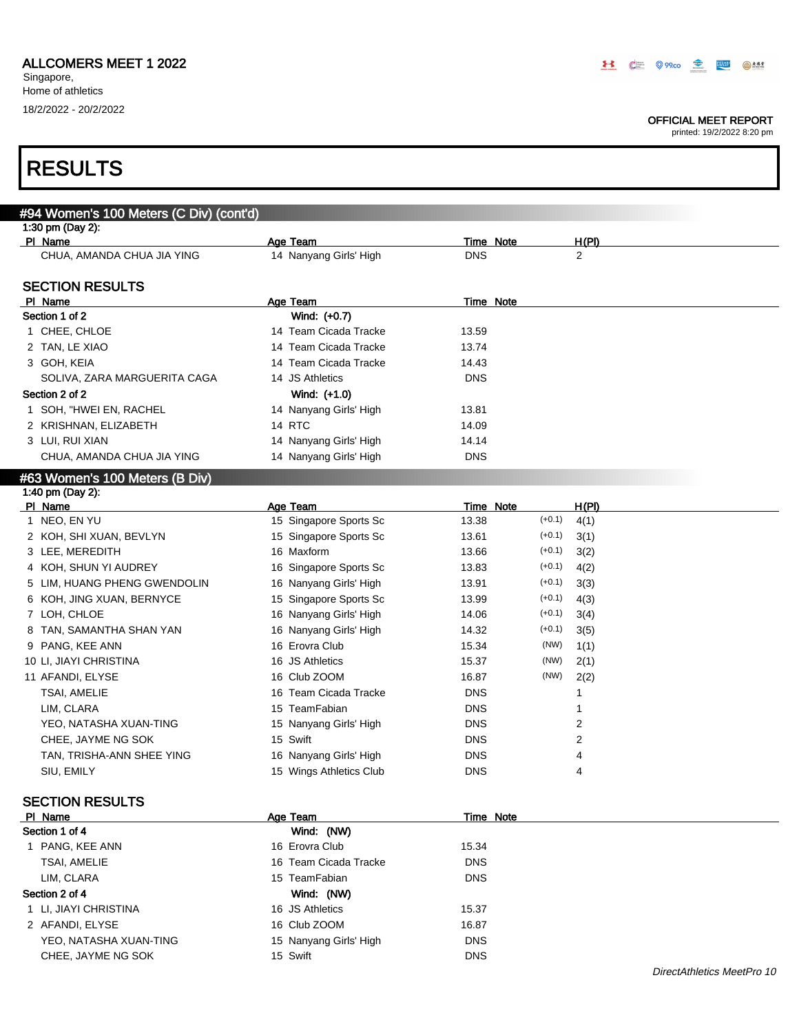Г

### OFFICIAL MEET REPORT

| <b>RESULTS</b>                          |                         |            |                  |                |                            |
|-----------------------------------------|-------------------------|------------|------------------|----------------|----------------------------|
|                                         |                         |            |                  |                |                            |
| #94 Women's 100 Meters (C Div) (cont'd) |                         |            |                  |                |                            |
| 1:30 pm (Day 2):                        |                         |            |                  |                |                            |
| PI Name                                 | Age Team                |            | <b>Time Note</b> | H(PI)          |                            |
| CHUA, AMANDA CHUA JIA YING              | 14 Nanyang Girls' High  | <b>DNS</b> |                  | $\overline{c}$ |                            |
| <b>SECTION RESULTS</b>                  |                         |            |                  |                |                            |
| PI Name                                 | Age Team                |            | <b>Time Note</b> |                |                            |
| Section 1 of 2                          | Wind: (+0.7)            |            |                  |                |                            |
| 1 CHEE, CHLOE                           | 14 Team Cicada Tracke   | 13.59      |                  |                |                            |
| 2 TAN, LE XIAO                          | 14 Team Cicada Tracke   | 13.74      |                  |                |                            |
| 3 GOH, KEIA                             | 14 Team Cicada Tracke   | 14.43      |                  |                |                            |
| SOLIVA, ZARA MARGUERITA CAGA            | 14 JS Athletics         | <b>DNS</b> |                  |                |                            |
| Section 2 of 2                          | Wind: (+1.0)            |            |                  |                |                            |
| 1 SOH, "HWEI EN, RACHEL                 | 14 Nanyang Girls' High  | 13.81      |                  |                |                            |
| 2 KRISHNAN, ELIZABETH                   | 14 RTC                  | 14.09      |                  |                |                            |
| 3 LUI, RUI XIAN                         | 14 Nanyang Girls' High  | 14.14      |                  |                |                            |
| CHUA, AMANDA CHUA JIA YING              | 14 Nanyang Girls' High  | <b>DNS</b> |                  |                |                            |
| #63 Women's 100 Meters (B Div)          |                         |            |                  |                |                            |
| 1:40 pm (Day 2):                        |                         |            |                  |                |                            |
| PI Name                                 | Age Team                |            | <b>Time Note</b> | H(PI)          |                            |
| 1 NEO, EN YU                            | 15 Singapore Sports Sc  | 13.38      | $(+0.1)$         | 4(1)           |                            |
| 2 KOH, SHI XUAN, BEVLYN                 | 15 Singapore Sports Sc  | 13.61      | $(+0.1)$         | 3(1)           |                            |
| 3 LEE, MEREDITH                         | 16 Maxform              | 13.66      | $(+0.1)$         | 3(2)           |                            |
| 4 KOH, SHUN YI AUDREY                   | 16 Singapore Sports Sc  | 13.83      | $(+0.1)$         | 4(2)           |                            |
| 5 LIM, HUANG PHENG GWENDOLIN            | 16 Nanyang Girls' High  | 13.91      | $(+0.1)$         | 3(3)           |                            |
| 6 KOH, JING XUAN, BERNYCE               | 15 Singapore Sports Sc  | 13.99      | $(+0.1)$         | 4(3)           |                            |
| 7 LOH, CHLOE                            | 16 Nanyang Girls' High  | 14.06      | $(+0.1)$         | 3(4)           |                            |
| 8 TAN, SAMANTHA SHAN YAN                | 16 Nanyang Girls' High  | 14.32      | $(+0.1)$         | 3(5)           |                            |
| 9 PANG, KEE ANN                         | 16 Erovra Club          | 15.34      | (NW)             | 1(1)           |                            |
| 10 LI, JIAYI CHRISTINA                  | 16 JS Athletics         | 15.37      | (NW)             | 2(1)           |                            |
| 11 AFANDI, ELYSE                        | 16 Club ZOOM            | 16.87      | (NW)             | 2(2)           |                            |
| <b>TSAI, AMELIE</b>                     | 16 Team Cicada Tracke   | <b>DNS</b> |                  | 1              |                            |
| LIM, CLARA                              | 15 TeamFabian           | <b>DNS</b> |                  |                |                            |
| YEO, NATASHA XUAN-TING                  | 15 Nanyang Girls' High  | <b>DNS</b> |                  | 2              |                            |
| CHEE, JAYME NG SOK                      | 15 Swift                | <b>DNS</b> |                  | $\overline{2}$ |                            |
| TAN, TRISHA-ANN SHEE YING               | 16 Nanyang Girls' High  | <b>DNS</b> |                  | 4              |                            |
| SIU, EMILY                              | 15 Wings Athletics Club | <b>DNS</b> |                  | 4              |                            |
| <b>SECTION RESULTS</b>                  |                         |            |                  |                |                            |
| PI Name                                 | Age Team                |            | Time Note        |                |                            |
| Section 1 of 4                          | Wind: (NW)              |            |                  |                |                            |
| 1 PANG, KEE ANN                         | 16 Erovra Club          | 15.34      |                  |                |                            |
| <b>TSAI, AMELIE</b>                     | 16 Team Cicada Tracke   | <b>DNS</b> |                  |                |                            |
| LIM, CLARA                              | 15 TeamFabian           | <b>DNS</b> |                  |                |                            |
| Section 2 of 4                          | Wind: (NW)              |            |                  |                |                            |
| 1 LI, JIAYI CHRISTINA                   | 16 JS Athletics         | 15.37      |                  |                |                            |
| 2 AFANDI, ELYSE                         | 16 Club ZOOM            | 16.87      |                  |                |                            |
| YEO, NATASHA XUAN-TING                  | 15 Nanyang Girls' High  | <b>DNS</b> |                  |                |                            |
| CHEE, JAYME NG SOK                      | 15 Swift                | <b>DNS</b> |                  |                |                            |
|                                         |                         |            |                  |                | DirectAthletics MeetPro 10 |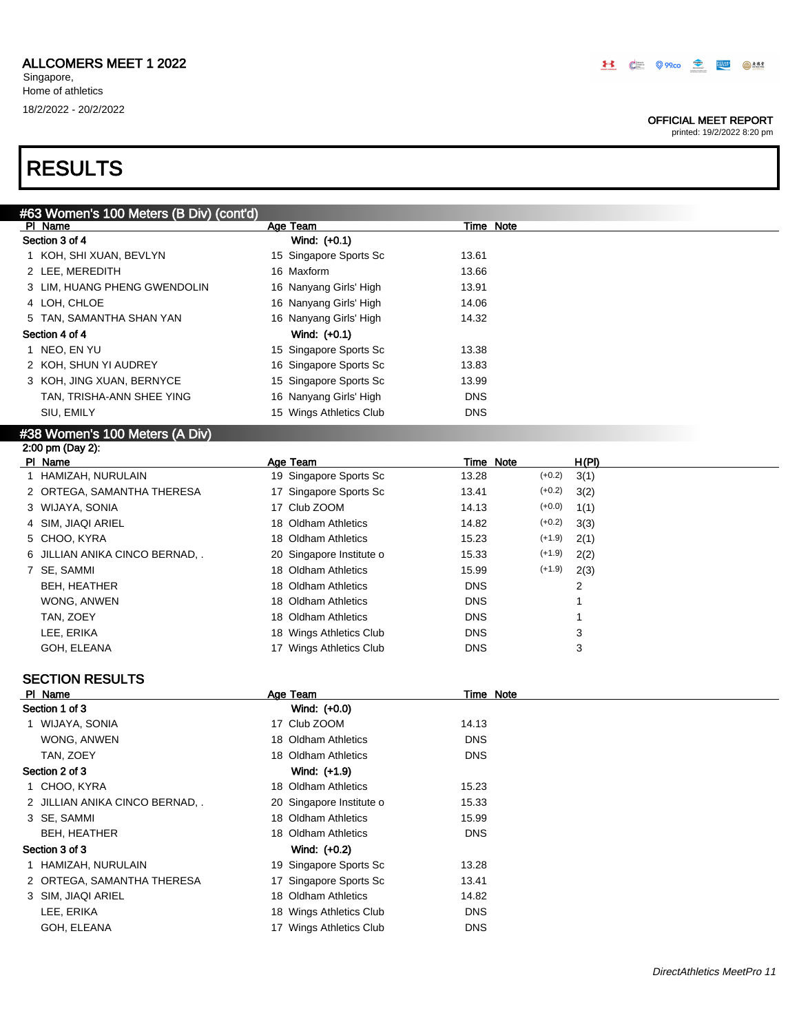### OFFICIAL MEET REPORT

| #63 Women's 100 Meters (B Div) (cont'd) |                          |                           |
|-----------------------------------------|--------------------------|---------------------------|
| PI Name                                 | Age Team                 | <b>Time Note</b>          |
| Section 3 of 4                          | Wind: (+0.1)             |                           |
| 1 KOH, SHI XUAN, BEVLYN                 | 15 Singapore Sports Sc   | 13.61                     |
| 2 LEE, MEREDITH                         | 16 Maxform               | 13.66                     |
| 3 LIM, HUANG PHENG GWENDOLIN            | 16 Nanyang Girls' High   | 13.91                     |
| 4 LOH, CHLOE                            | 16 Nanyang Girls' High   | 14.06                     |
| 5 TAN, SAMANTHA SHAN YAN                | 16 Nanyang Girls' High   | 14.32                     |
| Section 4 of 4                          | Wind: (+0.1)             |                           |
| 1 NEO, EN YU                            | 15 Singapore Sports Sc   | 13.38                     |
| 2 KOH, SHUN YI AUDREY                   | 16 Singapore Sports Sc   | 13.83                     |
| 3 KOH, JING XUAN, BERNYCE               | 15 Singapore Sports Sc   | 13.99                     |
| TAN, TRISHA-ANN SHEE YING               | 16 Nanyang Girls' High   | <b>DNS</b>                |
| SIU, EMILY                              | 15 Wings Athletics Club  | <b>DNS</b>                |
| #38 Women's 100 Meters (A Div)          |                          |                           |
| 2:00 pm (Day 2):                        |                          |                           |
| PI Name                                 | Age Team                 | H(PI)<br>Time Note        |
| 1 HAMIZAH, NURULAIN                     | 19 Singapore Sports Sc   | 13.28<br>$(+0.2)$<br>3(1) |
| 2 ORTEGA, SAMANTHA THERESA              | 17 Singapore Sports Sc   | 13.41<br>$(+0.2)$<br>3(2) |
| 3 WIJAYA, SONIA                         | 17 Club ZOOM             | $(+0.0)$<br>14.13<br>1(1) |
| 4 SIM, JIAQI ARIEL                      | 18 Oldham Athletics      | $(+0.2)$<br>14.82<br>3(3) |
| 5 CHOO, KYRA                            | 18 Oldham Athletics      | $(+1.9)$<br>15.23<br>2(1) |
| 6 JILLIAN ANIKA CINCO BERNAD, .         | 20 Singapore Institute o | $(+1.9)$<br>15.33<br>2(2) |
| 7 SE, SAMMI                             | 18 Oldham Athletics      | $(+1.9)$<br>2(3)<br>15.99 |
| BEH, HEATHER                            | 18 Oldham Athletics      | <b>DNS</b><br>2           |
| WONG, ANWEN                             | 18 Oldham Athletics      | <b>DNS</b><br>1           |
| TAN, ZOEY                               | 18 Oldham Athletics      | <b>DNS</b><br>1           |
| LEE, ERIKA                              | 18 Wings Athletics Club  | <b>DNS</b><br>3           |
| GOH, ELEANA                             | 17 Wings Athletics Club  | <b>DNS</b><br>3           |
|                                         |                          |                           |
| <b>SECTION RESULTS</b>                  |                          |                           |
| PI Name                                 | <b>Age Team</b>          | <b>Time Note</b>          |
| Section 1 of 3                          | Wind: (+0.0)             |                           |
| 1 WIJAYA, SONIA                         | 17 Club ZOOM             | 14.13                     |
| WONG, ANWEN                             | 18 Oldham Athletics      | <b>DNS</b>                |
| TAN, ZOEY                               | 18 Oldham Athletics      | <b>DNS</b>                |
| Section 2 of 3                          | Wind: (+1.9)             |                           |
| 1 CHOO, KYRA                            | 18 Oldham Athletics      | 15.23                     |
| 2 JILLIAN ANIKA CINCO BERNAD, .         | 20 Singapore Institute o | 15.33                     |
| 3 SE, SAMMI                             | 18 Oldham Athletics      | 15.99                     |
| <b>BEH, HEATHER</b>                     | 18 Oldham Athletics      | <b>DNS</b>                |
| Section 3 of 3                          | Wind: (+0.2)             |                           |
| 1 HAMIZAH, NURULAIN                     | 19 Singapore Sports Sc   | 13.28                     |
| 2 ORTEGA, SAMANTHA THERESA              | 17 Singapore Sports Sc   | 13.41                     |
| 3 SIM, JIAQI ARIEL                      | 18 Oldham Athletics      | 14.82                     |
| LEE, ERIKA                              | 18 Wings Athletics Club  | <b>DNS</b>                |
| GOH, ELEANA                             | 17 Wings Athletics Club  | <b>DNS</b>                |
|                                         |                          |                           |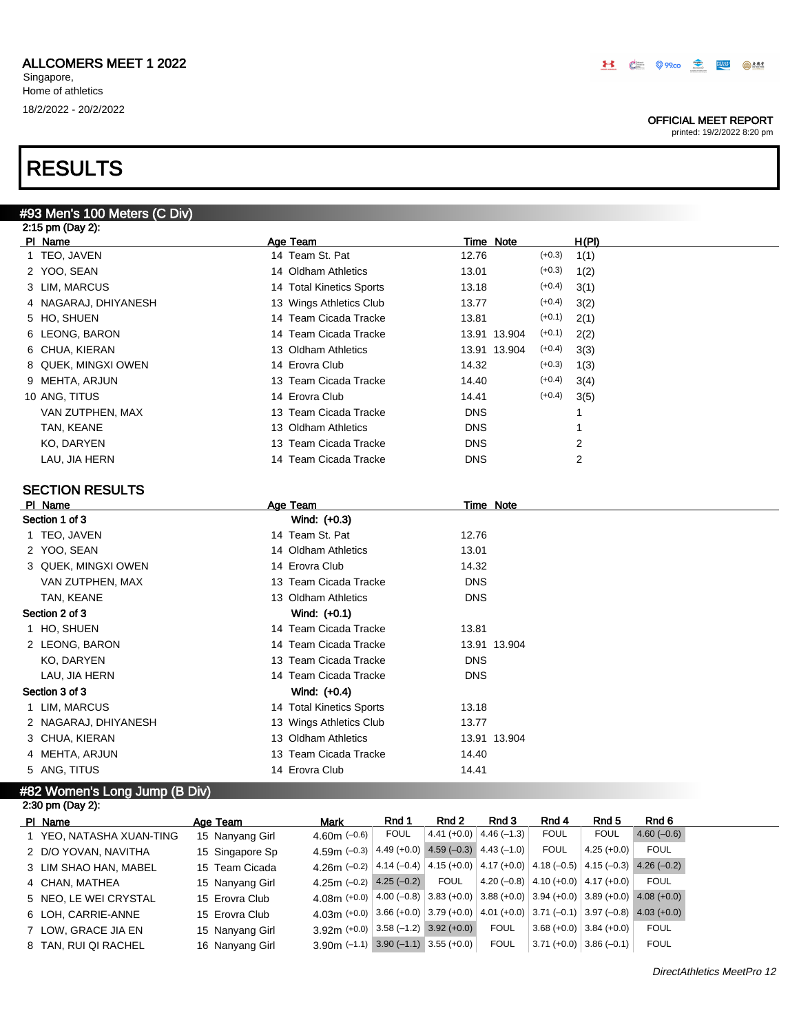#93 Men's 100 Meters (C Div)

Singapore, Home of athletics 18/2/2022 - 20/2/2022

### OFFICIAL MEET REPORT

printed: 19/2/2022 8:20 pm

| 2:15 pm (Day 2):     |                          |                          |       |
|----------------------|--------------------------|--------------------------|-------|
| PI Name              | Age Team                 | Time Note                | H(PI) |
| 1 TEO, JAVEN         | 14 Team St. Pat          | $(+0.3)$<br>12.76        | 1(1)  |
| 2 YOO, SEAN          | 14 Oldham Athletics      | $(+0.3)$<br>13.01        | 1(2)  |
| 3 LIM, MARCUS        | 14 Total Kinetics Sports | $(+0.4)$<br>13.18        | 3(1)  |
| 4 NAGARAJ, DHIYANESH | 13 Wings Athletics Club  | $(+0.4)$<br>13.77        | 3(2)  |
| 5 HO, SHUEN          | 14 Team Cicada Tracke    | $(+0.1)$<br>13.81        | 2(1)  |
| 6 LEONG, BARON       | 14 Team Cicada Tracke    | $(+0.1)$<br>13.91 13.904 | 2(2)  |
| 6 CHUA, KIERAN       | 13 Oldham Athletics      | $(+0.4)$<br>13.91 13.904 | 3(3)  |
| 8 QUEK, MINGXI OWEN  | 14 Erovra Club           | $(+0.3)$<br>14.32        | 1(3)  |
| 9 MEHTA, ARJUN       | 13 Team Cicada Tracke    | $(+0.4)$<br>14.40        | 3(4)  |
| 10 ANG, TITUS        | 14 Erovra Club           | $(+0.4)$<br>14.41        | 3(5)  |
| VAN ZUTPHEN, MAX     | 13 Team Cicada Tracke    | <b>DNS</b>               |       |
| TAN, KEANE           | 13 Oldham Athletics      | <b>DNS</b>               |       |
| KO, DARYEN           | 13 Team Cicada Tracke    | <b>DNS</b>               | 2     |
| LAU, JIA HERN        | 14 Team Cicada Tracke    | <b>DNS</b>               | 2     |
|                      |                          |                          |       |

## SECTION RESULTS

| PI Name              | Age Team                          | Time Note    |
|----------------------|-----------------------------------|--------------|
| Section 1 of 3       | Wind: (+0.3)                      |              |
| 1 TEO, JAVEN         | 14 Team St. Pat<br>12.76          |              |
| 2 YOO, SEAN          | 14 Oldham Athletics<br>13.01      |              |
| 3 QUEK, MINGXI OWEN  | 14 Erovra Club<br>14.32           |              |
| VAN ZUTPHEN, MAX     | 13 Team Cicada Tracke             | <b>DNS</b>   |
| TAN, KEANE           | 13 Oldham Athletics               | <b>DNS</b>   |
| Section 2 of 3       | Wind: $(+0.1)$                    |              |
| 1 HO, SHUEN          | 14 Team Cicada Tracke<br>13.81    |              |
| 2 LEONG, BARON       | 14 Team Cicada Tracke             | 13.91 13.904 |
| KO, DARYEN           | 13 Team Cicada Tracke             | <b>DNS</b>   |
| LAU, JIA HERN        | 14 Team Cicada Tracke             | <b>DNS</b>   |
| Section 3 of 3       | Wind: (+0.4)                      |              |
| 1 LIM, MARCUS        | 14 Total Kinetics Sports<br>13.18 |              |
| 2 NAGARAJ, DHIYANESH | 13 Wings Athletics Club<br>13.77  |              |
| 3 CHUA, KIERAN       | 13 Oldham Athletics               | 13.91 13.904 |
| 4 MEHTA, ARJUN       | 13 Team Cicada Tracke<br>14.40    |              |
| 5 ANG, TITUS         | 14 Erovra Club<br>14.41           |              |

### #82 Women's Long Jump (B Div)

| 2:30 pm (Day 2):         |                 |                                                                                                       |       |             |                                           |                                                 |                           |              |
|--------------------------|-----------------|-------------------------------------------------------------------------------------------------------|-------|-------------|-------------------------------------------|-------------------------------------------------|---------------------------|--------------|
| PI Name                  | Age Team        | <b>Mark</b>                                                                                           | Rnd 1 | Rnd 2       | Rnd 3                                     | Rnd 4                                           | Rnd 5                     | Rnd 6        |
| 1 YEO, NATASHA XUAN-TING | 15 Nanyang Girl | 4.60m $(-0.6)$                                                                                        | FOUL  |             | $4.41 (+0.0) 4.46 (-1.3)$                 | <b>FOUL</b>                                     | <b>FOUL</b>               | $4.60(-0.6)$ |
| 2 D/O YOVAN, NAVITHA     | 15 Singapore Sp | 4.59m $(-0.3)$                                                                                        |       |             | $4.49 (+0.0)$ $4.59 (-0.3)$ $4.43 (-1.0)$ | <b>FOUL</b>                                     | $4.25(+0.0)$              | <b>FOUL</b>  |
| 3 LIM SHAO HAN, MABEL    | 15 Team Cicada  | 4.26 (-0.2) $ 4.14$ (-0.4) $ 4.15$ (+0.0) $ 4.17$ (+0.0) $ 4.18$ (-0.5) $ 4.15$ (-0.3) $ 4.26$ (-0.2) |       |             |                                           |                                                 |                           |              |
| 4 CHAN, MATHEA           | 15 Nanyang Girl | 4.25m $(-0.2)$ 4.25 $(-0.2)$                                                                          |       | <b>FOUL</b> |                                           | 4.20 (-0.8) $ $ 4.10 (+0.0) $ $ 4.17 (+0.0) $ $ |                           | FOUL         |
| 5 NEO. LE WEI CRYSTAL    | 15 Erovra Club  | 4.08 (+0.0) $ 4.00 (-0.8) 3.83 (+0.0) 3.88 (+0.0) 3.94 (+0.0) 3.89 (+0.0) 4.08 (+0.0) $               |       |             |                                           |                                                 |                           |              |
| 6 LOH, CARRIE-ANNE       | 15 Erovra Club  | 4.03m (+0.0) 3.66 (+0.0) 3.79 (+0.0) 4.01 (+0.0) 3.71 (-0.1) 3.97 (-0.8) 4.03 (+0.0)                  |       |             |                                           |                                                 |                           |              |
| 7 LOW, GRACE JIA EN      | 15 Nanyang Girl | $3.92$ m (+0.0) 3.58 (-1.2) 3.92 (+0.0)                                                               |       |             | <b>FOUL</b>                               |                                                 | $3.68 (+0.0)$ 3.84 (+0.0) | <b>FOUL</b>  |
| 8 TAN, RUI QI RACHEL     | 16 Nanyang Girl | $3.90$ m (-1.1) $3.90$ (-1.1) $3.55$ (+0.0)                                                           |       |             | <b>FOUL</b>                               |                                                 | $3.71 (+0.0)$ 3.86 (-0.1) | <b>FOUL</b>  |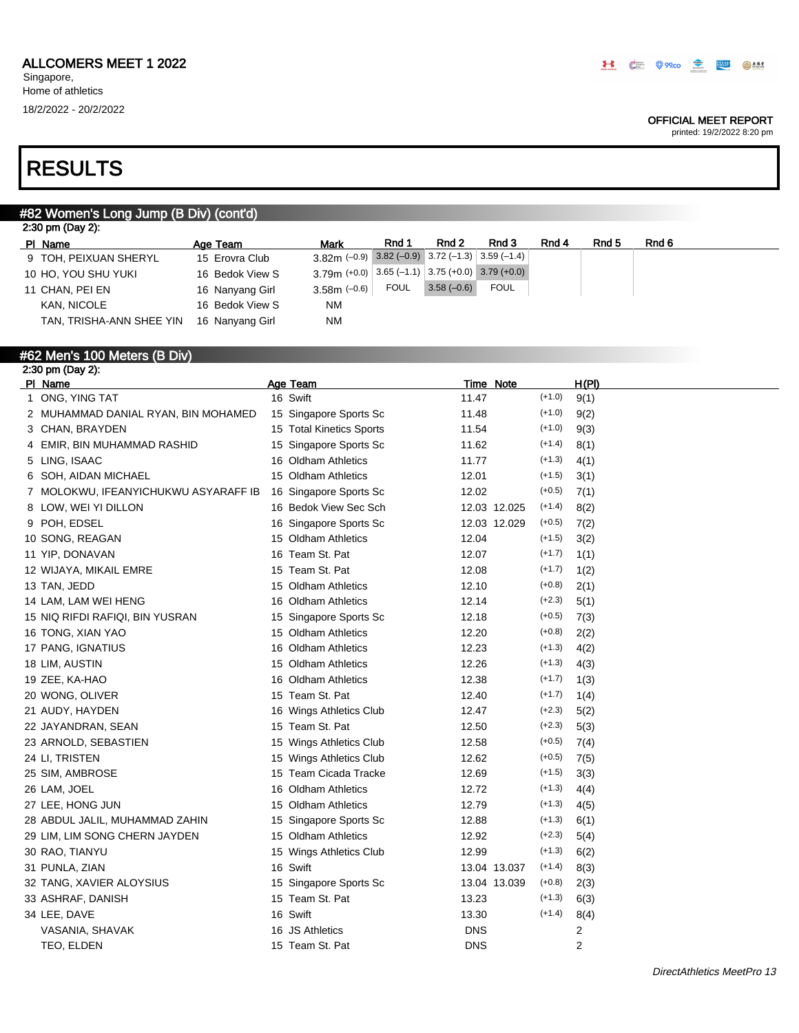### OFFICIAL MEET REPORT

printed: 19/2/2022 8:20 pm

# RESULTS

## #82 Women's Long Jump (B Div) (cont'd)

| Age Team        | <b>Mark</b> | Rnd 1       | Rnd 2          | Rnd 3       | Rnd 4                                                               | Rnd <sub>5</sub>                                    | Rnd 6 |
|-----------------|-------------|-------------|----------------|-------------|---------------------------------------------------------------------|-----------------------------------------------------|-------|
| 15 Erovra Club  |             |             |                |             |                                                                     |                                                     |       |
| 16 Bedok View S |             |             |                |             |                                                                     |                                                     |       |
| 16 Nanyang Girl |             | <b>FOUL</b> |                | <b>FOUL</b> |                                                                     |                                                     |       |
| 16 Bedok View S | <b>NM</b>   |             |                |             |                                                                     |                                                     |       |
| 16 Nanyang Girl | <b>NM</b>   |             |                |             |                                                                     |                                                     |       |
|                 |             |             | $3.58m$ (-0.6) |             | $3.82$ m (-0.9) 3.82 (-0.9) 3.72 (-1.3) 3.59 (-1.4)<br>$3.58(-0.6)$ | $3.79$ m (+0.0) 3.65 (-1.1) 3.75 (+0.0) 3.79 (+0.0) |       |

### #62 Men's 100 Meters (B Div) 2:30 pm (Day 2):

| PI Name                              | Age Team                 |            | Time Note    |          | H(PI) |
|--------------------------------------|--------------------------|------------|--------------|----------|-------|
| 1 ONG, YING TAT                      | 16 Swift                 | 11.47      |              | $(+1.0)$ | 9(1)  |
| 2 MUHAMMAD DANIAL RYAN, BIN MOHAMED  | 15 Singapore Sports Sc   | 11.48      |              | $(+1.0)$ | 9(2)  |
| 3 CHAN, BRAYDEN                      | 15 Total Kinetics Sports | 11.54      |              | $(+1.0)$ | 9(3)  |
| 4 EMIR, BIN MUHAMMAD RASHID          | 15 Singapore Sports Sc   | 11.62      |              | $(+1.4)$ | 8(1)  |
| 5 LING, ISAAC                        | 16 Oldham Athletics      | 11.77      |              | $(+1.3)$ | 4(1)  |
| 6 SOH, AIDAN MICHAEL                 | 15 Oldham Athletics      | 12.01      |              | $(+1.5)$ | 3(1)  |
| 7 MOLOKWU, IFEANYICHUKWU ASYARAFF IB | 16 Singapore Sports Sc   | 12.02      |              | $(+0.5)$ | 7(1)  |
| 8 LOW, WEI YI DILLON                 | 16 Bedok View Sec Sch    |            | 12.03 12.025 | $(+1.4)$ | 8(2)  |
| 9 POH, EDSEL                         | 16 Singapore Sports Sc   |            | 12.03 12.029 | $(+0.5)$ | 7(2)  |
| 10 SONG, REAGAN                      | 15 Oldham Athletics      | 12.04      |              | $(+1.5)$ | 3(2)  |
| 11 YIP, DONAVAN                      | 16 Team St. Pat          | 12.07      |              | $(+1.7)$ | 1(1)  |
| 12 WIJAYA, MIKAIL EMRE               | 15 Team St. Pat          | 12.08      |              | $(+1.7)$ | 1(2)  |
| 13 TAN, JEDD                         | 15 Oldham Athletics      | 12.10      |              | $(+0.8)$ | 2(1)  |
| 14 LAM, LAM WEI HENG                 | 16 Oldham Athletics      | 12.14      |              | $(+2.3)$ | 5(1)  |
| 15 NIQ RIFDI RAFIQI, BIN YUSRAN      | 15 Singapore Sports Sc   | 12.18      |              | $(+0.5)$ | 7(3)  |
| 16 TONG, XIAN YAO                    | 15 Oldham Athletics      | 12.20      |              | $(+0.8)$ | 2(2)  |
| 17 PANG, IGNATIUS                    | 16 Oldham Athletics      | 12.23      |              | $(+1.3)$ | 4(2)  |
| 18 LIM, AUSTIN                       | 15 Oldham Athletics      | 12.26      |              | $(+1.3)$ | 4(3)  |
| 19 ZEE, KA-HAO                       | 16 Oldham Athletics      | 12.38      |              | $(+1.7)$ | 1(3)  |
| 20 WONG, OLIVER                      | 15 Team St. Pat          | 12.40      |              | $(+1.7)$ | 1(4)  |
| 21 AUDY, HAYDEN                      | 16 Wings Athletics Club  | 12.47      |              | $(+2.3)$ | 5(2)  |
| 22 JAYANDRAN, SEAN                   | 15 Team St. Pat          | 12.50      |              | $(+2.3)$ | 5(3)  |
| 23 ARNOLD, SEBASTIEN                 | 15 Wings Athletics Club  | 12.58      |              | $(+0.5)$ | 7(4)  |
| 24 LI, TRISTEN                       | 15 Wings Athletics Club  | 12.62      |              | $(+0.5)$ | 7(5)  |
| 25 SIM, AMBROSE                      | 15 Team Cicada Tracke    | 12.69      |              | $(+1.5)$ | 3(3)  |
| 26 LAM, JOEL                         | 16 Oldham Athletics      | 12.72      |              | $(+1.3)$ | 4(4)  |
| 27 LEE, HONG JUN                     | 15 Oldham Athletics      | 12.79      |              | $(+1.3)$ | 4(5)  |
| 28 ABDUL JALIL, MUHAMMAD ZAHIN       | 15 Singapore Sports Sc   | 12.88      |              | $(+1.3)$ | 6(1)  |
| 29 LIM, LIM SONG CHERN JAYDEN        | 15 Oldham Athletics      | 12.92      |              | $(+2.3)$ | 5(4)  |
| 30 RAO, TIANYU                       | 15 Wings Athletics Club  | 12.99      |              | $(+1.3)$ | 6(2)  |
| 31 PUNLA, ZIAN                       | 16 Swift                 |            | 13.04 13.037 | $(+1.4)$ | 8(3)  |
| 32 TANG, XAVIER ALOYSIUS             | 15 Singapore Sports Sc   |            | 13.04 13.039 | $(+0.8)$ | 2(3)  |
| 33 ASHRAF, DANISH                    | 15 Team St. Pat          | 13.23      |              | $(+1.3)$ | 6(3)  |
| 34 LEE, DAVE                         | 16 Swift                 | 13.30      |              | $(+1.4)$ | 8(4)  |
| VASANIA, SHAVAK                      | 16 JS Athletics          | <b>DNS</b> |              |          | 2     |
| TEO, ELDEN                           | 15 Team St. Pat          | <b>DNS</b> |              |          | 2     |
|                                      |                          |            |              |          |       |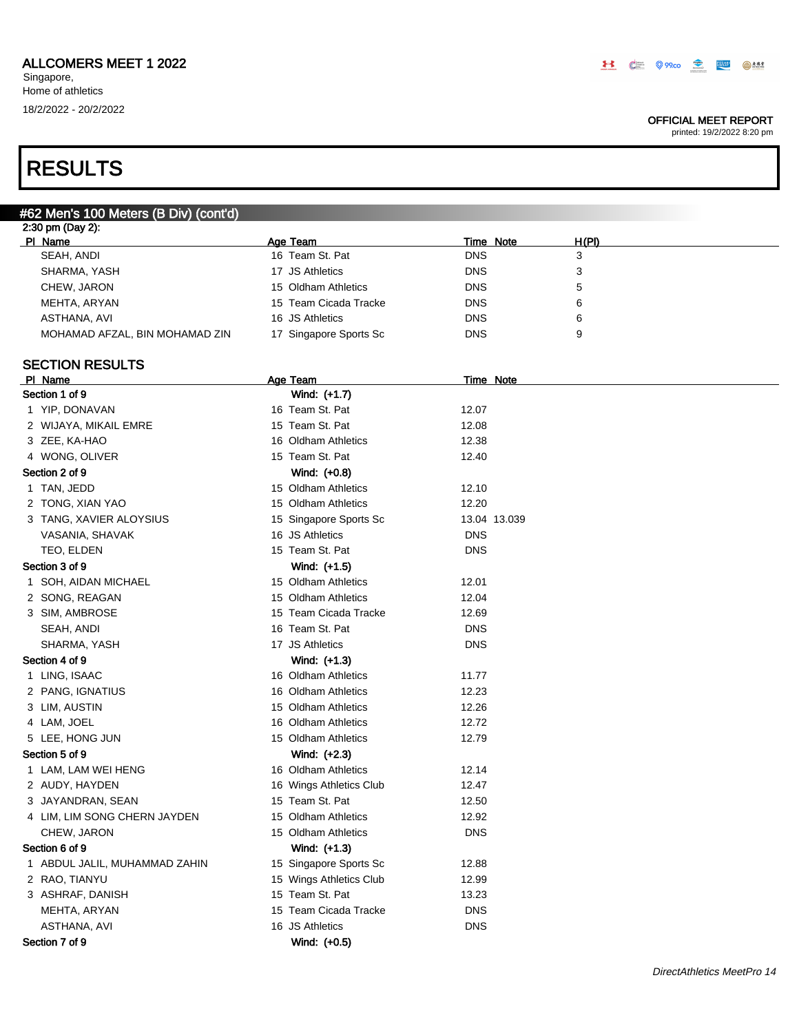### OFFICIAL MEET REPORT

printed: 19/2/2022 8:20 pm

# RESULTS

| #62 Men's 100 Meters (B Div) (cont'd) |                         |                  |              |
|---------------------------------------|-------------------------|------------------|--------------|
| 2:30 pm (Day 2):                      |                         |                  |              |
| PI Name                               | Age Team                | <b>Time Note</b> | <u>H(PI)</u> |
| SEAH, ANDI                            | 16 Team St. Pat         | <b>DNS</b>       | 3            |
| SHARMA, YASH                          | 17 JS Athletics         | <b>DNS</b>       | 3            |
| CHEW, JARON                           | 15 Oldham Athletics     | <b>DNS</b>       | 5            |
| MEHTA, ARYAN                          | 15 Team Cicada Tracke   | <b>DNS</b>       | 6            |
| ASTHANA, AVI                          | 16 JS Athletics         | <b>DNS</b>       | 6            |
| MOHAMAD AFZAL, BIN MOHAMAD ZIN        | 17 Singapore Sports Sc  | <b>DNS</b>       | 9            |
|                                       |                         |                  |              |
| <b>SECTION RESULTS</b>                |                         |                  |              |
| PI Name                               | Age Team                | <b>Time Note</b> |              |
| Section 1 of 9                        | Wind: (+1.7)            |                  |              |
| 1 YIP, DONAVAN                        | 16 Team St. Pat         | 12.07            |              |
| 2 WIJAYA, MIKAIL EMRE                 | 15 Team St. Pat         | 12.08            |              |
| 3 ZEE, KA-HAO                         | 16 Oldham Athletics     | 12.38            |              |
| 4 WONG, OLIVER                        | 15 Team St. Pat         | 12.40            |              |
| Section 2 of 9                        | Wind: (+0.8)            |                  |              |
| 1 TAN, JEDD                           | 15 Oldham Athletics     | 12.10            |              |
| 2 TONG, XIAN YAO                      | 15 Oldham Athletics     | 12.20            |              |
| 3 TANG, XAVIER ALOYSIUS               | 15 Singapore Sports Sc  | 13.04 13.039     |              |
| VASANIA, SHAVAK                       | 16 JS Athletics         | <b>DNS</b>       |              |
| TEO, ELDEN                            | 15 Team St. Pat         | <b>DNS</b>       |              |
| Section 3 of 9                        | Wind: (+1.5)            |                  |              |
| 1 SOH, AIDAN MICHAEL                  | 15 Oldham Athletics     | 12.01            |              |
| 2 SONG, REAGAN                        | 15 Oldham Athletics     | 12.04            |              |
| 3 SIM, AMBROSE                        | 15 Team Cicada Tracke   | 12.69            |              |
| SEAH, ANDI                            | 16 Team St. Pat         | <b>DNS</b>       |              |
| SHARMA, YASH                          | 17 JS Athletics         | <b>DNS</b>       |              |
| Section 4 of 9                        | Wind: (+1.3)            |                  |              |
| 1 LING, ISAAC                         | 16 Oldham Athletics     | 11.77            |              |
| 2 PANG, IGNATIUS                      | 16 Oldham Athletics     | 12.23            |              |
| 3 LIM, AUSTIN                         | 15 Oldham Athletics     | 12.26            |              |
| 4 LAM, JOEL                           | 16 Oldham Athletics     | 12.72            |              |
| 5 LEE, HONG JUN                       | 15 Oldham Athletics     | 12.79            |              |
| Section 5 of 9                        | Wind: (+2.3)            |                  |              |
| 1 LAM, LAM WEI HENG                   | 16 Oldham Athletics     | 12.14            |              |
| 2 AUDY, HAYDEN                        | 16 Wings Athletics Club | 12.47            |              |
| 3 JAYANDRAN, SEAN                     | 15 Team St. Pat         | 12.50            |              |
| 4 LIM, LIM SONG CHERN JAYDEN          | 15 Oldham Athletics     | 12.92            |              |
| CHEW, JARON                           | 15 Oldham Athletics     | <b>DNS</b>       |              |
| Section 6 of 9                        | Wind: (+1.3)            |                  |              |
| 1 ABDUL JALIL, MUHAMMAD ZAHIN         | 15 Singapore Sports Sc  | 12.88            |              |
| 2 RAO, TIANYU                         | 15 Wings Athletics Club | 12.99            |              |
| 3 ASHRAF, DANISH                      | 15 Team St. Pat         | 13.23            |              |
| MEHTA, ARYAN                          | 15 Team Cicada Tracke   | <b>DNS</b>       |              |
| ASTHANA, AVI                          | 16 JS Athletics         | <b>DNS</b>       |              |
|                                       |                         |                  |              |
| Section 7 of 9                        | Wind: (+0.5)            |                  |              |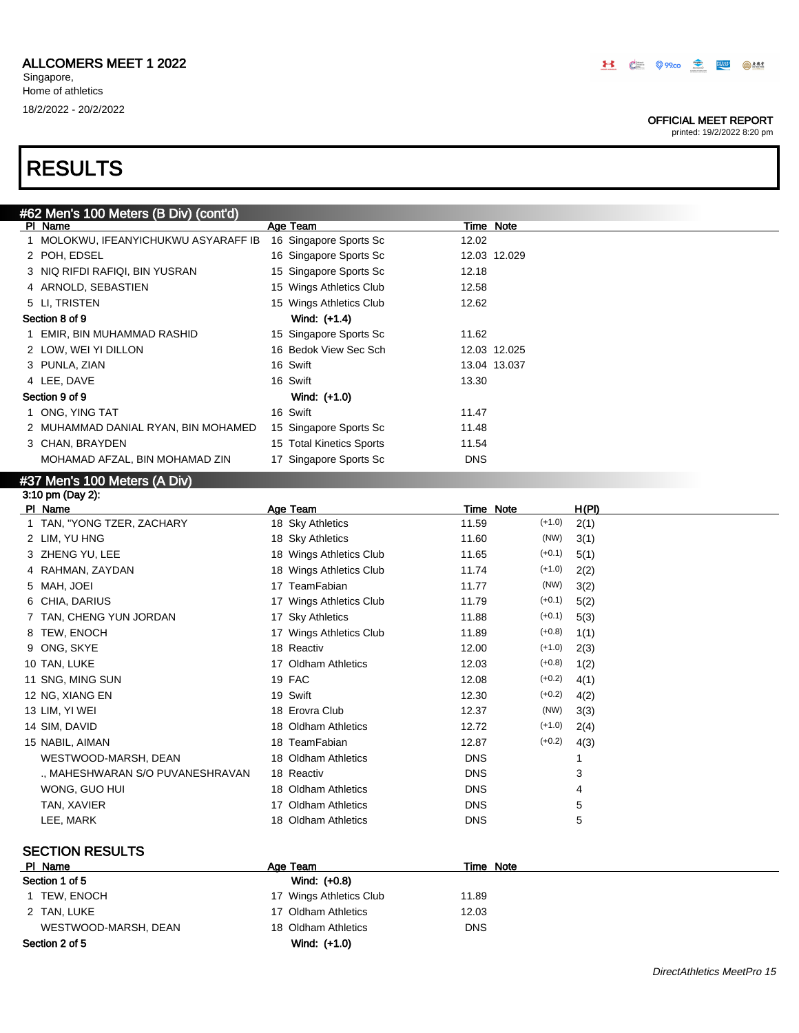### OFFICIAL MEET REPORT

printed: 19/2/2022 8:20 pm

# RESULTS

|   | #62 Men's 100 Meters (B Div) (cont'd) |                          |            |                  |       |  |
|---|---------------------------------------|--------------------------|------------|------------------|-------|--|
|   | PI Name                               | Age Team                 |            | <u>Time Note</u> |       |  |
|   | 1 MOLOKWU, IFEANYICHUKWU ASYARAFF IB  | 16 Singapore Sports Sc   | 12.02      |                  |       |  |
|   | 2 POH, EDSEL                          | 16 Singapore Sports Sc   |            | 12.03 12.029     |       |  |
|   | 3 NIQ RIFDI RAFIQI, BIN YUSRAN        | 15 Singapore Sports Sc   | 12.18      |                  |       |  |
|   | 4 ARNOLD, SEBASTIEN                   | 15 Wings Athletics Club  | 12.58      |                  |       |  |
|   | 5 LI, TRISTEN                         | 15 Wings Athletics Club  | 12.62      |                  |       |  |
|   | Section 8 of 9                        | Wind: (+1.4)             |            |                  |       |  |
|   | 1 EMIR, BIN MUHAMMAD RASHID           | 15 Singapore Sports Sc   | 11.62      |                  |       |  |
|   | 2 LOW, WEI YI DILLON                  | 16 Bedok View Sec Sch    |            | 12.03 12.025     |       |  |
|   | 3 PUNLA, ZIAN                         | 16 Swift                 |            | 13.04 13.037     |       |  |
|   | 4 LEE, DAVE                           | 16 Swift                 | 13.30      |                  |       |  |
|   | Section 9 of 9                        | Wind: (+1.0)             |            |                  |       |  |
|   | 1 ONG, YING TAT                       | 16 Swift                 | 11.47      |                  |       |  |
|   | 2 MUHAMMAD DANIAL RYAN, BIN MOHAMED   | 15 Singapore Sports Sc   | 11.48      |                  |       |  |
|   | 3 CHAN, BRAYDEN                       | 15 Total Kinetics Sports | 11.54      |                  |       |  |
|   | MOHAMAD AFZAL, BIN MOHAMAD ZIN        | 17 Singapore Sports Sc   | <b>DNS</b> |                  |       |  |
|   | #37 Men's 100 Meters (A Div)          |                          |            |                  |       |  |
|   | 3:10 pm (Day 2):                      |                          |            |                  |       |  |
|   | PI Name                               | Age Team                 |            | Time Note        | H(PI) |  |
|   | 1 TAN, "YONG TZER, ZACHARY            | 18 Sky Athletics         | 11.59      | $(+1.0)$         | 2(1)  |  |
|   | 2 LIM, YU HNG                         | 18 Sky Athletics         | 11.60      | (NW)             | 3(1)  |  |
|   | 3 ZHENG YU, LEE                       | 18 Wings Athletics Club  | 11.65      | $(+0.1)$         | 5(1)  |  |
| 4 | RAHMAN, ZAYDAN                        | 18 Wings Athletics Club  | 11.74      | $(+1.0)$         | 2(2)  |  |
|   | 5 MAH, JOEI                           | 17 TeamFabian            | 11.77      | (NW)             | 3(2)  |  |
|   | 6 CHIA, DARIUS                        | 17 Wings Athletics Club  | 11.79      | $(+0.1)$         | 5(2)  |  |
|   | 7 TAN, CHENG YUN JORDAN               | 17 Sky Athletics         | 11.88      | $(+0.1)$         | 5(3)  |  |
|   | 8 TEW, ENOCH                          | 17 Wings Athletics Club  | 11.89      | $(+0.8)$         | 1(1)  |  |
|   | 9 ONG, SKYE                           | 18 Reactiv               | 12.00      | $(+1.0)$         | 2(3)  |  |
|   | 10 TAN, LUKE                          | 17 Oldham Athletics      | 12.03      | $(+0.8)$         | 1(2)  |  |
|   | 11 SNG, MING SUN                      | 19 FAC                   | 12.08      | $(+0.2)$         | 4(1)  |  |
|   | 12 NG, XIANG EN                       | 19 Swift                 | 12.30      | $(+0.2)$         | 4(2)  |  |
|   | 13 LIM, YI WEI                        | 18 Erovra Club           | 12.37      | (NW)             | 3(3)  |  |
|   | 14 SIM, DAVID                         | 18 Oldham Athletics      | 12.72      | $(+1.0)$         | 2(4)  |  |
|   | 15 NABIL, AIMAN                       | 18 TeamFabian            | 12.87      | $(+0.2)$         | 4(3)  |  |
|   | WESTWOOD-MARSH, DEAN                  | 18 Oldham Athletics      | <b>DNS</b> |                  | 1     |  |
|   | ., MAHESHWARAN S/O PUVANESHRAVAN      | 18 Reactiv               | <b>DNS</b> |                  | 3     |  |
|   | WONG, GUO HUI                         | 18 Oldham Athletics      | <b>DNS</b> |                  | 4     |  |
|   | TAN, XAVIER                           | 17 Oldham Athletics      | <b>DNS</b> |                  | 5     |  |
|   | LEE, MARK                             | 18 Oldham Athletics      | <b>DNS</b> |                  | 5     |  |

## SECTION RESULTS

| PI Name              | Age Team                | Time Note  |  |
|----------------------|-------------------------|------------|--|
| Section 1 of 5       | Wind: (+0.8)            |            |  |
| 1 TEW, ENOCH         | 17 Wings Athletics Club | 11.89      |  |
| 2 TAN, LUKE          | 17 Oldham Athletics     | 12.03      |  |
| WESTWOOD-MARSH, DEAN | 18 Oldham Athletics     | <b>DNS</b> |  |
| Section 2 of 5       | Wind: (+1.0)            |            |  |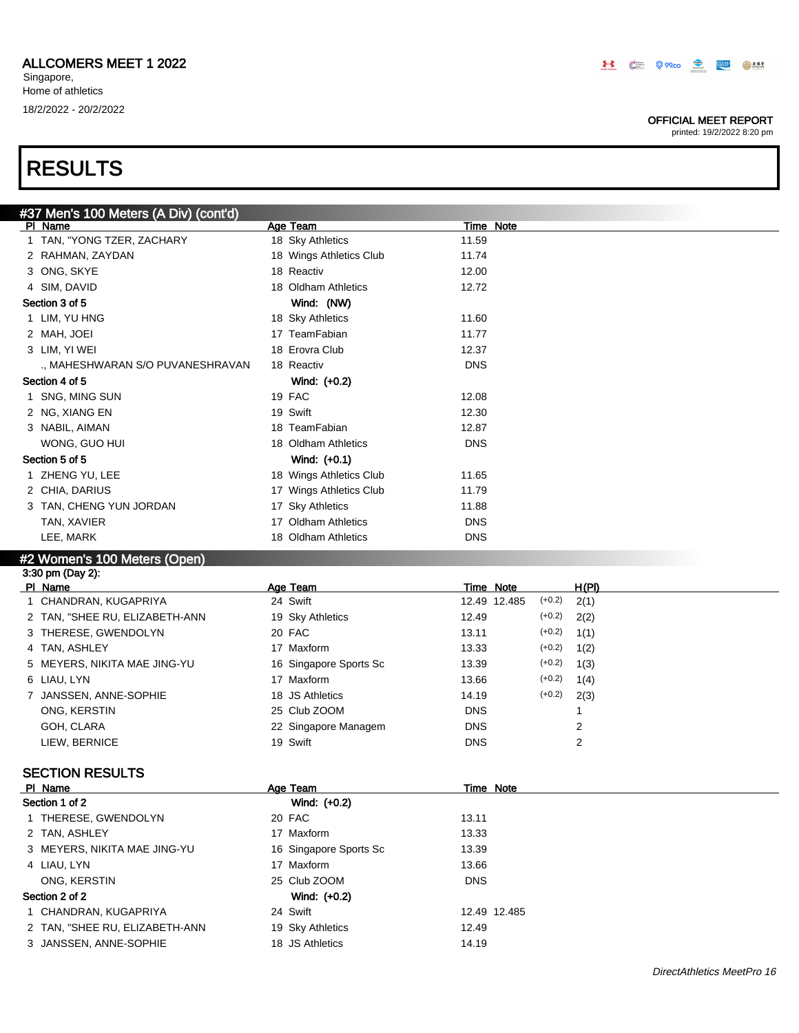### OFFICIAL MEET REPORT

printed: 19/2/2022 8:20 pm

# #37 Men's 100 Meters (A Div) (cont'd)

| ____<br>PI Name                  | Age Team                | Time Note  |
|----------------------------------|-------------------------|------------|
| 1 TAN, "YONG TZER, ZACHARY       | 18 Sky Athletics        | 11.59      |
| 2 RAHMAN, ZAYDAN                 | 18 Wings Athletics Club | 11.74      |
| 3 ONG, SKYE                      | 18 Reactiv              | 12.00      |
| 4 SIM, DAVID                     | 18 Oldham Athletics     | 12.72      |
| Section 3 of 5                   | Wind: (NW)              |            |
| 1 LIM, YU HNG                    | 18 Sky Athletics        | 11.60      |
| 2 MAH, JOEI                      | 17 TeamFabian           | 11.77      |
| 3 LIM, YI WEI                    | 18 Erovra Club          | 12.37      |
| ., MAHESHWARAN S/O PUVANESHRAVAN | 18 Reactiv              | <b>DNS</b> |
| Section 4 of 5                   | Wind: $(+0.2)$          |            |
| 1 SNG, MING SUN                  | 19 FAC                  | 12.08      |
| 2 NG, XIANG EN                   | 19 Swift                | 12.30      |
| 3 NABIL, AIMAN                   | 18 TeamFabian           | 12.87      |
| WONG, GUO HUI                    | 18 Oldham Athletics     | <b>DNS</b> |
| Section 5 of 5                   | Wind: $(+0.1)$          |            |
| 1 ZHENG YU, LEE                  | 18 Wings Athletics Club | 11.65      |
| 2 CHIA, DARIUS                   | 17 Wings Athletics Club | 11.79      |
| 3 TAN, CHENG YUN JORDAN          | 17 Sky Athletics        | 11.88      |
| TAN, XAVIER                      | 17 Oldham Athletics     | <b>DNS</b> |
| LEE, MARK                        | 18 Oldham Athletics     | <b>DNS</b> |
|                                  |                         |            |

## #2 Women's 100 Meters (Open)

| 3:30 pm (Day 2):               |                        |              |                  |  |
|--------------------------------|------------------------|--------------|------------------|--|
| PI Name                        | Age Team               | Time Note    | H(PI)            |  |
| 1 CHANDRAN, KUGAPRIYA          | 24 Swift               | 12.49 12.485 | $(+0.2)$<br>2(1) |  |
| 2 TAN, "SHEE RU, ELIZABETH-ANN | 19 Sky Athletics       | 12.49        | $(+0.2)$<br>2(2) |  |
| 3 THERESE, GWENDOLYN           | 20 FAC                 | 13.11        | $(+0.2)$<br>1(1) |  |
| 4 TAN, ASHLEY                  | 17 Maxform             | 13.33        | $(+0.2)$<br>1(2) |  |
| 5 MEYERS, NIKITA MAE JING-YU   | 16 Singapore Sports Sc | 13.39        | $(+0.2)$<br>1(3) |  |
| 6 LIAU. LYN                    | 17 Maxform             | 13.66        | $(+0.2)$<br>1(4) |  |
| 7 JANSSEN, ANNE-SOPHIE         | 18 JS Athletics        | 14.19        | $(+0.2)$<br>2(3) |  |
| ONG, KERSTIN                   | 25 Club ZOOM           | <b>DNS</b>   |                  |  |
| GOH. CLARA                     | 22 Singapore Managem   | <b>DNS</b>   | 2                |  |
| LIEW. BERNICE                  | 19 Swift               | <b>DNS</b>   | 2                |  |

## SECTION RESULTS

| PI Name                        | Age Team               | Time Note    |
|--------------------------------|------------------------|--------------|
| Section 1 of 2                 | Wind: (+0.2)           |              |
| 1 THERESE, GWENDOLYN           | 20 FAC                 | 13.11        |
| 2 TAN, ASHLEY                  | 17 Maxform             | 13.33        |
| 3 MEYERS, NIKITA MAE JING-YU   | 16 Singapore Sports Sc | 13.39        |
| 4 LIAU, LYN                    | 17 Maxform             | 13.66        |
| ONG, KERSTIN                   | 25 Club ZOOM           | <b>DNS</b>   |
| Section 2 of 2                 | Wind: (+0.2)           |              |
| 1 CHANDRAN, KUGAPRIYA          | 24 Swift               | 12.49 12.485 |
| 2 TAN, "SHEE RU, ELIZABETH-ANN | 19 Sky Athletics       | 12.49        |
| 3 JANSSEN, ANNE-SOPHIE         | 18 JS Athletics        | 14.19        |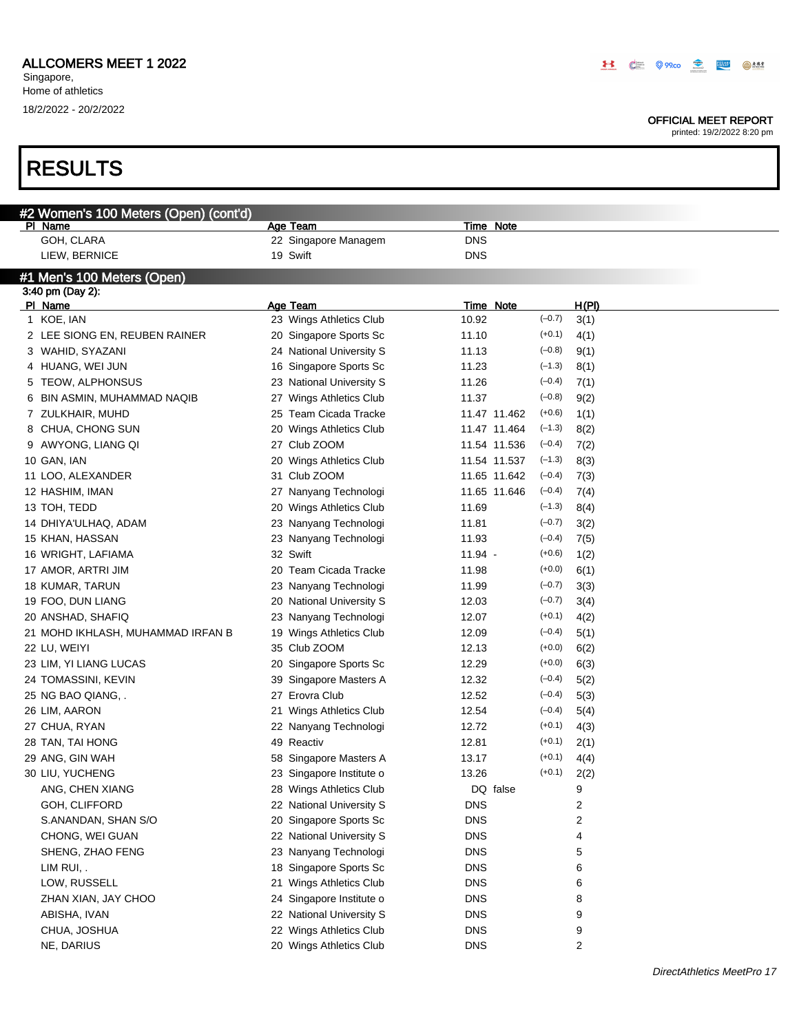### OFFICIAL MEET REPORT

|   | #2 Women's 100 Meters (Open) (cont'd) |                          |            |                  |          |       |
|---|---------------------------------------|--------------------------|------------|------------------|----------|-------|
|   | PI Name                               | Age Team                 |            | <b>Time Note</b> |          |       |
|   | GOH, CLARA                            | 22 Singapore Managem     | <b>DNS</b> |                  |          |       |
|   | LIEW, BERNICE                         | 19 Swift                 | <b>DNS</b> |                  |          |       |
|   | #1 Men's 100 Meters (Open)            |                          |            |                  |          |       |
|   | 3:40 pm (Day 2):                      |                          |            |                  |          |       |
|   | PI Name                               | Age Team                 |            | Time Note        |          | H(PI) |
|   | 1 KOE, IAN                            | 23 Wings Athletics Club  | 10.92      |                  | $(-0.7)$ | 3(1)  |
|   | 2 LEE SIONG EN, REUBEN RAINER         | 20 Singapore Sports Sc   | 11.10      |                  | $(+0.1)$ | 4(1)  |
|   | 3 WAHID, SYAZANI                      | 24 National University S | 11.13      |                  | $(-0.8)$ | 9(1)  |
|   | 4 HUANG, WEI JUN                      | 16 Singapore Sports Sc   | 11.23      |                  | $(-1.3)$ | 8(1)  |
|   | 5 TEOW, ALPHONSUS                     | 23 National University S | 11.26      |                  | $(-0.4)$ | 7(1)  |
| 6 | BIN ASMIN, MUHAMMAD NAQIB             | 27 Wings Athletics Club  | 11.37      |                  | $(-0.8)$ | 9(2)  |
|   | 7 ZULKHAIR, MUHD                      | 25 Team Cicada Tracke    |            | 11.47 11.462     | $(+0.6)$ | 1(1)  |
|   | 8 CHUA, CHONG SUN                     | 20 Wings Athletics Club  |            | 11.47 11.464     | $(-1.3)$ | 8(2)  |
|   | 9 AWYONG, LIANG QI                    | 27 Club ZOOM             |            | 11.54 11.536     | $(-0.4)$ | 7(2)  |
|   | 10 GAN, IAN                           | 20 Wings Athletics Club  |            | 11.54 11.537     | $(-1.3)$ | 8(3)  |
|   | 11 LOO, ALEXANDER                     | 31 Club ZOOM             |            | 11.65 11.642     | $(-0.4)$ | 7(3)  |
|   | 12 HASHIM, IMAN                       | 27 Nanyang Technologi    |            | 11.65 11.646     | $(-0.4)$ | 7(4)  |
|   | 13 TOH, TEDD                          | 20 Wings Athletics Club  | 11.69      |                  | $(-1.3)$ | 8(4)  |
|   | 14 DHIYA'ULHAQ, ADAM                  | 23 Nanyang Technologi    | 11.81      |                  | $(-0.7)$ | 3(2)  |
|   | 15 KHAN, HASSAN                       | 23 Nanyang Technologi    | 11.93      |                  | $(-0.4)$ | 7(5)  |
|   | 16 WRIGHT, LAFIAMA                    | 32 Swift                 | $11.94 -$  |                  | $(+0.6)$ | 1(2)  |
|   | 17 AMOR, ARTRI JIM                    | 20 Team Cicada Tracke    | 11.98      |                  | $(+0.0)$ | 6(1)  |
|   | 18 KUMAR, TARUN                       | 23 Nanyang Technologi    | 11.99      |                  | $(-0.7)$ | 3(3)  |
|   | 19 FOO, DUN LIANG                     | 20 National University S | 12.03      |                  | $(-0.7)$ | 3(4)  |
|   | 20 ANSHAD, SHAFIQ                     | 23 Nanyang Technologi    | 12.07      |                  | $(+0.1)$ | 4(2)  |
|   | 21 MOHD IKHLASH, MUHAMMAD IRFAN B     | 19 Wings Athletics Club  | 12.09      |                  | $(-0.4)$ | 5(1)  |
|   | 22 LU, WEIYI                          | 35 Club ZOOM             | 12.13      |                  | $(+0.0)$ | 6(2)  |
|   | 23 LIM, YI LIANG LUCAS                | 20 Singapore Sports Sc   | 12.29      |                  | $(+0.0)$ | 6(3)  |
|   | 24 TOMASSINI, KEVIN                   | 39 Singapore Masters A   | 12.32      |                  | $(-0.4)$ | 5(2)  |
|   | 25 NG BAO QIANG, .                    | 27 Erovra Club           | 12.52      |                  | $(-0.4)$ | 5(3)  |
|   | 26 LIM, AARON                         | 21 Wings Athletics Club  | 12.54      |                  | $(-0.4)$ | 5(4)  |
|   | 27 CHUA, RYAN                         | 22 Nanyang Technologi    | 12.72      |                  | $(+0.1)$ | 4(3)  |
|   | 28 TAN, TAI HONG                      | 49 Reactiv               | 12.81      |                  | $(+0.1)$ | 2(1)  |
|   | 29 ANG, GIN WAH                       | 58 Singapore Masters A   | 13.17      |                  | $(+0.1)$ | 4(4)  |
|   | 30 LIU, YUCHENG                       | 23 Singapore Institute o | 13.26      |                  | $(+0.1)$ | 2(2)  |
|   | ANG, CHEN XIANG                       | 28 Wings Athletics Club  |            | DQ false         |          | 9     |
|   | GOH, CLIFFORD                         | 22 National University S | <b>DNS</b> |                  |          | 2     |
|   | S.ANANDAN, SHAN S/O                   | 20 Singapore Sports Sc   | <b>DNS</b> |                  |          | 2     |
|   | CHONG, WEI GUAN                       | 22 National University S | <b>DNS</b> |                  |          | 4     |
|   | SHENG, ZHAO FENG                      | 23 Nanyang Technologi    | <b>DNS</b> |                  |          | 5     |
|   | LIM RUI,.                             | 18 Singapore Sports Sc   | <b>DNS</b> |                  |          | 6     |
|   | LOW, RUSSELL                          | 21 Wings Athletics Club  | <b>DNS</b> |                  |          | 6     |
|   | ZHAN XIAN, JAY CHOO                   | 24 Singapore Institute o | <b>DNS</b> |                  |          | 8     |
|   | ABISHA, IVAN                          | 22 National University S | <b>DNS</b> |                  |          | 9     |
|   | CHUA, JOSHUA                          | 22 Wings Athletics Club  | <b>DNS</b> |                  |          | 9     |
|   | NE, DARIUS                            | 20 Wings Athletics Club  | <b>DNS</b> |                  |          | 2     |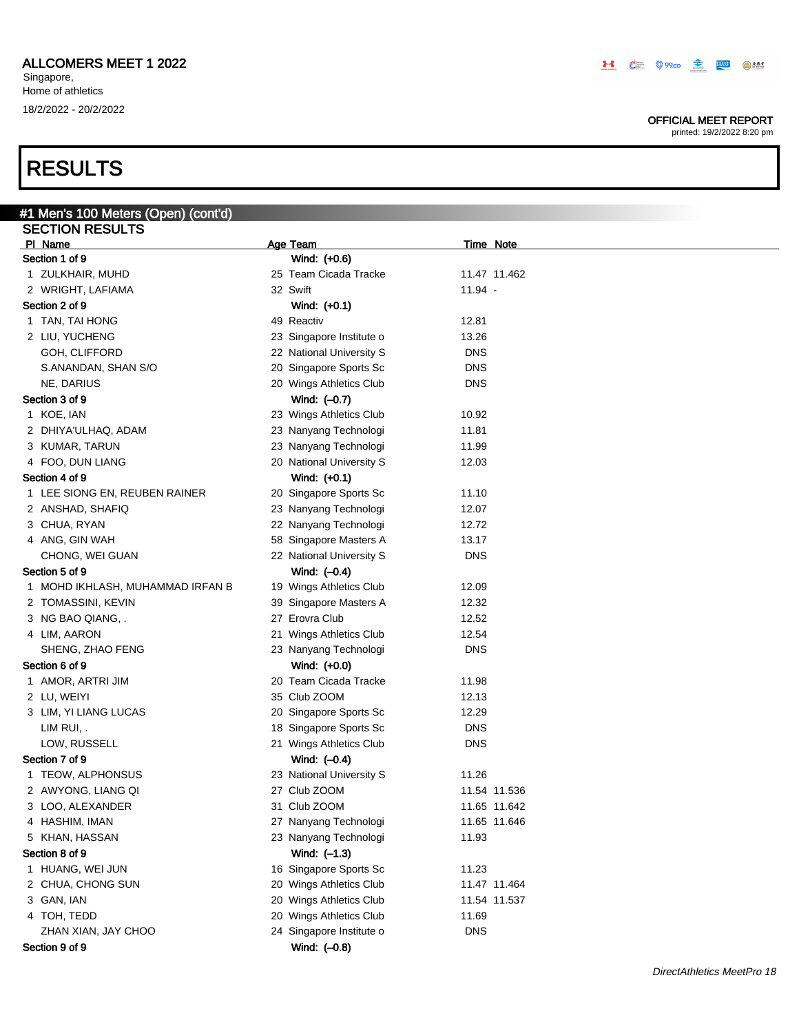### OFFICIAL MEET REPORT

printed: 19/2/2022 8:20 pm

# RESULTS

| #1 Men's 100 Meters (Open) (cont'd) |                          |                  |
|-------------------------------------|--------------------------|------------------|
| <b>SECTION RESULTS</b>              |                          |                  |
| PI Name                             | Age Team                 | <b>Time Note</b> |
| Section 1 of 9                      | Wind: (+0.6)             |                  |
| 1 ZULKHAIR, MUHD                    | 25 Team Cicada Tracke    | 11.47 11.462     |
| 2 WRIGHT, LAFIAMA                   | 32 Swift                 | $11.94 -$        |
| Section 2 of 9                      | Wind: (+0.1)             |                  |
| 1 TAN, TAI HONG                     | 49 Reactiv               | 12.81            |
| 2 LIU, YUCHENG                      | 23 Singapore Institute o | 13.26            |
| GOH, CLIFFORD                       | 22 National University S | <b>DNS</b>       |
| S.ANANDAN, SHAN S/O                 | 20 Singapore Sports Sc   | <b>DNS</b>       |
| NE, DARIUS                          | 20 Wings Athletics Club  | <b>DNS</b>       |
| Section 3 of 9                      | Wind: (-0.7)             |                  |
| 1 KOE, IAN                          | 23 Wings Athletics Club  | 10.92            |
| 2 DHIYA'ULHAQ, ADAM                 | 23 Nanyang Technologi    | 11.81            |
| 3 KUMAR, TARUN                      | 23 Nanyang Technologi    | 11.99            |
| 4 FOO, DUN LIANG                    | 20 National University S | 12.03            |
| Section 4 of 9                      | Wind: (+0.1)             |                  |
| 1 LEE SIONG EN, REUBEN RAINER       | 20 Singapore Sports Sc   | 11.10            |
| 2 ANSHAD, SHAFIQ                    | 23 Nanyang Technologi    | 12.07            |
| 3 CHUA, RYAN                        | 22 Nanyang Technologi    | 12.72            |
| 4 ANG, GIN WAH                      | 58 Singapore Masters A   | 13.17            |
| CHONG, WEI GUAN                     | 22 National University S | <b>DNS</b>       |
| Section 5 of 9                      | Wind: (-0.4)             |                  |
| 1 MOHD IKHLASH, MUHAMMAD IRFAN B    | 19 Wings Athletics Club  | 12.09            |
| 2 TOMASSINI, KEVIN                  | 39 Singapore Masters A   | 12.32            |
|                                     | 27 Erovra Club           | 12.52            |
| 3 NG BAO QIANG, .                   |                          | 12.54            |
| 4 LIM, AARON                        | 21 Wings Athletics Club  |                  |
| SHENG, ZHAO FENG                    | 23 Nanyang Technologi    | <b>DNS</b>       |
| Section 6 of 9                      | Wind: (+0.0)             |                  |
| 1 AMOR, ARTRI JIM                   | 20 Team Cicada Tracke    | 11.98            |
| 2 LU, WEIYI                         | 35 Club ZOOM             | 12.13            |
| 3 LIM, YI LIANG LUCAS               | 20 Singapore Sports Sc   | 12.29            |
| LIM RUI,.                           | 18 Singapore Sports Sc   | <b>DNS</b>       |
| LOW, RUSSELL                        | 21 Wings Athletics Club  | <b>DNS</b>       |
| Section 7 of 9                      | Wind: $(-0.4)$           |                  |
| 1 TEOW, ALPHONSUS                   | 23 National University S | 11.26            |
| 2 AWYONG, LIANG QI                  | 27 Club ZOOM             | 11.54 11.536     |
| 3 LOO, ALEXANDER                    | 31 Club ZOOM             | 11.65 11.642     |
| 4 HASHIM, IMAN                      | 27 Nanyang Technologi    | 11.65 11.646     |
| 5 KHAN, HASSAN                      | 23 Nanyang Technologi    | 11.93            |
| Section 8 of 9                      | Wind: $(-1.3)$           |                  |
| 1 HUANG, WEI JUN                    | 16 Singapore Sports Sc   | 11.23            |
| 2 CHUA, CHONG SUN                   | 20 Wings Athletics Club  | 11.47 11.464     |
| 3 GAN, IAN                          | 20 Wings Athletics Club  | 11.54 11.537     |
| 4 TOH, TEDD                         | 20 Wings Athletics Club  | 11.69            |
| ZHAN XIAN, JAY CHOO                 | 24 Singapore Institute o | <b>DNS</b>       |
| Section 9 of 9                      | Wind: (-0.8)             |                  |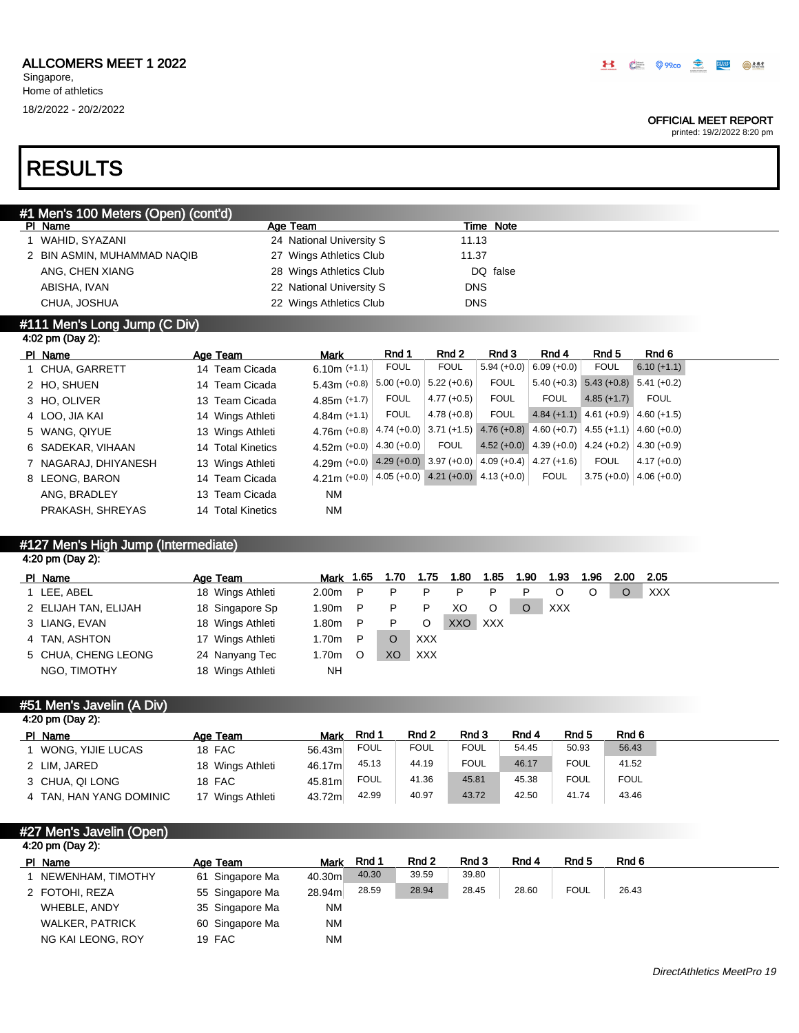### OFFICIAL MEET REPORT

printed: 19/2/2022 8:20 pm

# RESULTS

| #1 Men's 100 Meters (Open) (cont'd) |                          |            |  |
|-------------------------------------|--------------------------|------------|--|
| PI Name                             | Age Team                 | Time Note  |  |
| WAHID, SYAZANI                      | 24 National University S | 11.13      |  |
| 2 BIN ASMIN, MUHAMMAD NAQIB         | 27 Wings Athletics Club  | 11.37      |  |
| ANG, CHEN XIANG                     | 28 Wings Athletics Club  | DQ false   |  |
| ABISHA, IVAN                        | 22 National University S | <b>DNS</b> |  |
| CHUA, JOSHUA                        | 22 Wings Athletics Club  | <b>DNS</b> |  |
| #111 Men's Long Jump $(C$ Div)      |                          |            |  |

# 4:02 pm (Day 2):

| PI Name              | Age Team          | <b>Mark</b>                                                  | Rnd 1       | Rnd 2                     | Rnd 3         | Rnd 4         | Rnd 5                                     | Rnd 6                                                                       |
|----------------------|-------------------|--------------------------------------------------------------|-------------|---------------------------|---------------|---------------|-------------------------------------------|-----------------------------------------------------------------------------|
| 1 CHUA, GARRETT      | 14 Team Cicada    | 6.10m $(+1.1)$                                               | <b>FOUL</b> | <b>FOUL</b>               | $5.94 (+0.0)$ | $6.09 (+0.0)$ | <b>FOUL</b>                               | $6.10 (+1.1)$                                                               |
| 2 HO, SHUEN          | 14 Team Cicada    | $5.43m (+0.8)$                                               |             | $5.00 (+0.0)$ 5.22 (+0.6) | <b>FOUL</b>   |               | $5.40 (+0.3)$ $5.43 (+0.8)$ $5.41 (+0.2)$ |                                                                             |
| 3 HO, OLIVER         | 13 Team Cicada    | $4.85m (+1.7)$                                               | <b>FOUL</b> | $4.77(+0.5)$              | <b>FOUL</b>   | <b>FOUL</b>   | $4.85(+1.7)$                              | FOUL                                                                        |
| 4 LOO, JIA KAI       | 14 Wings Athleti  | $4.84m (+1.1)$                                               | <b>FOUL</b> | $4.78(+0.8)$              | <b>FOUL</b>   |               | $4.84 (+1.1) 4.61 (+0.9) 4.60 (+1.5)$     |                                                                             |
| 5 WANG, QIYUE        | 13 Wings Athleti  | 4.76m $(+0.8)$                                               |             |                           |               |               |                                           | $4.74 (+0.0)$ 3.71 (+1.5) $4.76 (+0.8)$ 4.60 (+0.7) 4.55 (+1.1) 4.60 (+0.0) |
| 6 SADEKAR, VIHAAN    | 14 Total Kinetics | 4.52m $(+0.0)$ 4.30 $(+0.0)$                                 |             | <b>FOUL</b>               |               |               |                                           | $4.52 (+0.0)$ 4.39 (+0.0) 4.24 (+0.2) 4.30 (+0.9)                           |
| 7 NAGARAJ, DHIYANESH | 13 Wings Athleti  | 4.29m (+0.0) 4.29 (+0.0) 3.97 (+0.0) 4.09 (+0.4) 4.27 (+1.6) |             |                           |               |               | <b>FOUL</b>                               | $4.17 (+0.0)$                                                               |
| 8 LEONG, BARON       | 14 Team Cicada    | 4.21 (+0.0) $ 4.05(+0.0) $ 4.21 (+0.0) 4.13 (+0.0)           |             |                           |               | <b>FOUL</b>   |                                           | $3.75 (+0.0)$ 4.06 (+0.0)                                                   |
| ANG, BRADLEY         | 13 Team Cicada    | <b>NM</b>                                                    |             |                           |               |               |                                           |                                                                             |
| PRAKASH, SHREYAS     | 14 Total Kinetics | <b>NM</b>                                                    |             |                           |               |               |                                           |                                                                             |
|                      |                   |                                                              |             |                           |               |               |                                           |                                                                             |

## #127 Men's High Jump (Intermediate) 4:20 pm (Day 2):

| PI Name              | Age Team         | <b>Mark</b> | 1.65 | 1.70 | 1.75       | 1.80 | 1.85       | 1.90 | 1.93       | 1.96 | 2.00 | 2.05       |
|----------------------|------------------|-------------|------|------|------------|------|------------|------|------------|------|------|------------|
| 1 LEE, ABEL          | 18 Wings Athleti | 2.00m       | P    | P    |            |      |            |      |            |      |      | <b>XXX</b> |
| 2 ELIJAH TAN, ELIJAH | 18 Singapore Sp  | 1.90m       | P    | P    |            | XO   |            |      | <b>XXX</b> |      |      |            |
| 3 LIANG, EVAN        | 18 Wings Athleti | 1.80m       | P    | P    | O          | XXO  | <b>XXX</b> |      |            |      |      |            |
| 4 TAN, ASHTON        | 17 Wings Athleti | 1.70m       | P    |      | <b>XXX</b> |      |            |      |            |      |      |            |
| 5 CHUA, CHENG LEONG  | 24 Nanyang Tec   | 1.70m       | O    | XO   | <b>XXX</b> |      |            |      |            |      |      |            |
| NGO, TIMOTHY         | 18 Wings Athleti | NH          |      |      |            |      |            |      |            |      |      |            |

### #51 Men's Javelin (A Div)

| 4:20 pm (Day 2):        |                  |        |             |             |             |       |             |             |
|-------------------------|------------------|--------|-------------|-------------|-------------|-------|-------------|-------------|
| PI Name                 | Age Team         | Mark   | Rnd 1       | Rnd 2       | Rnd 3       | Rnd 4 | Rnd 5       | Rnd 6       |
| WONG, YIJIE LUCAS       | 18 FAC           | 56.43m | <b>FOUL</b> | <b>FOUL</b> | <b>FOUL</b> | 54.45 | 50.93       | 56.43       |
| 2 LIM, JARED            | 18 Wings Athleti | 46.17m | 45.13       | 44.19       | <b>FOUL</b> | 46.17 | <b>FOUL</b> | 41.52       |
| 3 CHUA, QI LONG         | 18 FAC           | 45.81m | <b>FOUL</b> | 41.36       | 45.81       | 45.38 | <b>FOUL</b> | <b>FOUL</b> |
| 4 TAN, HAN YANG DOMINIC | 17 Wings Athleti | 43.72m | 42.99       | 40.97       | 43.72       | 42.50 | 41.74       | 43.46       |

| #27 Men's Javelin (Open) |                 |             |       |       |       |       |             |       |
|--------------------------|-----------------|-------------|-------|-------|-------|-------|-------------|-------|
| 4:20 pm (Day 2):         |                 |             |       |       |       |       |             |       |
| PI Name                  | Age Team        | <b>Mark</b> | Rnd 1 | Rnd 2 | Rnd 3 | Rnd 4 | Rnd 5       | Rnd 6 |
| NEWENHAM, TIMOTHY        | 61 Singapore Ma | 40.30m      | 40.30 | 39.59 | 39.80 |       |             |       |
| 2 FOTOHI, REZA           | 55 Singapore Ma | 28.94m      | 28.59 | 28.94 | 28.45 | 28.60 | <b>FOUL</b> | 26.43 |
| WHEBLE, ANDY             | 35 Singapore Ma | <b>NM</b>   |       |       |       |       |             |       |
| <b>WALKER, PATRICK</b>   | 60 Singapore Ma | ΝM          |       |       |       |       |             |       |
| NG KAI LEONG, ROY        | 19 FAC          | <b>NM</b>   |       |       |       |       |             |       |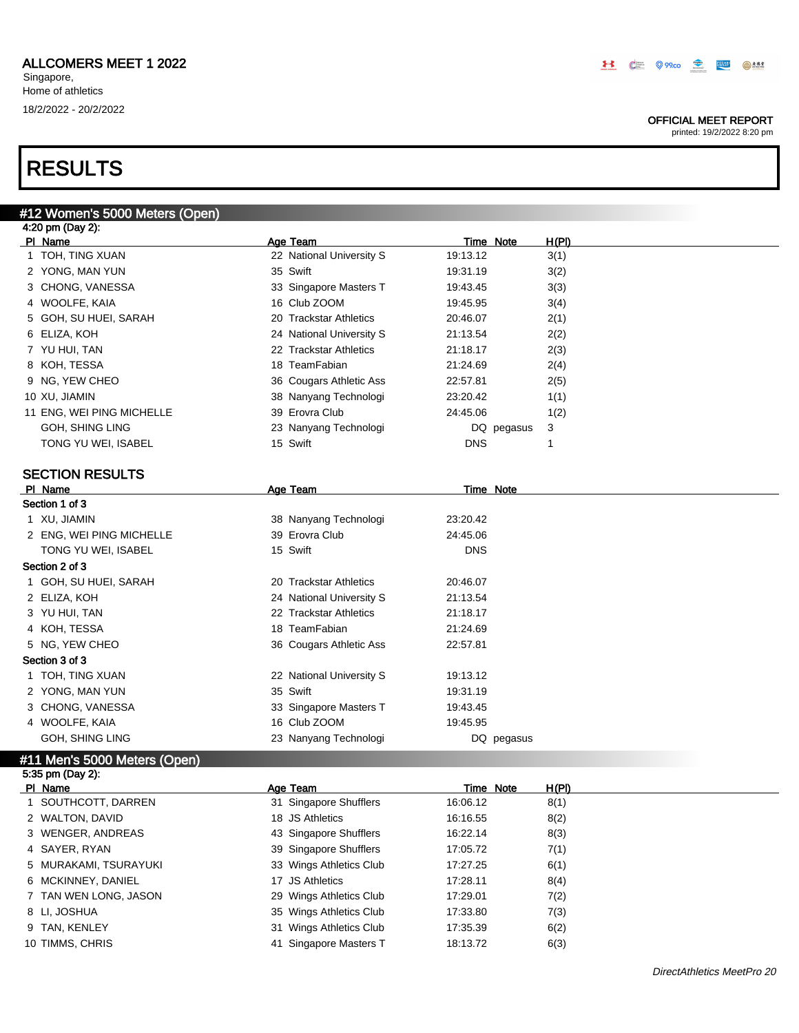#12 Women's 5000 Meters (Open)

Singapore, Home of athletics 18/2/2022 - 20/2/2022

### OFFICIAL MEET REPORT

| Age Team<br>H(PI)<br>PI Name<br>Time Note<br>1 TOH, TING XUAN<br>22 National University S<br>3(1)<br>19:13.12<br>35 Swift<br>2 YONG, MAN YUN<br>19:31.19<br>3(2)<br>3 CHONG, VANESSA<br>33 Singapore Masters T<br>3(3)<br>19:43.45<br>16 Club ZOOM<br>4 WOOLFE, KAIA<br>3(4)<br>19:45.95<br>5 GOH, SU HUEI, SARAH<br>2(1)<br>20 Trackstar Athletics<br>20:46.07<br>6 ELIZA, KOH<br>24 National University S<br>2(2)<br>21:13.54<br>7 YU HUI, TAN<br>22 Trackstar Athletics<br>2(3)<br>21:18.17<br>18 TeamFabian<br>8 KOH, TESSA<br>2(4)<br>21:24.69<br>9 NG, YEW CHEO<br>36 Cougars Athletic Ass<br>2(5)<br>22:57.81<br>10 XU, JIAMIN<br>38 Nanyang Technologi<br>23:20.42<br>1(1)<br>39 Erovra Club<br>11 ENG, WEI PING MICHELLE<br>1(2)<br>24:45.06<br>GOH, SHING LING<br>23 Nanyang Technologi<br>3<br>DQ pegasus<br>15 Swift<br>TONG YU WEI, ISABEL<br><b>DNS</b><br>1<br><b>SECTION RESULTS</b><br>PI Name<br>Age Team<br>Time Note<br>Section 1 of 3<br>1 XU, JIAMIN<br>38 Nanyang Technologi<br>23:20.42<br>39 Erovra Club<br>2 ENG, WEI PING MICHELLE<br>24:45.06<br>15 Swift<br><b>DNS</b><br>TONG YU WEI, ISABEL<br>Section 2 of 3<br>1 GOH, SU HUEI, SARAH<br>20 Trackstar Athletics<br>20:46.07<br>2 ELIZA, KOH<br>24 National University S<br>21:13.54<br>22 Trackstar Athletics<br>3 YU HUI, TAN<br>21:18.17<br>18 TeamFabian<br>4 KOH, TESSA<br>21:24.69<br>5 NG, YEW CHEO<br>36 Cougars Athletic Ass<br>22:57.81<br>Section 3 of 3<br>22 National University S<br>1 TOH, TING XUAN<br>19:13.12<br>35 Swift<br>2 YONG, MAN YUN<br>19:31.19<br>33 Singapore Masters T<br>3 CHONG, VANESSA<br>19:43.45<br>4 WOOLFE, KAIA<br>16 Club ZOOM<br>19:45.95<br>GOH, SHING LING<br>23 Nanyang Technologi<br>DQ pegasus<br>#11 Men's 5000 Meters (Open)<br>5:35 pm (Day 2):<br>PI Name<br><b>Age Team</b><br><b>Time Note</b> | 4:20 pm (Day 2): |  |  |              |
|-----------------------------------------------------------------------------------------------------------------------------------------------------------------------------------------------------------------------------------------------------------------------------------------------------------------------------------------------------------------------------------------------------------------------------------------------------------------------------------------------------------------------------------------------------------------------------------------------------------------------------------------------------------------------------------------------------------------------------------------------------------------------------------------------------------------------------------------------------------------------------------------------------------------------------------------------------------------------------------------------------------------------------------------------------------------------------------------------------------------------------------------------------------------------------------------------------------------------------------------------------------------------------------------------------------------------------------------------------------------------------------------------------------------------------------------------------------------------------------------------------------------------------------------------------------------------------------------------------------------------------------------------------------------------------------------------------------------------------------------------------------------------------------------------------------------------------------|------------------|--|--|--------------|
|                                                                                                                                                                                                                                                                                                                                                                                                                                                                                                                                                                                                                                                                                                                                                                                                                                                                                                                                                                                                                                                                                                                                                                                                                                                                                                                                                                                                                                                                                                                                                                                                                                                                                                                                                                                                                                   |                  |  |  |              |
|                                                                                                                                                                                                                                                                                                                                                                                                                                                                                                                                                                                                                                                                                                                                                                                                                                                                                                                                                                                                                                                                                                                                                                                                                                                                                                                                                                                                                                                                                                                                                                                                                                                                                                                                                                                                                                   |                  |  |  |              |
|                                                                                                                                                                                                                                                                                                                                                                                                                                                                                                                                                                                                                                                                                                                                                                                                                                                                                                                                                                                                                                                                                                                                                                                                                                                                                                                                                                                                                                                                                                                                                                                                                                                                                                                                                                                                                                   |                  |  |  |              |
|                                                                                                                                                                                                                                                                                                                                                                                                                                                                                                                                                                                                                                                                                                                                                                                                                                                                                                                                                                                                                                                                                                                                                                                                                                                                                                                                                                                                                                                                                                                                                                                                                                                                                                                                                                                                                                   |                  |  |  |              |
|                                                                                                                                                                                                                                                                                                                                                                                                                                                                                                                                                                                                                                                                                                                                                                                                                                                                                                                                                                                                                                                                                                                                                                                                                                                                                                                                                                                                                                                                                                                                                                                                                                                                                                                                                                                                                                   |                  |  |  |              |
|                                                                                                                                                                                                                                                                                                                                                                                                                                                                                                                                                                                                                                                                                                                                                                                                                                                                                                                                                                                                                                                                                                                                                                                                                                                                                                                                                                                                                                                                                                                                                                                                                                                                                                                                                                                                                                   |                  |  |  |              |
|                                                                                                                                                                                                                                                                                                                                                                                                                                                                                                                                                                                                                                                                                                                                                                                                                                                                                                                                                                                                                                                                                                                                                                                                                                                                                                                                                                                                                                                                                                                                                                                                                                                                                                                                                                                                                                   |                  |  |  |              |
|                                                                                                                                                                                                                                                                                                                                                                                                                                                                                                                                                                                                                                                                                                                                                                                                                                                                                                                                                                                                                                                                                                                                                                                                                                                                                                                                                                                                                                                                                                                                                                                                                                                                                                                                                                                                                                   |                  |  |  |              |
|                                                                                                                                                                                                                                                                                                                                                                                                                                                                                                                                                                                                                                                                                                                                                                                                                                                                                                                                                                                                                                                                                                                                                                                                                                                                                                                                                                                                                                                                                                                                                                                                                                                                                                                                                                                                                                   |                  |  |  |              |
|                                                                                                                                                                                                                                                                                                                                                                                                                                                                                                                                                                                                                                                                                                                                                                                                                                                                                                                                                                                                                                                                                                                                                                                                                                                                                                                                                                                                                                                                                                                                                                                                                                                                                                                                                                                                                                   |                  |  |  |              |
|                                                                                                                                                                                                                                                                                                                                                                                                                                                                                                                                                                                                                                                                                                                                                                                                                                                                                                                                                                                                                                                                                                                                                                                                                                                                                                                                                                                                                                                                                                                                                                                                                                                                                                                                                                                                                                   |                  |  |  |              |
|                                                                                                                                                                                                                                                                                                                                                                                                                                                                                                                                                                                                                                                                                                                                                                                                                                                                                                                                                                                                                                                                                                                                                                                                                                                                                                                                                                                                                                                                                                                                                                                                                                                                                                                                                                                                                                   |                  |  |  |              |
|                                                                                                                                                                                                                                                                                                                                                                                                                                                                                                                                                                                                                                                                                                                                                                                                                                                                                                                                                                                                                                                                                                                                                                                                                                                                                                                                                                                                                                                                                                                                                                                                                                                                                                                                                                                                                                   |                  |  |  |              |
|                                                                                                                                                                                                                                                                                                                                                                                                                                                                                                                                                                                                                                                                                                                                                                                                                                                                                                                                                                                                                                                                                                                                                                                                                                                                                                                                                                                                                                                                                                                                                                                                                                                                                                                                                                                                                                   |                  |  |  |              |
|                                                                                                                                                                                                                                                                                                                                                                                                                                                                                                                                                                                                                                                                                                                                                                                                                                                                                                                                                                                                                                                                                                                                                                                                                                                                                                                                                                                                                                                                                                                                                                                                                                                                                                                                                                                                                                   |                  |  |  |              |
|                                                                                                                                                                                                                                                                                                                                                                                                                                                                                                                                                                                                                                                                                                                                                                                                                                                                                                                                                                                                                                                                                                                                                                                                                                                                                                                                                                                                                                                                                                                                                                                                                                                                                                                                                                                                                                   |                  |  |  |              |
|                                                                                                                                                                                                                                                                                                                                                                                                                                                                                                                                                                                                                                                                                                                                                                                                                                                                                                                                                                                                                                                                                                                                                                                                                                                                                                                                                                                                                                                                                                                                                                                                                                                                                                                                                                                                                                   |                  |  |  |              |
|                                                                                                                                                                                                                                                                                                                                                                                                                                                                                                                                                                                                                                                                                                                                                                                                                                                                                                                                                                                                                                                                                                                                                                                                                                                                                                                                                                                                                                                                                                                                                                                                                                                                                                                                                                                                                                   |                  |  |  |              |
|                                                                                                                                                                                                                                                                                                                                                                                                                                                                                                                                                                                                                                                                                                                                                                                                                                                                                                                                                                                                                                                                                                                                                                                                                                                                                                                                                                                                                                                                                                                                                                                                                                                                                                                                                                                                                                   |                  |  |  |              |
|                                                                                                                                                                                                                                                                                                                                                                                                                                                                                                                                                                                                                                                                                                                                                                                                                                                                                                                                                                                                                                                                                                                                                                                                                                                                                                                                                                                                                                                                                                                                                                                                                                                                                                                                                                                                                                   |                  |  |  |              |
|                                                                                                                                                                                                                                                                                                                                                                                                                                                                                                                                                                                                                                                                                                                                                                                                                                                                                                                                                                                                                                                                                                                                                                                                                                                                                                                                                                                                                                                                                                                                                                                                                                                                                                                                                                                                                                   |                  |  |  |              |
|                                                                                                                                                                                                                                                                                                                                                                                                                                                                                                                                                                                                                                                                                                                                                                                                                                                                                                                                                                                                                                                                                                                                                                                                                                                                                                                                                                                                                                                                                                                                                                                                                                                                                                                                                                                                                                   |                  |  |  |              |
|                                                                                                                                                                                                                                                                                                                                                                                                                                                                                                                                                                                                                                                                                                                                                                                                                                                                                                                                                                                                                                                                                                                                                                                                                                                                                                                                                                                                                                                                                                                                                                                                                                                                                                                                                                                                                                   |                  |  |  |              |
|                                                                                                                                                                                                                                                                                                                                                                                                                                                                                                                                                                                                                                                                                                                                                                                                                                                                                                                                                                                                                                                                                                                                                                                                                                                                                                                                                                                                                                                                                                                                                                                                                                                                                                                                                                                                                                   |                  |  |  |              |
|                                                                                                                                                                                                                                                                                                                                                                                                                                                                                                                                                                                                                                                                                                                                                                                                                                                                                                                                                                                                                                                                                                                                                                                                                                                                                                                                                                                                                                                                                                                                                                                                                                                                                                                                                                                                                                   |                  |  |  |              |
|                                                                                                                                                                                                                                                                                                                                                                                                                                                                                                                                                                                                                                                                                                                                                                                                                                                                                                                                                                                                                                                                                                                                                                                                                                                                                                                                                                                                                                                                                                                                                                                                                                                                                                                                                                                                                                   |                  |  |  |              |
|                                                                                                                                                                                                                                                                                                                                                                                                                                                                                                                                                                                                                                                                                                                                                                                                                                                                                                                                                                                                                                                                                                                                                                                                                                                                                                                                                                                                                                                                                                                                                                                                                                                                                                                                                                                                                                   |                  |  |  |              |
|                                                                                                                                                                                                                                                                                                                                                                                                                                                                                                                                                                                                                                                                                                                                                                                                                                                                                                                                                                                                                                                                                                                                                                                                                                                                                                                                                                                                                                                                                                                                                                                                                                                                                                                                                                                                                                   |                  |  |  |              |
|                                                                                                                                                                                                                                                                                                                                                                                                                                                                                                                                                                                                                                                                                                                                                                                                                                                                                                                                                                                                                                                                                                                                                                                                                                                                                                                                                                                                                                                                                                                                                                                                                                                                                                                                                                                                                                   |                  |  |  |              |
|                                                                                                                                                                                                                                                                                                                                                                                                                                                                                                                                                                                                                                                                                                                                                                                                                                                                                                                                                                                                                                                                                                                                                                                                                                                                                                                                                                                                                                                                                                                                                                                                                                                                                                                                                                                                                                   |                  |  |  |              |
|                                                                                                                                                                                                                                                                                                                                                                                                                                                                                                                                                                                                                                                                                                                                                                                                                                                                                                                                                                                                                                                                                                                                                                                                                                                                                                                                                                                                                                                                                                                                                                                                                                                                                                                                                                                                                                   |                  |  |  |              |
|                                                                                                                                                                                                                                                                                                                                                                                                                                                                                                                                                                                                                                                                                                                                                                                                                                                                                                                                                                                                                                                                                                                                                                                                                                                                                                                                                                                                                                                                                                                                                                                                                                                                                                                                                                                                                                   |                  |  |  |              |
|                                                                                                                                                                                                                                                                                                                                                                                                                                                                                                                                                                                                                                                                                                                                                                                                                                                                                                                                                                                                                                                                                                                                                                                                                                                                                                                                                                                                                                                                                                                                                                                                                                                                                                                                                                                                                                   |                  |  |  |              |
|                                                                                                                                                                                                                                                                                                                                                                                                                                                                                                                                                                                                                                                                                                                                                                                                                                                                                                                                                                                                                                                                                                                                                                                                                                                                                                                                                                                                                                                                                                                                                                                                                                                                                                                                                                                                                                   |                  |  |  |              |
|                                                                                                                                                                                                                                                                                                                                                                                                                                                                                                                                                                                                                                                                                                                                                                                                                                                                                                                                                                                                                                                                                                                                                                                                                                                                                                                                                                                                                                                                                                                                                                                                                                                                                                                                                                                                                                   |                  |  |  |              |
|                                                                                                                                                                                                                                                                                                                                                                                                                                                                                                                                                                                                                                                                                                                                                                                                                                                                                                                                                                                                                                                                                                                                                                                                                                                                                                                                                                                                                                                                                                                                                                                                                                                                                                                                                                                                                                   |                  |  |  | <b>H(PI)</b> |

| PI Name               | Age Team                | Time Note | H(PI) |
|-----------------------|-------------------------|-----------|-------|
| 1 SOUTHCOTT, DARREN   | 31 Singapore Shufflers  | 16:06.12  | 8(1)  |
| 2 WALTON, DAVID       | 18 JS Athletics         | 16:16.55  | 8(2)  |
| 3 WENGER, ANDREAS     | 43 Singapore Shufflers  | 16:22.14  | 8(3)  |
| 4 SAYER, RYAN         | 39 Singapore Shufflers  | 17:05.72  | 7(1)  |
| 5 MURAKAMI, TSURAYUKI | 33 Wings Athletics Club | 17:27.25  | 6(1)  |
| 6 MCKINNEY, DANIEL    | 17 JS Athletics         | 17:28.11  | 8(4)  |
| 7 TAN WEN LONG, JASON | 29 Wings Athletics Club | 17:29.01  | 7(2)  |
| 8 LI, JOSHUA          | 35 Wings Athletics Club | 17:33.80  | 7(3)  |
| 9 TAN, KENLEY         | 31 Wings Athletics Club | 17:35.39  | 6(2)  |
| 10 TIMMS, CHRIS       | 41 Singapore Masters T  | 18:13.72  | 6(3)  |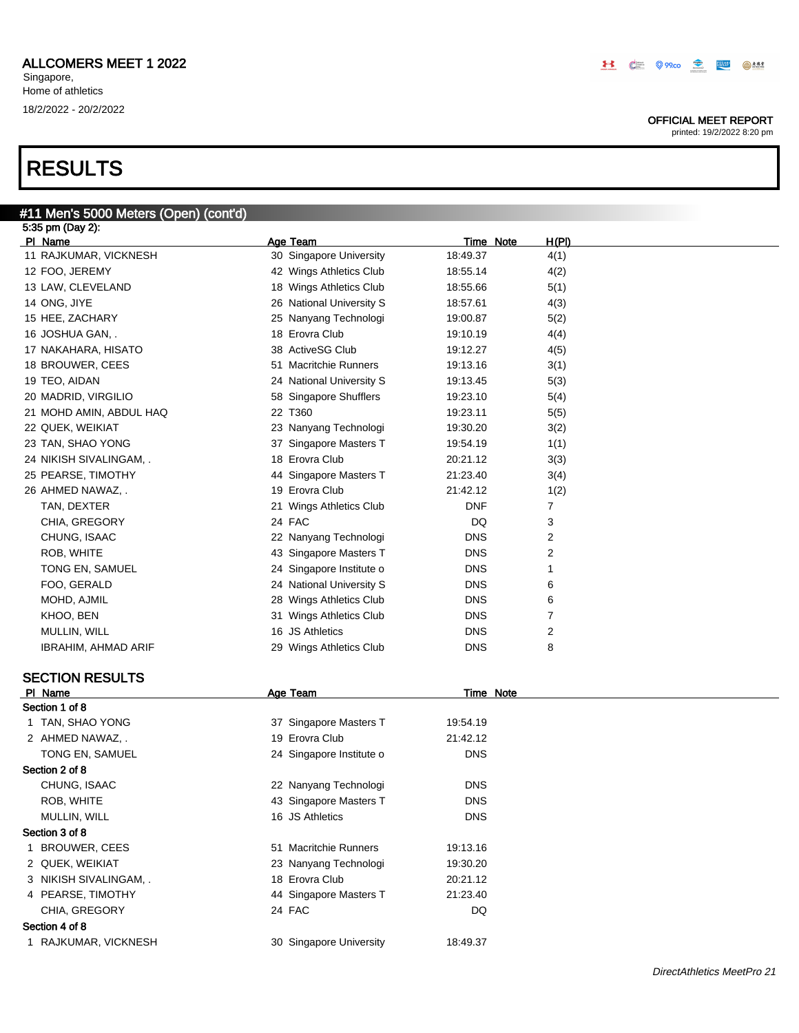### OFFICIAL MEET REPORT

printed: 19/2/2022 8:20 pm

| #11 Men's 5000 Meters (Open) (cont'd) |                          |                  |              |
|---------------------------------------|--------------------------|------------------|--------------|
| 5:35 pm (Day 2):                      |                          |                  |              |
| PI Name                               | Age Team                 | <b>Time Note</b> | <u>H(PI)</u> |
| 11 RAJKUMAR, VICKNESH                 | 30 Singapore University  | 18:49.37         | 4(1)         |
| 12 FOO, JEREMY                        | 42 Wings Athletics Club  | 18:55.14         | 4(2)         |
| 13 LAW, CLEVELAND                     | 18 Wings Athletics Club  | 18:55.66         | 5(1)         |
| 14 ONG, JIYE                          | 26 National University S | 18:57.61         | 4(3)         |
| 15 HEE, ZACHARY                       | 25 Nanyang Technologi    | 19:00.87         | 5(2)         |
| 16 JOSHUA GAN, .                      | 18 Erovra Club           | 19:10.19         | 4(4)         |
| 17 NAKAHARA, HISATO                   | 38 ActiveSG Club         | 19:12.27         | 4(5)         |
| 18 BROUWER, CEES                      | 51 Macritchie Runners    | 19:13.16         | 3(1)         |
| 19 TEO, AIDAN                         | 24 National University S | 19:13.45         | 5(3)         |
| 20 MADRID, VIRGILIO                   | 58 Singapore Shufflers   | 19:23.10         | 5(4)         |
| 21 MOHD AMIN, ABDUL HAQ               | 22 T360                  | 19:23.11         | 5(5)         |
| 22 QUEK, WEIKIAT                      | 23 Nanyang Technologi    | 19:30.20         | 3(2)         |
| 23 TAN, SHAO YONG                     | 37 Singapore Masters T   | 19:54.19         | 1(1)         |
| 24 NIKISH SIVALINGAM, .               | 18 Erovra Club           | 20:21.12         | 3(3)         |
| 25 PEARSE, TIMOTHY                    | 44 Singapore Masters T   | 21:23.40         | 3(4)         |
| 26 AHMED NAWAZ, .                     | 19 Erovra Club           | 21:42.12         | 1(2)         |
| TAN, DEXTER                           | 21 Wings Athletics Club  | DNF              | 7            |
| CHIA, GREGORY                         | 24 FAC                   | DQ               | 3            |
| CHUNG, ISAAC                          | 22 Nanyang Technologi    | <b>DNS</b>       | 2            |
| ROB, WHITE                            | 43 Singapore Masters T   | <b>DNS</b>       | 2            |
| TONG EN, SAMUEL                       | 24 Singapore Institute o | <b>DNS</b>       | 1            |
| FOO, GERALD                           | 24 National University S | <b>DNS</b>       | 6            |
| MOHD, AJMIL                           | 28 Wings Athletics Club  | <b>DNS</b>       | 6            |
| KHOO, BEN                             | 31 Wings Athletics Club  | <b>DNS</b>       | 7            |
| MULLIN, WILL                          | 16 JS Athletics          | <b>DNS</b>       | 2            |
| IBRAHIM, AHMAD ARIF                   | 29 Wings Athletics Club  | <b>DNS</b>       | 8            |
| <b>SECTION RESULTS</b>                |                          |                  |              |
| PI Name                               | Age Team                 | <b>Time Note</b> |              |
| Section 1 of 8                        |                          |                  |              |
| 1 TAN, SHAO YONG                      | 37 Singapore Masters T   | 19:54.19         |              |
| 2 AHMED NAWAZ, .                      | 19 Erovra Club           | 21:42.12         |              |
| TONG EN, SAMUEL                       | 24 Singapore Institute o | <b>DNS</b>       |              |
| Section 2 of 8                        |                          |                  |              |
| CHUNG, ISAAC                          | 22 Nanyang Technologi    | <b>DNS</b>       |              |

### MULLIN, WILL **DISPONS** 16 JS Athletics **DISPONS** Section 3 of 8

| 1 BROUWER, CEES        | 51 Macritchie Runners   | 19:13.16 |
|------------------------|-------------------------|----------|
| 2 QUEK, WEIKIAT        | 23 Nanyang Technologi   | 19:30.20 |
| 3 NIKISH SIVALINGAM, . | 18 Erovra Club          | 20:21.12 |
| 4 PEARSE, TIMOTHY      | 44 Singapore Masters T  | 21:23.40 |
| CHIA, GREGORY          | 24 FAC                  | DQ       |
| Section 4 of 8         |                         |          |
| 1 RAJKUMAR, VICKNESH   | 30 Singapore University | 18:49.37 |

ROB, WHITE **Now approve Masters T** ROB, WHITE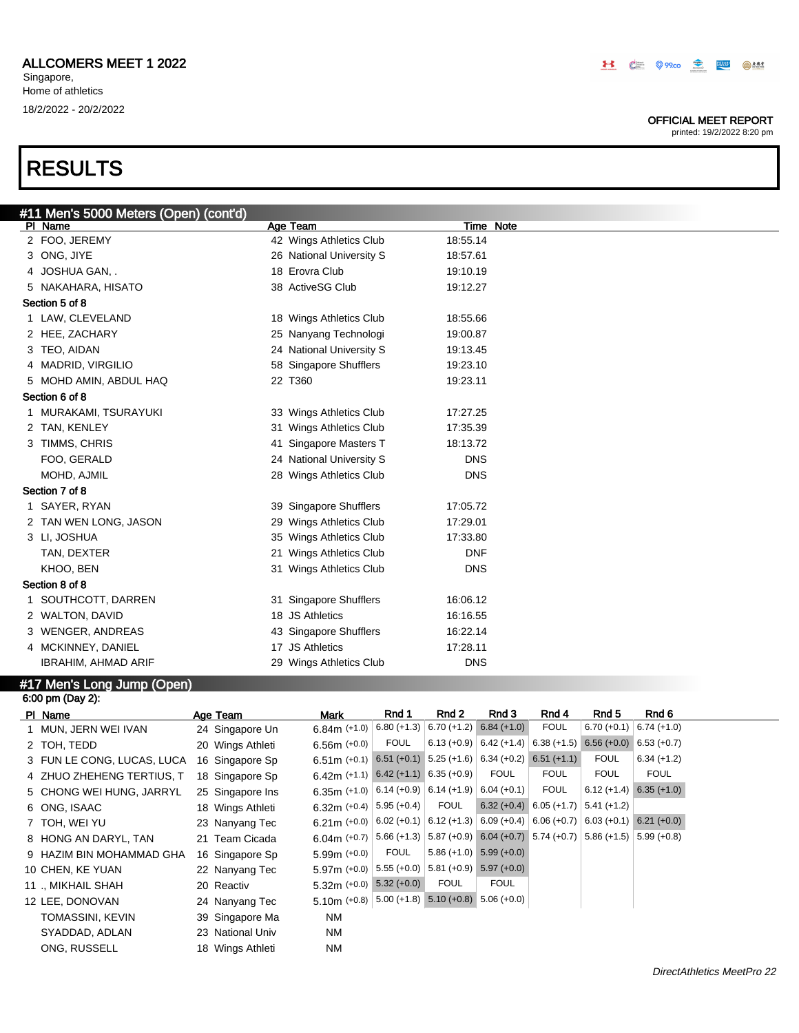### OFFICIAL MEET REPORT

printed: 19/2/2022 8:20 pm

| #11 Men's 5000 Meters (Open) (cont'd) |                          |            |
|---------------------------------------|--------------------------|------------|
| PI Name                               | Age Team                 | Time Note  |
| 2 FOO, JEREMY                         | 42 Wings Athletics Club  | 18:55.14   |
| 3 ONG, JIYE                           | 26 National University S | 18:57.61   |
| 4 JOSHUA GAN, .                       | 18 Erovra Club           | 19:10.19   |
| 5 NAKAHARA, HISATO                    | 38 ActiveSG Club         | 19:12.27   |
| Section 5 of 8                        |                          |            |
| 1 LAW, CLEVELAND                      | 18 Wings Athletics Club  | 18:55.66   |
| 2 HEE, ZACHARY                        | 25 Nanyang Technologi    | 19:00.87   |
| 3 TEO, AIDAN                          | 24 National University S | 19:13.45   |
| 4 MADRID, VIRGILIO                    | 58 Singapore Shufflers   | 19:23.10   |
| 5 MOHD AMIN, ABDUL HAQ                | 22 T360                  | 19:23.11   |
| Section 6 of 8                        |                          |            |
| 1 MURAKAMI, TSURAYUKI                 | 33 Wings Athletics Club  | 17:27.25   |
| 2 TAN, KENLEY                         | 31 Wings Athletics Club  | 17:35.39   |
| 3 TIMMS, CHRIS                        | 41 Singapore Masters T   | 18:13.72   |
| FOO, GERALD                           | 24 National University S | <b>DNS</b> |
| MOHD, AJMIL                           | 28 Wings Athletics Club  | <b>DNS</b> |
| Section 7 of 8                        |                          |            |
| 1 SAYER, RYAN                         | 39 Singapore Shufflers   | 17:05.72   |
| 2 TAN WEN LONG, JASON                 | 29 Wings Athletics Club  | 17:29.01   |
| 3 LI, JOSHUA                          | 35 Wings Athletics Club  | 17:33.80   |
| TAN, DEXTER                           | 21 Wings Athletics Club  | <b>DNF</b> |
| KHOO, BEN                             | 31 Wings Athletics Club  | <b>DNS</b> |
| Section 8 of 8                        |                          |            |
| 1 SOUTHCOTT, DARREN                   | 31 Singapore Shufflers   | 16:06.12   |
| 2 WALTON, DAVID                       | 18 JS Athletics          | 16:16.55   |
| 3 WENGER, ANDREAS                     | 43 Singapore Shufflers   | 16:22.14   |
| 4 MCKINNEY, DANIEL                    | 17 JS Athletics          | 17:28.11   |
| <b>IBRAHIM, AHMAD ARIF</b>            | 29 Wings Athletics Club  | <b>DNS</b> |

### #17 Men's Long Jump (Open)

| 6:00 pm (Day 2):           |                  |                                                                                                                 |               |             |                                                                             |                           |               |                                                   |
|----------------------------|------------------|-----------------------------------------------------------------------------------------------------------------|---------------|-------------|-----------------------------------------------------------------------------|---------------------------|---------------|---------------------------------------------------|
| PI Name                    | Age Team         | <b>Mark</b>                                                                                                     | Rnd 1         | Rnd 2       | Rnd 3                                                                       | Rnd 4                     | Rnd 5         | Rnd 6                                             |
| 1 MUN, JERN WEI IVAN       | 24 Singapore Un  | $6.84m (+1.0)$                                                                                                  | $6.80 (+1.3)$ |             | $6.70 (+1.2) 6.84 (+1.0)$                                                   | <b>FOUL</b>               |               | $6.70 (+0.1)$ $6.74 (+1.0)$                       |
| 2 TOH, TEDD                | 20 Wings Athleti | $6.56m (+0.0)$                                                                                                  | <b>FOUL</b>   |             | $6.13 (+0.9)$ 6.42 (+1.4) 6.38 (+1.5)                                       |                           |               | $6.56 (+0.0) 6.53 (+0.7)$                         |
| 3 FUN LE CONG, LUCAS, LUCA | 16 Singapore Sp  | $6.51\,\text{m}$ (+0.1) $\boxed{6.51}$ (+0.1) $\boxed{5.25}$ (+1.6) $\boxed{6.34}$ (+0.2) $\boxed{6.51}$ (+1.1) |               |             |                                                                             |                           | <b>FOUL</b>   | $6.34 (+1.2)$                                     |
| 4 ZHUO ZHEHENG TERTIUS, T  | 18 Singapore Sp  | $6.42m$ (+1.1) $6.42$ (+1.1) $6.35$ (+0.9)                                                                      |               |             | <b>FOUL</b>                                                                 | <b>FOUL</b>               | <b>FOUL</b>   | <b>FOUL</b>                                       |
| 5 CHONG WEI HUNG, JARRYL   | 25 Singapore Ins | 6.35m (+1.0) $  6.14 (+0.9)   6.14 (+1.9)  $                                                                    |               |             | $6.04 (+0.1)$                                                               | <b>FOUL</b>               |               | $6.12 (+1.4) 6.35 (+1.0)$                         |
| 6 ONG, ISAAC               | 18 Wings Athleti | 6.32m $(+0.4)$                                                                                                  | $5.95 (+0.4)$ | <b>FOUL</b> |                                                                             | $6.32 (+0.4) 6.05 (+1.7)$ | $5.41 (+1.2)$ |                                                   |
| 7 TOH, WEI YU              | 23 Nanyang Tec   | 6.21m (+0.0) $  6.02$ (+0.1) $  6.12$ (+1.3)                                                                    |               |             |                                                                             |                           |               | $6.09 (+0.4) 6.06 (+0.7) 6.03 (+0.1) 6.21 (+0.0)$ |
| 8 HONG AN DARYL, TAN       | 21 Team Cicada   | 6.04m $(+0.7)$                                                                                                  |               |             | $5.66 (+1.3)$ $5.87 (+0.9)$ 6.04 (+0.7) 5.74 (+0.7) 5.86 (+1.5) 5.99 (+0.8) |                           |               |                                                   |
| 9 HAZIM BIN MOHAMMAD GHA   | 16 Singapore Sp  | $5.99m (+0.0)$                                                                                                  | <b>FOUL</b>   |             | $5.86 (+1.0) 5.99 (+0.0)$                                                   |                           |               |                                                   |
| 10 CHEN, KE YUAN           | 22 Nanyang Tec   | 5.97m $(+0.0)$                                                                                                  |               |             | $5.55 (+0.0)$ $5.81 (+0.9)$ $5.97 (+0.0)$                                   |                           |               |                                                   |
| 11 ., MIKHAIL SHAH         | 20 Reactiv       | $5.32m (+0.0) 5.32 (+0.0)$                                                                                      |               | <b>FOUL</b> | <b>FOUL</b>                                                                 |                           |               |                                                   |
| 12 LEE, DONOVAN            | 24 Nanyang Tec   | 5.10m (+0.8) $ 5.00$ (+1.8) 5.10 (+0.8) 5.06 (+0.0)                                                             |               |             |                                                                             |                           |               |                                                   |
| TOMASSINI, KEVIN           | 39 Singapore Ma  | <b>NM</b>                                                                                                       |               |             |                                                                             |                           |               |                                                   |
| SYADDAD, ADLAN             | 23 National Univ | <b>NM</b>                                                                                                       |               |             |                                                                             |                           |               |                                                   |
| ONG, RUSSELL               | 18 Wings Athleti | <b>NM</b>                                                                                                       |               |             |                                                                             |                           |               |                                                   |
|                            |                  |                                                                                                                 |               |             |                                                                             |                           |               |                                                   |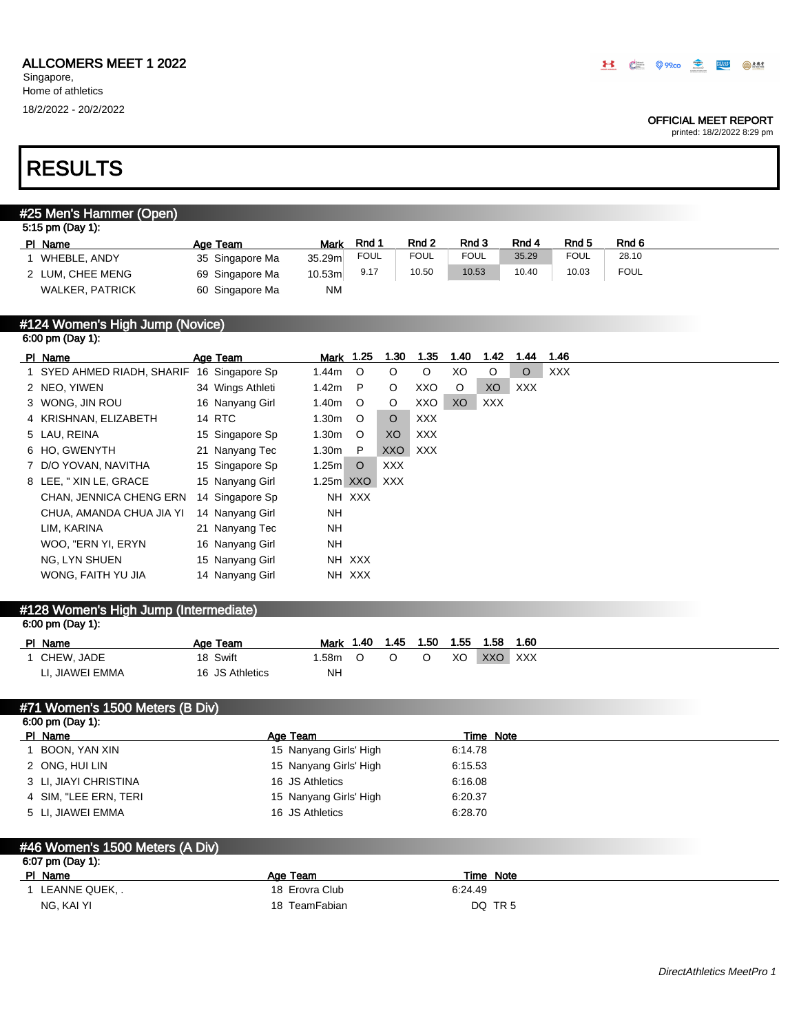Singapore, Home of athletics

### OFFICIAL MEET REPORT

printed: 18/2/2022 8:29 pm

# RESULTS

## #25 Men's Hammer (Open)

| 5:15 pm (Day 1):       |                 |           |             |             |             |       |             |             |  |
|------------------------|-----------------|-----------|-------------|-------------|-------------|-------|-------------|-------------|--|
| PI Name                | Age Team        | Mark      | Rnd ·       | Rnd 2       | Rnd 3       | Rnd 4 | Rnd 5       | Rnd 6       |  |
| WHEBLE, ANDY           | 35 Singapore Ma | 35.29m    | <b>FOUL</b> | <b>FOUL</b> | <b>FOUL</b> | 35.29 | <b>FOUL</b> | 28.10       |  |
| 2 LUM, CHEE MENG       | 69 Singapore Ma | 10.53m    | 9.17        | 10.50       | 10.53       | 10.40 | 10.03       | <b>FOUL</b> |  |
| <b>WALKER, PATRICK</b> | 60 Singapore Ma | <b>NM</b> |             |             |             |       |             |             |  |

### #124 Women's High Jump (Novice) 6:00 pm (Day 1):

| PI Name                                    | Age Team         |           | Mark 1.25 | 1.30       | 1.35       | 1.40    | 1.42       | 1.44    | 1.46       |
|--------------------------------------------|------------------|-----------|-----------|------------|------------|---------|------------|---------|------------|
| 1 SYED AHMED RIADH, SHARIF 16 Singapore Sp |                  | 1.44m     | $\circ$   | O          | $\circ$    | XO      | $\circ$    | $\circ$ | <b>XXX</b> |
| 2 NEO, YIWEN                               | 34 Wings Athleti | 1.42m     | P         | $\circ$    | XXO        | $\circ$ | XO         | XXX.    |            |
| 3 WONG, JIN ROU                            | 16 Nanyang Girl  | 1.40m     | $\circ$   | $\circ$    | XXO        | XO      | <b>XXX</b> |         |            |
| 4 KRISHNAN, ELIZABETH                      | 14 RTC           | $1.30m$ O |           | $\circ$    | <b>XXX</b> |         |            |         |            |
| 5 LAU, REINA                               | 15 Singapore Sp  | 1.30m     | $\circ$   | XO         | <b>XXX</b> |         |            |         |            |
| 6 HO, GWENYTH                              | 21 Nanyang Tec   | 1.30m     | - P       | XXO        | XXX        |         |            |         |            |
| 7 D/O YOVAN, NAVITHA                       | 15 Singapore Sp  | 1.25m     | $\circ$   | <b>XXX</b> |            |         |            |         |            |
| 8 LEE, "XIN LE, GRACE                      | 15 Nanyang Girl  |           | 1.25m XXO | XXX        |            |         |            |         |            |
| CHAN, JENNICA CHENG ERN                    | 14 Singapore Sp  |           | NH XXX    |            |            |         |            |         |            |
| CHUA, AMANDA CHUA JIA YI                   | 14 Nanyang Girl  | NH        |           |            |            |         |            |         |            |
| LIM, KARINA                                | 21 Nanyang Tec   | NH.       |           |            |            |         |            |         |            |
| WOO, "ERN YI, ERYN                         | 16 Nanyang Girl  | <b>NH</b> |           |            |            |         |            |         |            |
| NG, LYN SHUEN                              | 15 Nanyang Girl  |           | NH XXX    |            |            |         |            |         |            |
| WONG, FAITH YU JIA                         | 14 Nanyang Girl  |           | NH XXX    |            |            |         |            |         |            |
|                                            |                  |           |           |            |            |         |            |         |            |

### #128 Women's High Jump (Intermediate) 6:00 pm (Day 1):

| .               |                 |           |     |      |      |      |         |      |
|-----------------|-----------------|-----------|-----|------|------|------|---------|------|
| PI Name         | Age Team        | Mark 1.40 |     | 1.45 | 1.50 | 1.55 | 1.58    | 1.60 |
| CHEW. JADE      | 18 Swift        | .58m      | . O |      |      | XO   | XXO XXX |      |
| LI. JIAWEI EMMA | 16 JS Athletics | NH        |     |      |      |      |         |      |

### #71 Women's 1500 Meters (B Div) 6:00 pm (Day 1):

| PI Name               | Age Team               | Time Note |
|-----------------------|------------------------|-----------|
| BOON, YAN XIN         | 15 Nanyang Girls' High | 6:14.78   |
| 2 ONG, HUI LIN        | 15 Nanyang Girls' High | 6.15.53   |
| 3 LI, JIAYI CHRISTINA | 16 JS Athletics        | 6:16.08   |
| 4 SIM. "LEE ERN. TERI | 15 Nanyang Girls' High | 6:20.37   |
| 5 LI, JIAWEI EMMA     | 16 JS Athletics        | 6:28.70   |
|                       |                        |           |

### #46 Women's 1500 Meters (A Div) 6:07 pm (Day 1):

| $0.01$ pm (Duy 1). |                |                    |
|--------------------|----------------|--------------------|
| PI Name            | Age Team       | Time Note          |
| LEANNE QUEK, .     | 18 Erovra Club | 6:24.49            |
| NG. KAI YI         | 18 TeamFabian  | DQ TR <sub>5</sub> |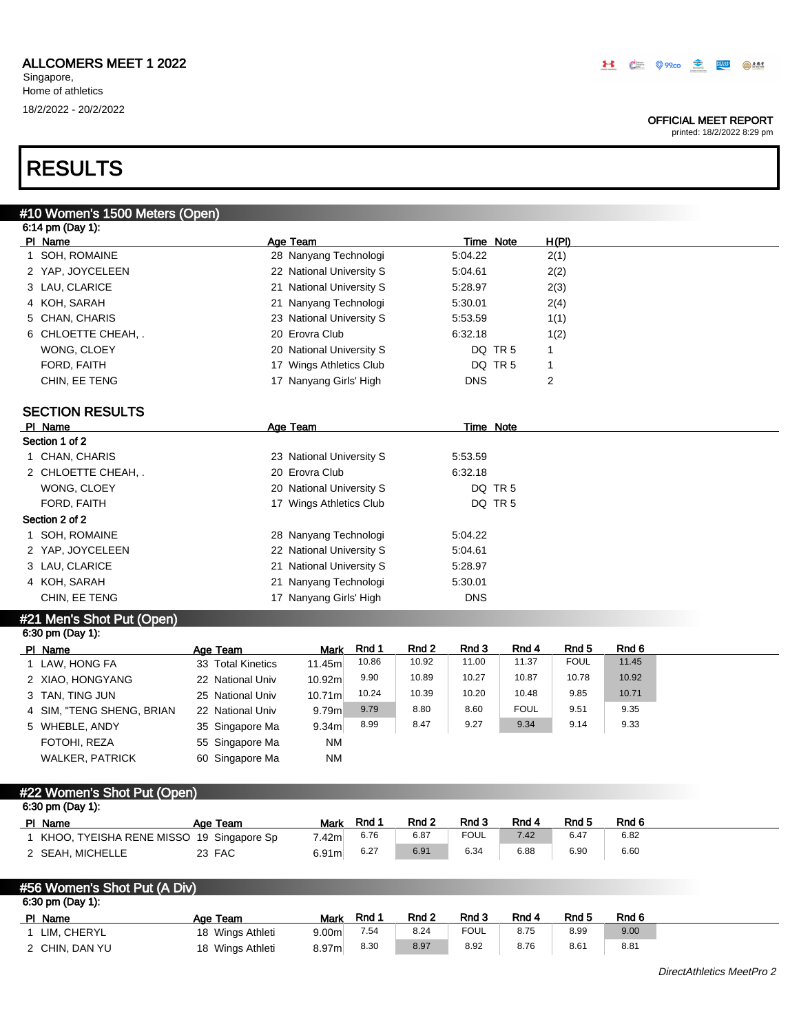### OFFICIAL MEET REPORT

printed: 18/2/2022 8:29 pm

# RESULTS

| #10 Women's 1500 Meters (Open)             |                   |                          |       |                           |             |                    |                                 |                |  |
|--------------------------------------------|-------------------|--------------------------|-------|---------------------------|-------------|--------------------|---------------------------------|----------------|--|
| 6:14 pm (Day 1):                           |                   |                          |       |                           |             |                    |                                 |                |  |
| PI Name                                    |                   | Age Team                 |       |                           |             | Time Note          | H(PI)                           |                |  |
| 1 SOH, ROMAINE                             |                   | 28 Nanyang Technologi    |       |                           | 5:04.22     |                    | 2(1)                            |                |  |
| 2 YAP, JOYCELEEN                           |                   | 22 National University S |       |                           | 5:04.61     |                    | 2(2)                            |                |  |
| 3 LAU, CLARICE                             |                   | 21 National University S |       |                           | 5:28.97     |                    | 2(3)                            |                |  |
| 4 KOH, SARAH                               |                   | 21 Nanyang Technologi    |       |                           | 5:30.01     |                    | 2(4)                            |                |  |
| 5 CHAN, CHARIS                             |                   | 23 National University S |       |                           | 5:53.59     |                    | 1(1)                            |                |  |
| 6 CHLOETTE CHEAH, .                        |                   | 20 Erovra Club           |       |                           | 6:32.18     |                    | 1(2)                            |                |  |
| WONG, CLOEY                                |                   | 20 National University S |       |                           |             | DQ TR 5            | 1                               |                |  |
| FORD, FAITH                                |                   | 17 Wings Athletics Club  |       |                           |             | DQ TR 5            | $\mathbf{1}$                    |                |  |
| CHIN, EE TENG                              |                   | 17 Nanyang Girls' High   |       |                           | <b>DNS</b>  |                    | 2                               |                |  |
| <b>SECTION RESULTS</b>                     |                   |                          |       |                           |             |                    |                                 |                |  |
| PI Name                                    |                   | Age Team                 |       |                           |             | <b>Time Note</b>   |                                 |                |  |
| Section 1 of 2                             |                   |                          |       |                           |             |                    |                                 |                |  |
| 1 CHAN, CHARIS                             |                   | 23 National University S |       |                           | 5:53.59     |                    |                                 |                |  |
| 2 CHLOETTE CHEAH, .                        |                   | 20 Erovra Club           |       |                           | 6:32.18     |                    |                                 |                |  |
| WONG, CLOEY                                |                   | 20 National University S |       |                           |             | DQ TR <sub>5</sub> |                                 |                |  |
| FORD, FAITH                                |                   | 17 Wings Athletics Club  |       |                           |             | DQ TR 5            |                                 |                |  |
| Section 2 of 2                             |                   |                          |       |                           |             |                    |                                 |                |  |
| 1 SOH, ROMAINE                             |                   | 28 Nanyang Technologi    |       |                           | 5:04.22     |                    |                                 |                |  |
| 2 YAP, JOYCELEEN                           |                   | 22 National University S |       |                           | 5:04.61     |                    |                                 |                |  |
| 3 LAU, CLARICE                             |                   | 21 National University S |       |                           | 5:28.97     |                    |                                 |                |  |
| 4 KOH, SARAH                               |                   | 21 Nanyang Technologi    |       |                           | 5:30.01     |                    |                                 |                |  |
| CHIN, EE TENG                              |                   | 17 Nanyang Girls' High   |       |                           | <b>DNS</b>  |                    |                                 |                |  |
|                                            |                   |                          |       |                           |             |                    |                                 |                |  |
| #21 Men's Shot Put (Open)                  |                   |                          |       |                           |             |                    |                                 |                |  |
| 6:30 pm (Day 1):                           |                   |                          |       |                           |             |                    |                                 |                |  |
| PI Name                                    | Age Team          | <b>Mark</b>              | Rnd 1 | Rnd <sub>2</sub><br>10.92 | Rnd 3       | Rnd 4              | Rnd <sub>5</sub><br><b>FOUL</b> | Rnd 6<br>11.45 |  |
| 1 LAW, HONG FA                             | 33 Total Kinetics | 11.45m                   | 10.86 |                           | 11.00       | 11.37              |                                 |                |  |
| 2 XIAO, HONGYANG                           | 22 National Univ  | 10.92m                   | 9.90  | 10.89                     | 10.27       | 10.87              | 10.78                           | 10.92          |  |
| 3 TAN, TING JUN                            | 25 National Univ  | 10.71m                   | 10.24 | 10.39                     | 10.20       | 10.48              | 9.85                            | 10.71          |  |
| 4 SIM, "TENG SHENG, BRIAN                  | 22 National Univ  | 9.79m                    | 9.79  | 8.80                      | 8.60        | <b>FOUL</b>        | 9.51                            | 9.35           |  |
| 5 WHEBLE, ANDY                             | 35 Singapore Ma   | 9.34m                    | 8.99  | 8.47                      | 9.27        | 9.34               | 9.14                            | 9.33           |  |
| FOTOHI, REZA                               | 55 Singapore Ma   | <b>NM</b>                |       |                           |             |                    |                                 |                |  |
| <b>WALKER, PATRICK</b>                     | 60 Singapore Ma   | <b>NM</b>                |       |                           |             |                    |                                 |                |  |
| #22 Women's Shot Put (Open)                |                   |                          |       |                           |             |                    |                                 |                |  |
| 6:30 pm (Day 1):                           |                   |                          |       |                           |             |                    |                                 |                |  |
| PI Name                                    | Age Team          | Mark                     | Rnd 1 | Rnd <sub>2</sub>          | Rnd 3       | Rnd 4              | Rnd <sub>5</sub>                | Rnd 6          |  |
| 1 KHOO, TYEISHA RENE MISSO 19 Singapore Sp |                   | 7.42m                    | 6.76  | 6.87                      | <b>FOUL</b> | 7.42               | 6.47                            | 6.82           |  |
| 2 SEAH, MICHELLE                           | 23 FAC            | 6.91 <sub>m</sub>        | 6.27  | 6.91                      | 6.34        | 6.88               | 6.90                            | 6.60           |  |
|                                            |                   |                          |       |                           |             |                    |                                 |                |  |
| #56 Women's Shot Put (A Div)               |                   |                          |       |                           |             |                    |                                 |                |  |
| 6:30 pm (Day 1):                           |                   |                          |       |                           |             |                    |                                 |                |  |
|                                            |                   |                          |       |                           |             |                    |                                 |                |  |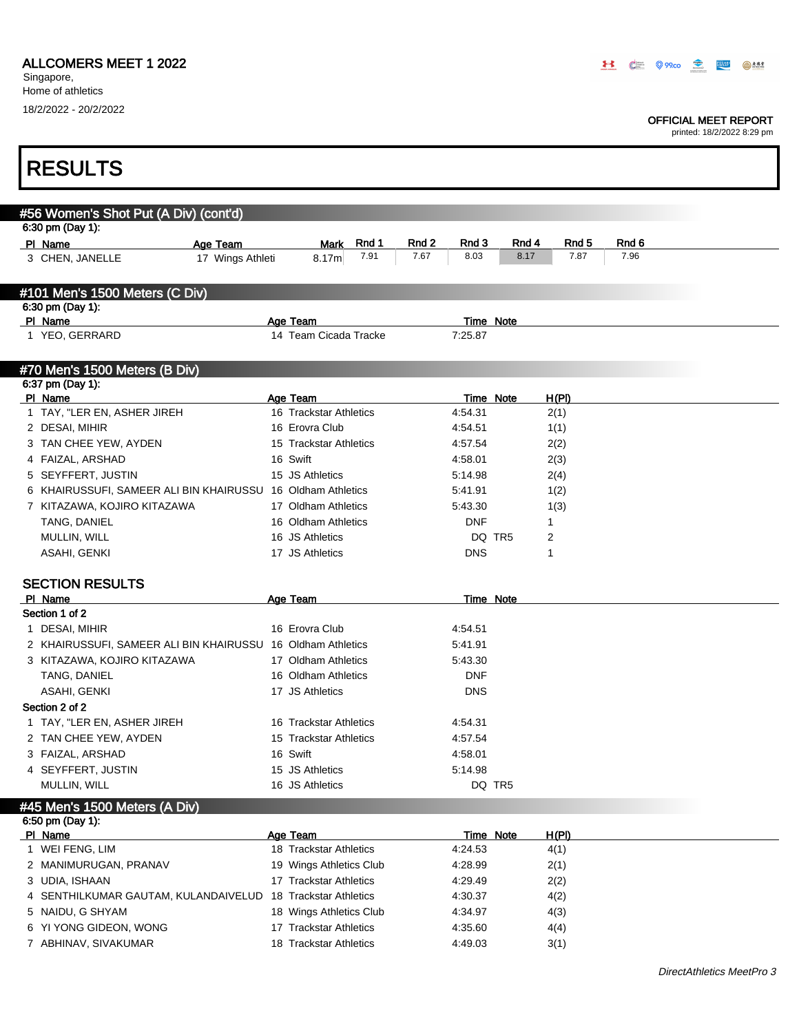## ALLCOMERS MEET 1 2022

Singapore, Home of athletics 18/2/2022 - 20/2/2022

Г

### OFFICIAL MEET REPORT

printed: 18/2/2022 8:29 pm

ī

| <b>RESULTS</b>                                                                 |                                                  |       |       |                    |        |              |       |       |  |
|--------------------------------------------------------------------------------|--------------------------------------------------|-------|-------|--------------------|--------|--------------|-------|-------|--|
|                                                                                |                                                  |       |       |                    |        |              |       |       |  |
| #56 Women's Shot Put (A Div) (cont'd)                                          |                                                  |       |       |                    |        |              |       |       |  |
| 6:30 pm (Day 1):                                                               |                                                  |       |       |                    |        |              |       |       |  |
| PI Name<br>Age Team                                                            | <b>Mark</b>                                      | Rnd 1 | Rnd 2 | Rnd 3              | Rnd 4  |              | Rnd 5 | Rnd 6 |  |
| 3 CHEN, JANELLE<br>17 Wings Athleti                                            | 8.17m                                            | 7.91  | 7.67  | 8.03               | 8.17   |              | 7.87  | 7.96  |  |
|                                                                                |                                                  |       |       |                    |        |              |       |       |  |
| #101 Men's 1500 Meters (C Div)                                                 |                                                  |       |       |                    |        |              |       |       |  |
| 6:30 pm (Day 1):<br>PI Name                                                    | Age Team                                         |       |       | <b>Time Note</b>   |        |              |       |       |  |
| 1 YEO, GERRARD                                                                 | 14 Team Cicada Tracke                            |       |       | 7:25.87            |        |              |       |       |  |
|                                                                                |                                                  |       |       |                    |        |              |       |       |  |
| #70 Men's 1500 Meters (B Div)                                                  |                                                  |       |       |                    |        |              |       |       |  |
| 6:37 pm (Day 1):                                                               |                                                  |       |       |                    |        |              |       |       |  |
| PI Name                                                                        | Age Team                                         |       |       | Time Note          |        | <u>H(PI)</u> |       |       |  |
| 1 TAY, "LER EN, ASHER JIREH                                                    | 16 Trackstar Athletics                           |       |       | 4:54.31            |        | 2(1)         |       |       |  |
| 2 DESAI, MIHIR                                                                 | 16 Erovra Club                                   |       |       | 4:54.51            |        | 1(1)         |       |       |  |
| 3 TAN CHEE YEW, AYDEN                                                          | 15 Trackstar Athletics                           |       |       | 4:57.54            |        | 2(2)         |       |       |  |
| 4 FAIZAL, ARSHAD                                                               | 16 Swift                                         |       |       | 4:58.01            |        | 2(3)         |       |       |  |
| 5 SEYFFERT, JUSTIN                                                             | 15 JS Athletics                                  |       |       | 5:14.98            |        | 2(4)         |       |       |  |
| 6 KHAIRUSSUFI, SAMEER ALI BIN KHAIRUSSU 16 Oldham Athletics                    |                                                  |       |       | 5:41.91            |        | 1(2)         |       |       |  |
| 7 KITAZAWA, KOJIRO KITAZAWA                                                    | 17 Oldham Athletics                              |       |       | 5:43.30            |        | 1(3)         |       |       |  |
| TANG, DANIEL                                                                   | 16 Oldham Athletics                              |       |       | <b>DNF</b>         |        | 1            |       |       |  |
| MULLIN, WILL                                                                   | 16 JS Athletics                                  |       |       |                    | DQ TR5 | 2            |       |       |  |
| ASAHI, GENKI                                                                   | 17 JS Athletics                                  |       |       | <b>DNS</b>         |        | 1            |       |       |  |
| <b>SECTION RESULTS</b>                                                         |                                                  |       |       |                    |        |              |       |       |  |
| PI Name                                                                        | Age Team                                         |       |       | <b>Time Note</b>   |        |              |       |       |  |
| Section 1 of 2                                                                 |                                                  |       |       |                    |        |              |       |       |  |
| 1 DESAI, MIHIR                                                                 | 16 Erovra Club                                   |       |       | 4:54.51            |        |              |       |       |  |
| 2 KHAIRUSSUFI, SAMEER ALI BIN KHAIRUSSU 16 Oldham Athletics                    |                                                  |       |       | 5:41.91            |        |              |       |       |  |
| 3 KITAZAWA, KOJIRO KITAZAWA                                                    | 17 Oldham Athletics                              |       |       | 5:43.30            |        |              |       |       |  |
| TANG, DANIEL                                                                   | 16 Oldham Athletics                              |       |       | <b>DNF</b>         |        |              |       |       |  |
| ASAHI, GENKI                                                                   | 17 JS Athletics                                  |       |       | <b>DNS</b>         |        |              |       |       |  |
| Section 2 of 2                                                                 |                                                  |       |       |                    |        |              |       |       |  |
| 1 TAY, "LER EN, ASHER JIREH                                                    | 16 Trackstar Athletics                           |       |       | 4:54.31            |        |              |       |       |  |
| 2 TAN CHEE YEW, AYDEN                                                          | 15 Trackstar Athletics                           |       |       | 4:57.54            |        |              |       |       |  |
| 3 FAIZAL, ARSHAD                                                               | 16 Swift                                         |       |       | 4:58.01            |        |              |       |       |  |
| 4 SEYFFERT, JUSTIN                                                             | 15 JS Athletics                                  |       |       | 5:14.98            |        |              |       |       |  |
| MULLIN, WILL                                                                   | 16 JS Athletics                                  |       |       |                    | DQ TR5 |              |       |       |  |
|                                                                                |                                                  |       |       |                    |        |              |       |       |  |
|                                                                                |                                                  |       |       |                    |        |              |       |       |  |
|                                                                                |                                                  |       |       |                    |        |              |       |       |  |
|                                                                                | Age Team                                         |       |       | <b>Time Note</b>   |        | H(PI)        |       |       |  |
| 1 WEI FENG, LIM                                                                | 18 Trackstar Athletics                           |       |       | 4:24.53            |        | 4(1)         |       |       |  |
| 2 MANIMURUGAN, PRANAV                                                          | 19 Wings Athletics Club                          |       |       | 4:28.99            |        | 2(1)         |       |       |  |
| #45 Men's 1500 Meters (A Div)<br>6:50 pm (Day 1):<br>PI Name<br>3 UDIA, ISHAAN | 17 Trackstar Athletics                           |       |       | 4:29.49            |        | 2(2)         |       |       |  |
| 4 SENTHILKUMAR GAUTAM, KULANDAIVELUD                                           | 18 Trackstar Athletics                           |       |       | 4:30.37            |        | 4(2)         |       |       |  |
| 5 NAIDU, G SHYAM                                                               | 18 Wings Athletics Club                          |       |       | 4:34.97            |        | 4(3)         |       |       |  |
| 6 YI YONG GIDEON, WONG<br>7 ABHINAV, SIVAKUMAR                                 | 17 Trackstar Athletics<br>18 Trackstar Athletics |       |       | 4:35.60<br>4:49.03 |        | 4(4)<br>3(1) |       |       |  |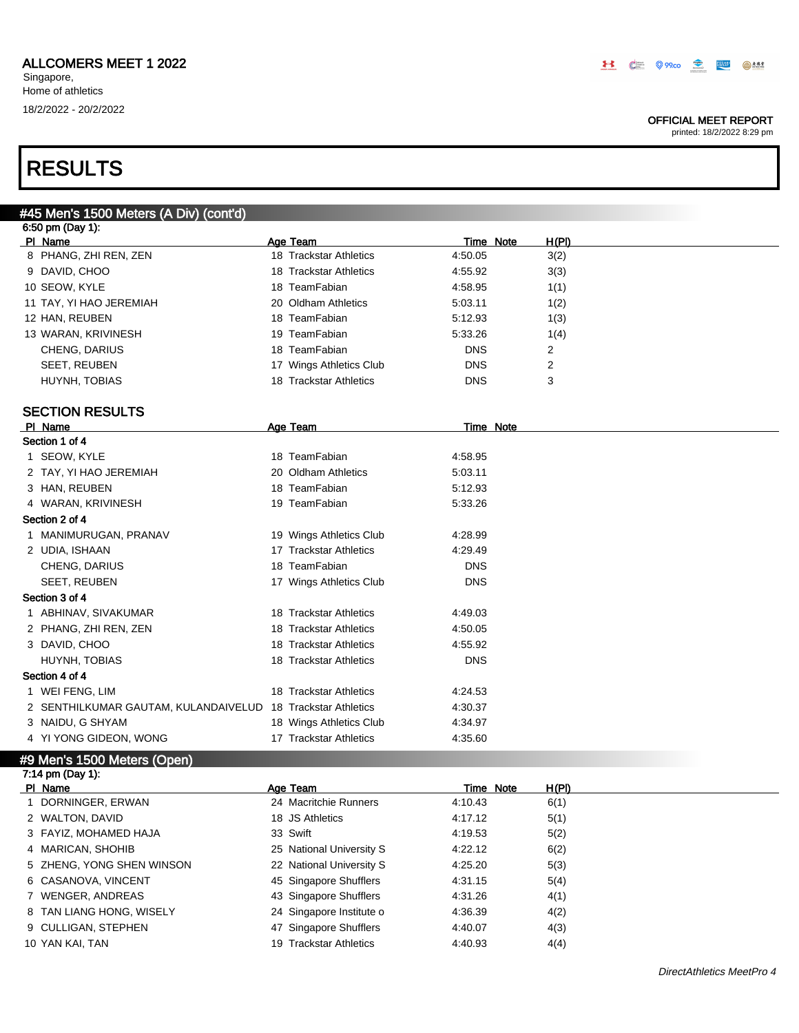### OFFICIAL MEET REPORT

printed: 18/2/2022 8:29 pm

# RESULTS

|         | #45 Men's 1500 Meters (A Div) (cont'd)                      |                         |            |                           |  |
|---------|-------------------------------------------------------------|-------------------------|------------|---------------------------|--|
|         | 6:50 pm (Day 1):                                            |                         |            |                           |  |
| PI Name |                                                             | Age Team                |            | <u>H(PI)</u><br>Time Note |  |
|         | 8 PHANG, ZHI REN, ZEN                                       | 18 Trackstar Athletics  | 4:50.05    | 3(2)                      |  |
|         | 9 DAVID, CHOO                                               | 18 Trackstar Athletics  | 4:55.92    | 3(3)                      |  |
|         | 10 SEOW, KYLE                                               | 18 TeamFabian           | 4:58.95    | 1(1)                      |  |
|         | 11 TAY, YI HAO JEREMIAH                                     | 20 Oldham Athletics     | 5:03.11    | 1(2)                      |  |
|         | 12 HAN, REUBEN                                              | 18 TeamFabian           | 5:12.93    | 1(3)                      |  |
|         | 13 WARAN, KRIVINESH                                         | 19 TeamFabian           | 5:33.26    | 1(4)                      |  |
|         | CHENG, DARIUS                                               | 18 TeamFabian           | <b>DNS</b> | 2                         |  |
|         | <b>SEET, REUBEN</b>                                         | 17 Wings Athletics Club | <b>DNS</b> | 2                         |  |
|         | HUYNH, TOBIAS                                               | 18 Trackstar Athletics  | <b>DNS</b> | 3                         |  |
|         | <b>SECTION RESULTS</b>                                      |                         |            |                           |  |
| PI Name |                                                             | Age Team                |            | <b>Time Note</b>          |  |
|         | Section 1 of 4                                              |                         |            |                           |  |
|         | 1 SEOW, KYLE                                                | 18 TeamFabian           | 4:58.95    |                           |  |
|         | 2 TAY, YI HAO JEREMIAH                                      | 20 Oldham Athletics     | 5:03.11    |                           |  |
|         | 3 HAN, REUBEN                                               | 18 TeamFabian           | 5:12.93    |                           |  |
|         | 4 WARAN, KRIVINESH                                          | 19 TeamFabian           | 5:33.26    |                           |  |
|         | Section 2 of 4                                              |                         |            |                           |  |
|         | 1 MANIMURUGAN, PRANAV                                       | 19 Wings Athletics Club | 4:28.99    |                           |  |
|         | 2 UDIA, ISHAAN                                              | 17 Trackstar Athletics  | 4:29.49    |                           |  |
|         | CHENG, DARIUS                                               | 18 TeamFabian           | <b>DNS</b> |                           |  |
|         | SEET, REUBEN                                                | 17 Wings Athletics Club | <b>DNS</b> |                           |  |
|         | Section 3 of 4                                              |                         |            |                           |  |
|         | 1 ABHINAV, SIVAKUMAR                                        | 18 Trackstar Athletics  | 4:49.03    |                           |  |
|         | 2 PHANG, ZHI REN, ZEN                                       | 18 Trackstar Athletics  | 4:50.05    |                           |  |
|         | 3 DAVID, CHOO                                               | 18 Trackstar Athletics  | 4:55.92    |                           |  |
|         | HUYNH, TOBIAS                                               | 18 Trackstar Athletics  | <b>DNS</b> |                           |  |
|         | Section 4 of 4                                              |                         |            |                           |  |
|         | 1 WEI FENG, LIM                                             | 18 Trackstar Athletics  | 4:24.53    |                           |  |
|         | 2 SENTHILKUMAR GAUTAM, KULANDAIVELUD 18 Trackstar Athletics |                         | 4:30.37    |                           |  |
|         | 3 NAIDU, G SHYAM                                            | 18 Wings Athletics Club | 4:34.97    |                           |  |
|         | 4 YI YONG GIDEON, WONG                                      | 17 Trackstar Athletics  | 4:35.60    |                           |  |
|         | #9 Men's 1500 Meters (Open)                                 |                         |            |                           |  |

### 7:14 pm (Day 1): PI Name **Age Team** Age Team Time Note H(PI) 1 DORNINGER, ERWAN 24 Macritchie Runners 4:10.43 6(1) 2 WALTON, DAVID 18 JS Athletics 4:17.12 5(1) 3 FAYIZ, MOHAMED HAJA 33 Swift 4:19.53 5(2) 4 MARICAN, SHOHIB 25 National University S 4:22.12 6(2) 5 ZHENG, YONG SHEN WINSON 22 National University S 4:25.20 5(3) 6 CASANOVA, VINCENT 45 Singapore Shufflers 4:31.15 5(4) 7 WENGER, ANDREAS 43 Singapore Shufflers 4:31.26 4(1) 8 TAN LIANG HONG, WISELY 24 Singapore Institute o 4:36.39 4(2) 9 CULLIGAN, STEPHEN 47 Singapore Shufflers 4:40.07 4(3) 10 YAN KAI, TAN 19 Trackstar Athletics 4:40.93 4(4)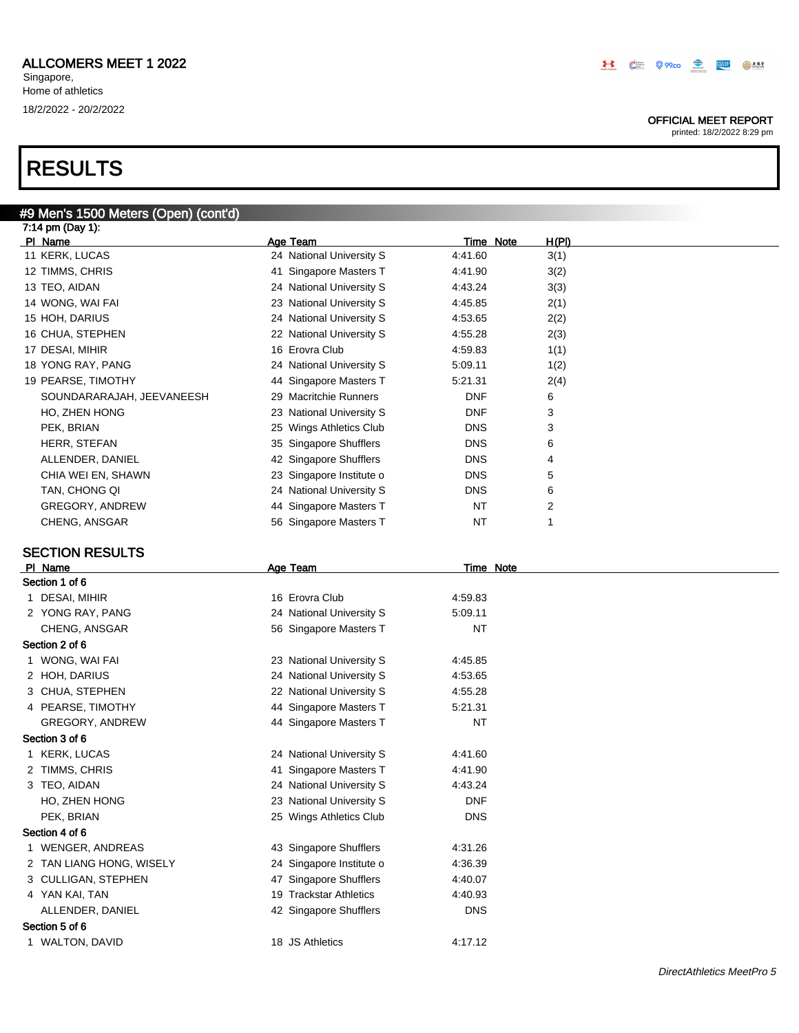#9 Men's 1500 Meters (Open) (cont'd)

Singapore, Home of athletics 18/2/2022 - 20/2/2022

# RESULTS

| 7:14 pm (Day 1):          |                          |            |                |
|---------------------------|--------------------------|------------|----------------|
| PI Name                   | Age Team                 | Time Note  | <u>H(PI)</u>   |
| 11 KERK, LUCAS            | 24 National University S | 4:41.60    | 3(1)           |
| 12 TIMMS, CHRIS           | 41 Singapore Masters T   | 4:41.90    | 3(2)           |
| 13 TEO, AIDAN             | 24 National University S | 4:43.24    | 3(3)           |
| 14 WONG, WAI FAI          | 23 National University S | 4:45.85    | 2(1)           |
| 15 HOH, DARIUS            | 24 National University S | 4:53.65    | 2(2)           |
| 16 CHUA, STEPHEN          | 22 National University S | 4:55.28    | 2(3)           |
| 17 DESAI, MIHIR           | 16 Erovra Club           | 4:59.83    | 1(1)           |
| 18 YONG RAY, PANG         | 24 National University S | 5:09.11    | 1(2)           |
| 19 PEARSE, TIMOTHY        | 44 Singapore Masters T   | 5:21.31    | 2(4)           |
| SOUNDARARAJAH, JEEVANEESH | 29 Macritchie Runners    | <b>DNF</b> | 6              |
| HO, ZHEN HONG             | 23 National University S | <b>DNF</b> | 3              |
| PEK, BRIAN                | 25 Wings Athletics Club  | <b>DNS</b> | 3              |
| HERR, STEFAN              | 35 Singapore Shufflers   | <b>DNS</b> | 6              |
| ALLENDER, DANIEL          | 42 Singapore Shufflers   | <b>DNS</b> | 4              |
| CHIA WEI EN, SHAWN        | 23 Singapore Institute o | <b>DNS</b> | 5              |
| TAN, CHONG QI             | 24 National University S | <b>DNS</b> | 6              |
| GREGORY, ANDREW           | 44 Singapore Masters T   | NT         | $\overline{2}$ |
| CHENG, ANSGAR             | 56 Singapore Masters T   | NT         |                |

## SECTION RESULTS

| PI Name                  | <b>Age Team</b>          | Time Note  |  |
|--------------------------|--------------------------|------------|--|
| Section 1 of 6           |                          |            |  |
| 1 DESAI, MIHIR           | 16 Erovra Club           | 4:59.83    |  |
| 2 YONG RAY, PANG         | 24 National University S | 5:09.11    |  |
| CHENG, ANSGAR            | 56 Singapore Masters T   | NT         |  |
| Section 2 of 6           |                          |            |  |
| 1 WONG, WAI FAI          | 23 National University S | 4:45.85    |  |
| 2 HOH, DARIUS            | 24 National University S | 4:53.65    |  |
| 3 CHUA, STEPHEN          | 22 National University S | 4:55.28    |  |
| 4 PEARSE, TIMOTHY        | 44 Singapore Masters T   | 5:21.31    |  |
| <b>GREGORY, ANDREW</b>   | 44 Singapore Masters T   | NT         |  |
| Section 3 of 6           |                          |            |  |
| 1 KERK, LUCAS            | 24 National University S | 4:41.60    |  |
| 2 TIMMS, CHRIS           | 41 Singapore Masters T   | 4:41.90    |  |
| 3 TEO, AIDAN             | 24 National University S | 4:43.24    |  |
| HO, ZHEN HONG            | 23 National University S | <b>DNF</b> |  |
| PEK, BRIAN               | 25 Wings Athletics Club  | <b>DNS</b> |  |
| Section 4 of 6           |                          |            |  |
| 1 WENGER, ANDREAS        | 43 Singapore Shufflers   | 4:31.26    |  |
| 2 TAN LIANG HONG, WISELY | 24 Singapore Institute o | 4:36.39    |  |
| 3 CULLIGAN, STEPHEN      | 47 Singapore Shufflers   | 4:40.07    |  |
| 4 YAN KAI, TAN           | 19 Trackstar Athletics   | 4:40.93    |  |
| ALLENDER, DANIEL         | 42 Singapore Shufflers   | <b>DNS</b> |  |
| Section 5 of 6           |                          |            |  |
| 1 WALTON, DAVID          | 18 JS Athletics          | 4:17.12    |  |
|                          |                          |            |  |

## H & O SOO S EM OM

### OFFICIAL MEET REPORT